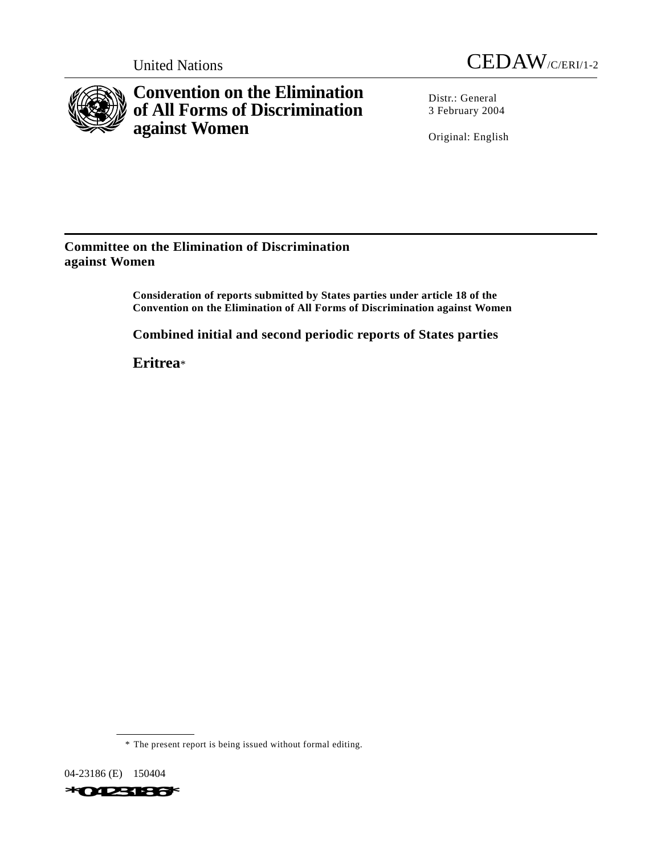



**Convention on the Elimination of All Forms of Discrimination against Women**

Distr.: General 3 February 2004

Original: English

**Committee on the Elimination of Discrimination against Women**

> **Consideration of reports submitted by States parties under article 18 of the Convention on the Elimination of All Forms of Discrimination against Women**

**Combined initial and second periodic reports of States parties**

**Eritrea**\*

\* The present report is being issued without formal editing.

04-23186 (E) 150404

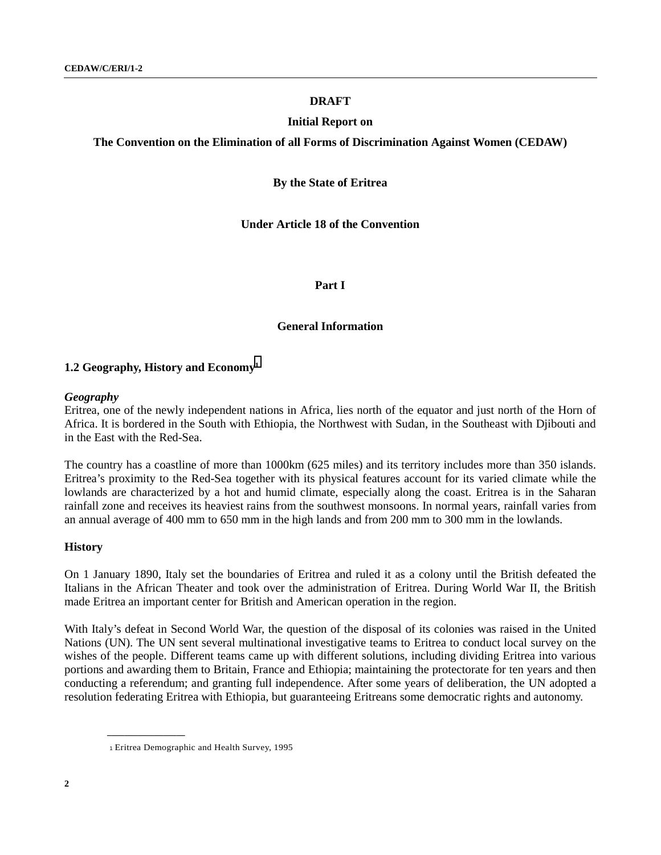## **DRAFT**

### **Initial Report on**

**The Convention on the Elimination of all Forms of Discrimination Against Women (CEDAW)**

### **By the State of Eritrea**

**Under Article 18 of the Convention**

### **Part I**

## **General Information**

### **1.2 Geography, History and Economy1**

### *Geography*

Eritrea, one of the newly independent nations in Africa, lies north of the equator and just north of the Horn of Africa. It is bordered in the South with Ethiopia, the Northwest with Sudan, in the Southeast with Djibouti and in the East with the Red-Sea.

The country has a coastline of more than 1000km (625 miles) and its territory includes more than 350 islands. Eritrea's proximity to the Red-Sea together with its physical features account for its varied climate while the lowlands are characterized by a hot and humid climate, especially along the coast. Eritrea is in the Saharan rainfall zone and receives its heaviest rains from the southwest monsoons. In normal years, rainfall varies from an annual average of 400 mm to 650 mm in the high lands and from 200 mm to 300 mm in the lowlands.

### **History**

On 1 January 1890, Italy set the boundaries of Eritrea and ruled it as a colony until the British defeated the Italians in the African Theater and took over the administration of Eritrea. During World War II, the British made Eritrea an important center for British and American operation in the region.

With Italy's defeat in Second World War, the question of the disposal of its colonies was raised in the United Nations (UN). The UN sent several multinational investigative teams to Eritrea to conduct local survey on the wishes of the people. Different teams came up with different solutions, including dividing Eritrea into various portions and awarding them to Britain, France and Ethiopia; maintaining the protectorate for ten years and then conducting a referendum; and granting full independence. After some years of deliberation, the UN adopted a resolution federating Eritrea with Ethiopia, but guaranteeing Eritreans some democratic rights and autonomy.

<sup>1</sup> Eritrea Demographic and Health Survey, 1995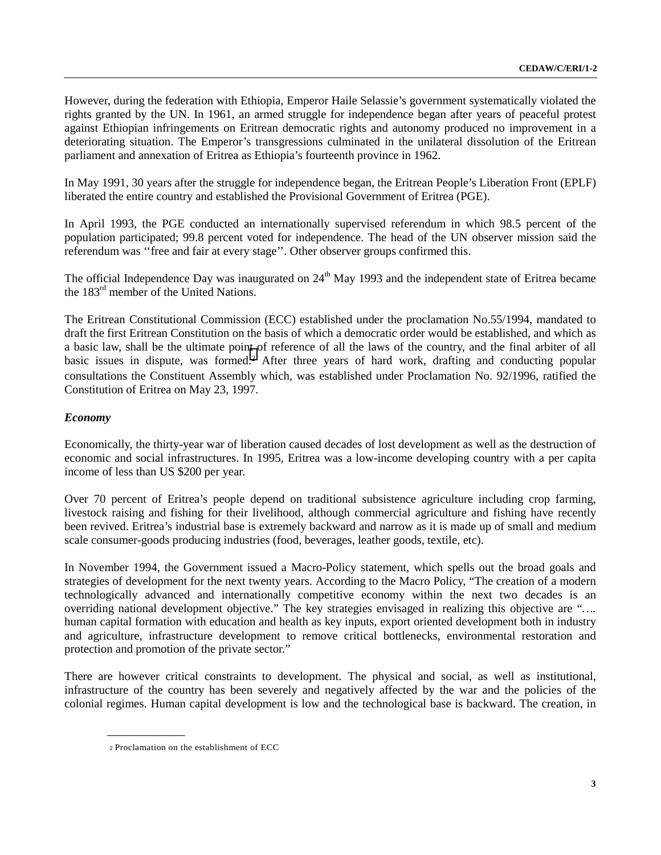However, during the federation with Ethiopia, Emperor Haile Selassie's government systematically violated the rights granted by the UN. In 1961, an armed struggle for independence began after years of peaceful protest against Ethiopian infringements on Eritrean democratic rights and autonomy produced no improvement in a deteriorating situation. The Emperor's transgressions culminated in the unilateral dissolution of the Eritrean parliament and annexation of Eritrea as Ethiopia's fourteenth province in 1962.

In May 1991, 30 years after the struggle for independence began, the Eritrean People's Liberation Front (EPLF) liberated the entire country and established the Provisional Government of Eritrea (PGE).

In April 1993, the PGE conducted an internationally supervised referendum in which 98.5 percent of the population participated; 99.8 percent voted for independence. The head of the UN observer mission said the referendum was ''free and fair at every stage''. Other observer groups confirmed this.

The official Independence Day was inaugurated on  $24<sup>th</sup>$  May 1993 and the independent state of Eritrea became the 183rd member of the United Nations.

The Eritrean Constitutional Commission (ECC) established under the proclamation No.55/1994, mandated to draft the first Eritrean Constitution on the basis of which a democratic order would be established, and which as a basic law, shall be the ultimate point of reference of all the laws of the country, and the final arbiter of all basic issues in dispute, was formed.2 After three years of hard work, drafting and conducting popular consultations the Constituent Assembly which, was established under Proclamation No. 92/1996, ratified the Constitution of Eritrea on May 23, 1997.

## *Economy*

Economically, the thirty-year war of liberation caused decades of lost development as well as the destruction of economic and social infrastructures. In 1995, Eritrea was a low-income developing country with a per capita income of less than US \$200 per year.

Over 70 percent of Eritrea's people depend on traditional subsistence agriculture including crop farming, livestock raising and fishing for their livelihood, although commercial agriculture and fishing have recently been revived. Eritrea's industrial base is extremely backward and narrow as it is made up of small and medium scale consumer-goods producing industries (food, beverages, leather goods, textile, etc).

In November 1994, the Government issued a Macro-Policy statement, which spells out the broad goals and strategies of development for the next twenty years. According to the Macro Policy, "The creation of a modern technologically advanced and internationally competitive economy within the next two decades is an overriding national development objective." The key strategies envisaged in realizing this objective are "*….* human capital formation with education and health as key inputs, export oriented development both in industry and agriculture, infrastructure development to remove critical bottlenecks, environmental restoration and protection and promotion of the private sector."

There are however critical constraints to development. The physical and social, as well as institutional, infrastructure of the country has been severely and negatively affected by the war and the policies of the colonial regimes. Human capital development is low and the technological base is backward. The creation, in

<sup>2</sup> Proclamation on the establishment of ECC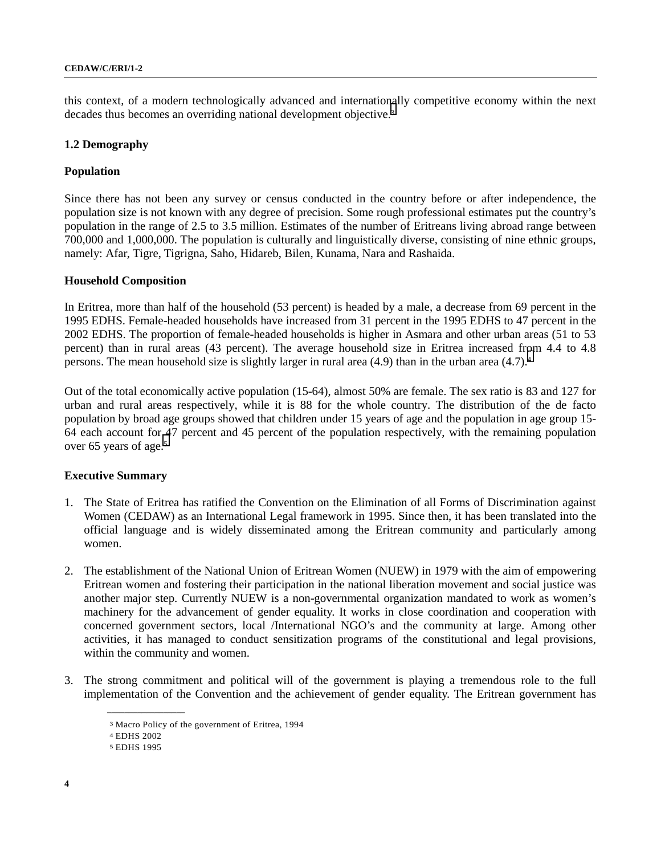this context, of a modern technologically advanced and internationally competitive economy within the next decades thus becomes an overriding national development objective.3

## **1.2 Demography**

## **Population**

Since there has not been any survey or census conducted in the country before or after independence, the population size is not known with any degree of precision. Some rough professional estimates put the country's population in the range of 2.5 to 3.5 million. Estimates of the number of Eritreans living abroad range between 700,000 and 1,000,000. The population is culturally and linguistically diverse, consisting of nine ethnic groups, namely: Afar, Tigre, Tigrigna, Saho, Hidareb, Bilen, Kunama, Nara and Rashaida.

## **Household Composition**

In Eritrea, more than half of the household (53 percent) is headed by a male, a decrease from 69 percent in the 1995 EDHS. Female-headed households have increased from 31 percent in the 1995 EDHS to 47 percent in the 2002 EDHS. The proportion of female-headed households is higher in Asmara and other urban areas (51 to 53 percent) than in rural areas (43 percent). The average household size in Eritrea increased from 4.4 to 4.8 persons. The mean household size is slightly larger in rural area (4.9) than in the urban area (4.7).4

Out of the total economically active population (15-64), almost 50% are female. The sex ratio is 83 and 127 for urban and rural areas respectively, while it is 88 for the whole country. The distribution of the de facto population by broad age groups showed that children under 15 years of age and the population in age group 15- 64 each account for 47 percent and 45 percent of the population respectively, with the remaining population over 65 years of age.5

## **Executive Summary**

- 1. The State of Eritrea has ratified the Convention on the Elimination of all Forms of Discrimination against Women (CEDAW) as an International Legal framework in 1995. Since then, it has been translated into the official language and is widely disseminated among the Eritrean community and particularly among women.
- 2. The establishment of the National Union of Eritrean Women (NUEW) in 1979 with the aim of empowering Eritrean women and fostering their participation in the national liberation movement and social justice was another major step. Currently NUEW is a non-governmental organization mandated to work as women's machinery for the advancement of gender equality. It works in close coordination and cooperation with concerned government sectors, local /International NGO's and the community at large. Among other activities, it has managed to conduct sensitization programs of the constitutional and legal provisions, within the community and women.
- 3. The strong commitment and political will of the government is playing a tremendous role to the full implementation of the Convention and the achievement of gender equality. The Eritrean government has

<sup>3</sup> Macro Policy of the government of Eritrea, 1994

<sup>4</sup> EDHS 2002

<sup>5</sup> EDHS 1995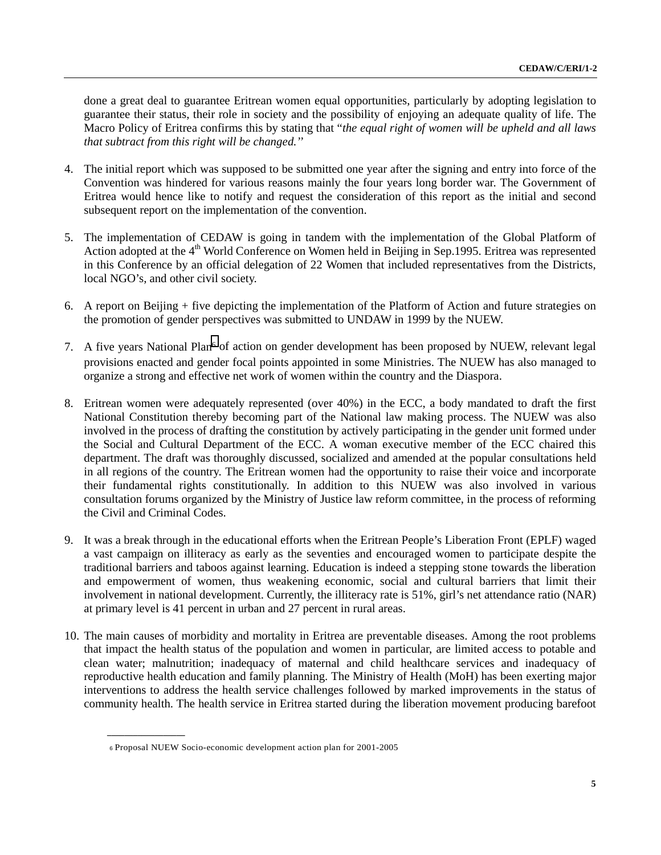done a great deal to guarantee Eritrean women equal opportunities, particularly by adopting legislation to guarantee their status, their role in society and the possibility of enjoying an adequate quality of life. The Macro Policy of Eritrea confirms this by stating that "*the equal right of women will be upheld and all laws that subtract from this right will be changed.''*

- 4. The initial report which was supposed to be submitted one year after the signing and entry into force of the Convention was hindered for various reasons mainly the four years long border war. The Government of Eritrea would hence like to notify and request the consideration of this report as the initial and second subsequent report on the implementation of the convention.
- 5. The implementation of CEDAW is going in tandem with the implementation of the Global Platform of Action adopted at the 4<sup>th</sup> World Conference on Women held in Beijing in Sep.1995. Eritrea was represented in this Conference by an official delegation of 22 Women that included representatives from the Districts, local NGO's, and other civil society.
- 6. A report on Beijing + five depicting the implementation of the Platform of Action and future strategies on the promotion of gender perspectives was submitted to UNDAW in 1999 by the NUEW.
- 7. A five years National Plan<sup>6</sup> of action on gender development has been proposed by NUEW, relevant legal provisions enacted and gender focal points appointed in some Ministries. The NUEW has also managed to organize a strong and effective net work of women within the country and the Diaspora.
- 8. Eritrean women were adequately represented (over 40%) in the ECC, a body mandated to draft the first National Constitution thereby becoming part of the National law making process. The NUEW was also involved in the process of drafting the constitution by actively participating in the gender unit formed under the Social and Cultural Department of the ECC. A woman executive member of the ECC chaired this department. The draft was thoroughly discussed, socialized and amended at the popular consultations held in all regions of the country. The Eritrean women had the opportunity to raise their voice and incorporate their fundamental rights constitutionally. In addition to this NUEW was also involved in various consultation forums organized by the Ministry of Justice law reform committee, in the process of reforming the Civil and Criminal Codes.
- 9. It was a break through in the educational efforts when the Eritrean People's Liberation Front (EPLF) waged a vast campaign on illiteracy as early as the seventies and encouraged women to participate despite the traditional barriers and taboos against learning. Education is indeed a stepping stone towards the liberation and empowerment of women, thus weakening economic, social and cultural barriers that limit their involvement in national development. Currently, the illiteracy rate is 51%, girl's net attendance ratio (NAR) at primary level is 41 percent in urban and 27 percent in rural areas.
- 10. The main causes of morbidity and mortality in Eritrea are preventable diseases. Among the root problems that impact the health status of the population and women in particular, are limited access to potable and clean water; malnutrition; inadequacy of maternal and child healthcare services and inadequacy of reproductive health education and family planning. The Ministry of Health (MoH) has been exerting major interventions to address the health service challenges followed by marked improvements in the status of community health. The health service in Eritrea started during the liberation movement producing barefoot

<sup>6</sup> Proposal NUEW Socio-economic development action plan for 2001-2005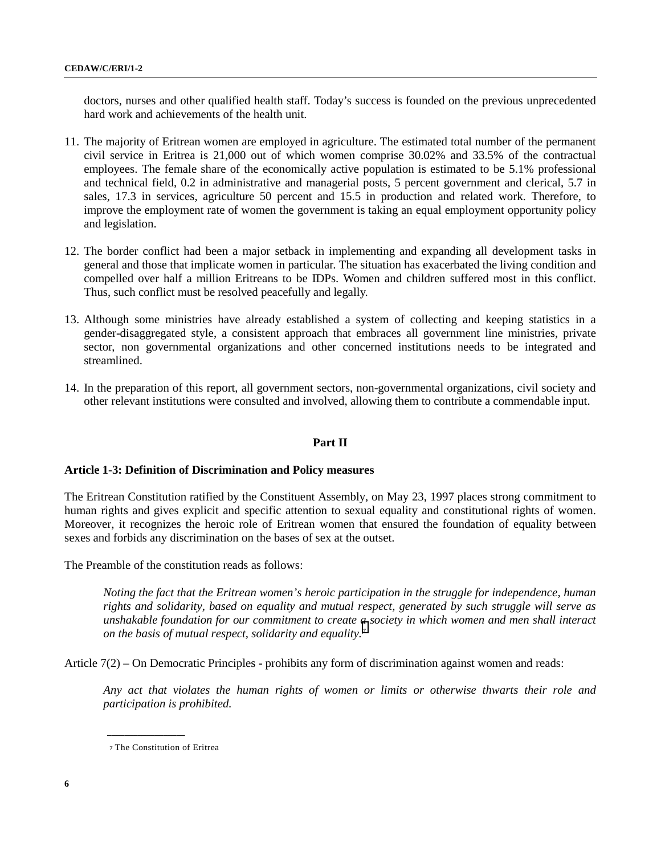doctors, nurses and other qualified health staff. Today's success is founded on the previous unprecedented hard work and achievements of the health unit.

- 11. The majority of Eritrean women are employed in agriculture. The estimated total number of the permanent civil service in Eritrea is 21,000 out of which women comprise 30.02% and 33.5% of the contractual employees. The female share of the economically active population is estimated to be 5.1% professional and technical field, 0.2 in administrative and managerial posts, 5 percent government and clerical, 5.7 in sales, 17.3 in services, agriculture 50 percent and 15.5 in production and related work. Therefore, to improve the employment rate of women the government is taking an equal employment opportunity policy and legislation.
- 12. The border conflict had been a major setback in implementing and expanding all development tasks in general and those that implicate women in particular. The situation has exacerbated the living condition and compelled over half a million Eritreans to be IDPs. Women and children suffered most in this conflict. Thus, such conflict must be resolved peacefully and legally.
- 13. Although some ministries have already established a system of collecting and keeping statistics in a gender-disaggregated style, a consistent approach that embraces all government line ministries, private sector, non governmental organizations and other concerned institutions needs to be integrated and streamlined.
- 14. In the preparation of this report, all government sectors, non-governmental organizations, civil society and other relevant institutions were consulted and involved, allowing them to contribute a commendable input.

### **Part II**

### **Article 1-3: Definition of Discrimination and Policy measures**

The Eritrean Constitution ratified by the Constituent Assembly, on May 23, 1997 places strong commitment to human rights and gives explicit and specific attention to sexual equality and constitutional rights of women. Moreover, it recognizes the heroic role of Eritrean women that ensured the foundation of equality between sexes and forbids any discrimination on the bases of sex at the outset.

The Preamble of the constitution reads as follows:

*Noting the fact that the Eritrean women's heroic participation in the struggle for independence, human rights and solidarity, based on equality and mutual respect, generated by such struggle will serve as unshakable foundation for our commitment to create a society in which women and men shall interact on the basis of mutual respect, solidarity and equality.7*

Article 7(2) – On Democratic Principles - prohibits any form of discrimination against women and reads:

*Any act that violates the human rights of women or limits or otherwise thwarts their role and participation is prohibited.*

<sup>7</sup> The Constitution of Eritrea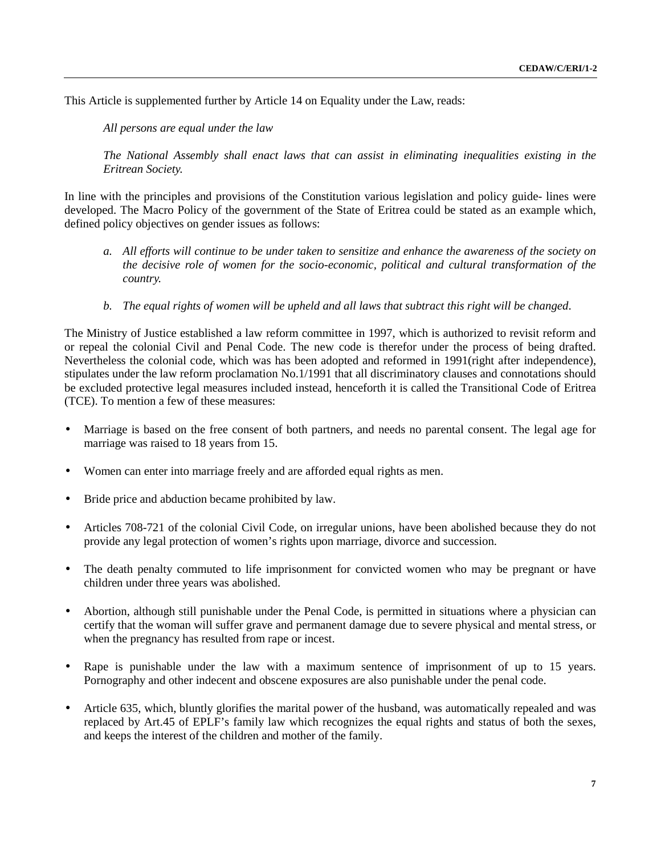This Article is supplemented further by Article 14 on Equality under the Law, reads:

*All persons are equal under the law*

*The National Assembly shall enact laws that can assist in eliminating inequalities existing in the Eritrean Society.*

In line with the principles and provisions of the Constitution various legislation and policy guide- lines were developed. The Macro Policy of the government of the State of Eritrea could be stated as an example which, defined policy objectives on gender issues as follows:

- *a. All efforts will continue to be under taken to sensitize and enhance the awareness of the society on the decisive role of women for the socio-economic, political and cultural transformation of the country.*
- *b. The equal rights of women will be upheld and all laws that subtract this right will be changed*.

The Ministry of Justice established a law reform committee in 1997, which is authorized to revisit reform and or repeal the colonial Civil and Penal Code. The new code is therefor under the process of being drafted. Nevertheless the colonial code, which was has been adopted and reformed in 1991(right after independence), stipulates under the law reform proclamation No.1/1991 that all discriminatory clauses and connotations should be excluded protective legal measures included instead, henceforth it is called the Transitional Code of Eritrea (TCE). To mention a few of these measures:

- Marriage is based on the free consent of both partners, and needs no parental consent. The legal age for marriage was raised to 18 years from 15.
- Women can enter into marriage freely and are afforded equal rights as men.
- Bride price and abduction became prohibited by law.
- Articles 708-721 of the colonial Civil Code, on irregular unions, have been abolished because they do not provide any legal protection of women's rights upon marriage, divorce and succession.
- The death penalty commuted to life imprisonment for convicted women who may be pregnant or have children under three years was abolished.
- Abortion, although still punishable under the Penal Code, is permitted in situations where a physician can certify that the woman will suffer grave and permanent damage due to severe physical and mental stress, or when the pregnancy has resulted from rape or incest.
- Rape is punishable under the law with a maximum sentence of imprisonment of up to 15 years. Pornography and other indecent and obscene exposures are also punishable under the penal code.
- Article 635, which, bluntly glorifies the marital power of the husband, was automatically repealed and was replaced by Art.45 of EPLF's family law which recognizes the equal rights and status of both the sexes, and keeps the interest of the children and mother of the family.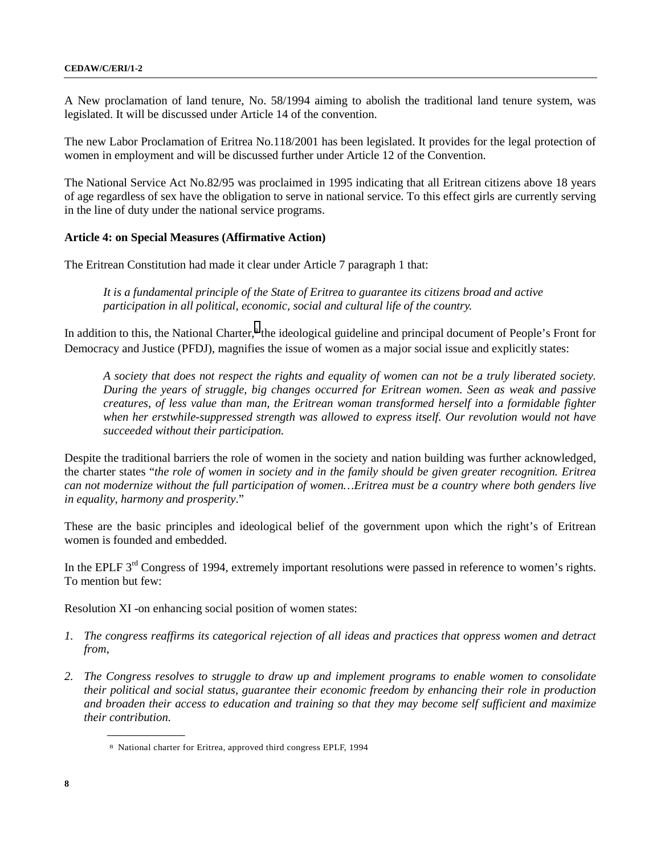A New proclamation of land tenure, No. 58/1994 aiming to abolish the traditional land tenure system, was legislated. It will be discussed under Article 14 of the convention.

The new Labor Proclamation of Eritrea No.118/2001 has been legislated. It provides for the legal protection of women in employment and will be discussed further under Article 12 of the Convention.

The National Service Act No.82/95 was proclaimed in 1995 indicating that all Eritrean citizens above 18 years of age regardless of sex have the obligation to serve in national service. To this effect girls are currently serving in the line of duty under the national service programs.

## **Article 4: on Special Measures (Affirmative Action)**

The Eritrean Constitution had made it clear under Article 7 paragraph 1 that:

*It is a fundamental principle of the State of Eritrea to guarantee its citizens broad and active participation in all political, economic, social and cultural life of the country.*

In addition to this, the National Charter,<sup>8</sup> the ideological guideline and principal document of People's Front for Democracy and Justice (PFDJ), magnifies the issue of women as a major social issue and explicitly states:

*A society that does not respect the rights and equality of women can not be a truly liberated society. During the years of struggle, big changes occurred for Eritrean women. Seen as weak and passive creatures, of less value than man, the Eritrean woman transformed herself into a formidable fighter when her erstwhile-suppressed strength was allowed to express itself. Our revolution would not have succeeded without their participation.*

Despite the traditional barriers the role of women in the society and nation building was further acknowledged, the charter states "*the role of women in society and in the family should be given greater recognition. Eritrea can not modernize without the full participation of women…Eritrea must be a country where both genders live in equality, harmony and prosperity*."

These are the basic principles and ideological belief of the government upon which the right's of Eritrean women is founded and embedded.

In the EPLF 3<sup>rd</sup> Congress of 1994, extremely important resolutions were passed in reference to women's rights. To mention but few:

Resolution XI -on enhancing social position of women states:

- *1. The congress reaffirms its categorical rejection of all ideas and practices that oppress women and detract from,*
- *2. The Congress resolves to struggle to draw up and implement programs to enable women to consolidate their political and social status, guarantee their economic freedom by enhancing their role in production and broaden their access to education and training so that they may become self sufficient and maximize their contribution.*

<sup>8</sup> National charter for Eritrea, approved third congress EPLF, 1994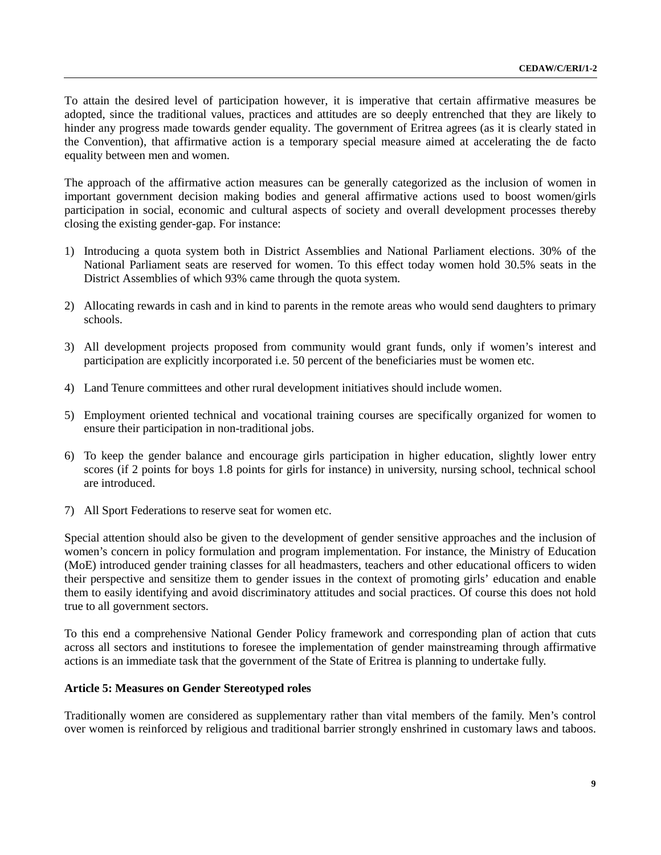To attain the desired level of participation however, it is imperative that certain affirmative measures be adopted, since the traditional values, practices and attitudes are so deeply entrenched that they are likely to hinder any progress made towards gender equality. The government of Eritrea agrees (as it is clearly stated in the Convention), that affirmative action is a temporary special measure aimed at accelerating the de facto equality between men and women.

The approach of the affirmative action measures can be generally categorized as the inclusion of women in important government decision making bodies and general affirmative actions used to boost women/girls participation in social, economic and cultural aspects of society and overall development processes thereby closing the existing gender-gap. For instance:

- 1) Introducing a quota system both in District Assemblies and National Parliament elections. 30% of the National Parliament seats are reserved for women. To this effect today women hold 30.5% seats in the District Assemblies of which 93% came through the quota system.
- 2) Allocating rewards in cash and in kind to parents in the remote areas who would send daughters to primary schools.
- 3) All development projects proposed from community would grant funds, only if women's interest and participation are explicitly incorporated i.e. 50 percent of the beneficiaries must be women etc.
- 4) Land Tenure committees and other rural development initiatives should include women.
- 5) Employment oriented technical and vocational training courses are specifically organized for women to ensure their participation in non-traditional jobs.
- 6) To keep the gender balance and encourage girls participation in higher education, slightly lower entry scores (if 2 points for boys 1.8 points for girls for instance) in university, nursing school, technical school are introduced.
- 7) All Sport Federations to reserve seat for women etc.

Special attention should also be given to the development of gender sensitive approaches and the inclusion of women's concern in policy formulation and program implementation. For instance, the Ministry of Education (MoE) introduced gender training classes for all headmasters, teachers and other educational officers to widen their perspective and sensitize them to gender issues in the context of promoting girls' education and enable them to easily identifying and avoid discriminatory attitudes and social practices. Of course this does not hold true to all government sectors.

To this end a comprehensive National Gender Policy framework and corresponding plan of action that cuts across all sectors and institutions to foresee the implementation of gender mainstreaming through affirmative actions is an immediate task that the government of the State of Eritrea is planning to undertake fully.

### **Article 5: Measures on Gender Stereotyped roles**

Traditionally women are considered as supplementary rather than vital members of the family. Men's control over women is reinforced by religious and traditional barrier strongly enshrined in customary laws and taboos.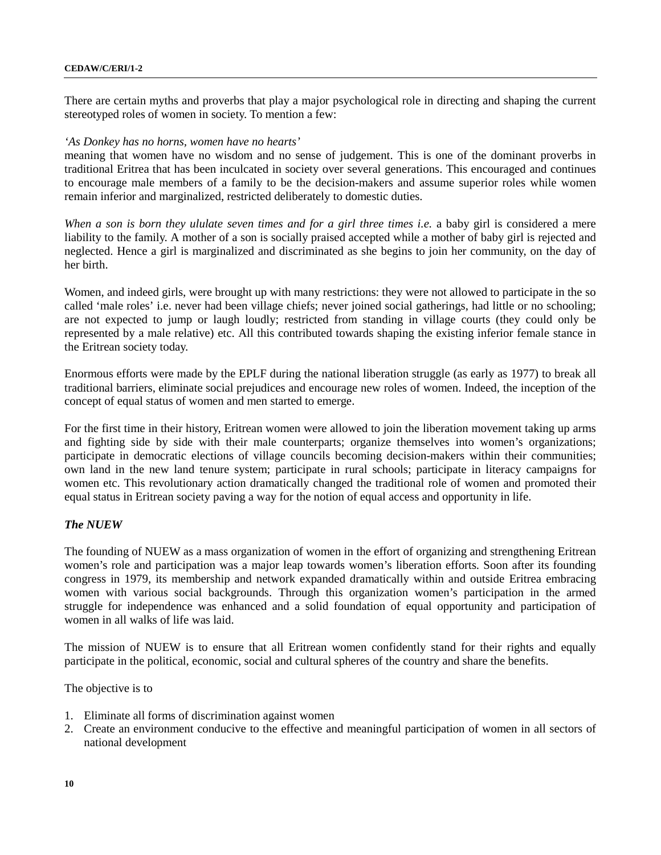#### **CEDAW/C/ERI/1-2**

There are certain myths and proverbs that play a major psychological role in directing and shaping the current stereotyped roles of women in society. To mention a few:

### *'As Donkey has no horns, women have no hearts'*

meaning that women have no wisdom and no sense of judgement. This is one of the dominant proverbs in traditional Eritrea that has been inculcated in society over several generations. This encouraged and continues to encourage male members of a family to be the decision-makers and assume superior roles while women remain inferior and marginalized, restricted deliberately to domestic duties.

*When a son is born they ululate seven times and for a girl three times i.e.* a baby girl is considered a mere liability to the family. A mother of a son is socially praised accepted while a mother of baby girl is rejected and neglected. Hence a girl is marginalized and discriminated as she begins to join her community, on the day of her birth.

Women, and indeed girls, were brought up with many restrictions: they were not allowed to participate in the so called 'male roles' i.e. never had been village chiefs; never joined social gatherings, had little or no schooling; are not expected to jump or laugh loudly; restricted from standing in village courts (they could only be represented by a male relative) etc. All this contributed towards shaping the existing inferior female stance in the Eritrean society today.

Enormous efforts were made by the EPLF during the national liberation struggle (as early as 1977) to break all traditional barriers, eliminate social prejudices and encourage new roles of women. Indeed, the inception of the concept of equal status of women and men started to emerge.

For the first time in their history, Eritrean women were allowed to join the liberation movement taking up arms and fighting side by side with their male counterparts; organize themselves into women's organizations; participate in democratic elections of village councils becoming decision-makers within their communities; own land in the new land tenure system; participate in rural schools; participate in literacy campaigns for women etc. This revolutionary action dramatically changed the traditional role of women and promoted their equal status in Eritrean society paving a way for the notion of equal access and opportunity in life.

### *The NUEW*

The founding of NUEW as a mass organization of women in the effort of organizing and strengthening Eritrean women's role and participation was a major leap towards women's liberation efforts. Soon after its founding congress in 1979, its membership and network expanded dramatically within and outside Eritrea embracing women with various social backgrounds. Through this organization women's participation in the armed struggle for independence was enhanced and a solid foundation of equal opportunity and participation of women in all walks of life was laid.

The mission of NUEW is to ensure that all Eritrean women confidently stand for their rights and equally participate in the political, economic, social and cultural spheres of the country and share the benefits.

The objective is to

- 1. Eliminate all forms of discrimination against women
- 2. Create an environment conducive to the effective and meaningful participation of women in all sectors of national development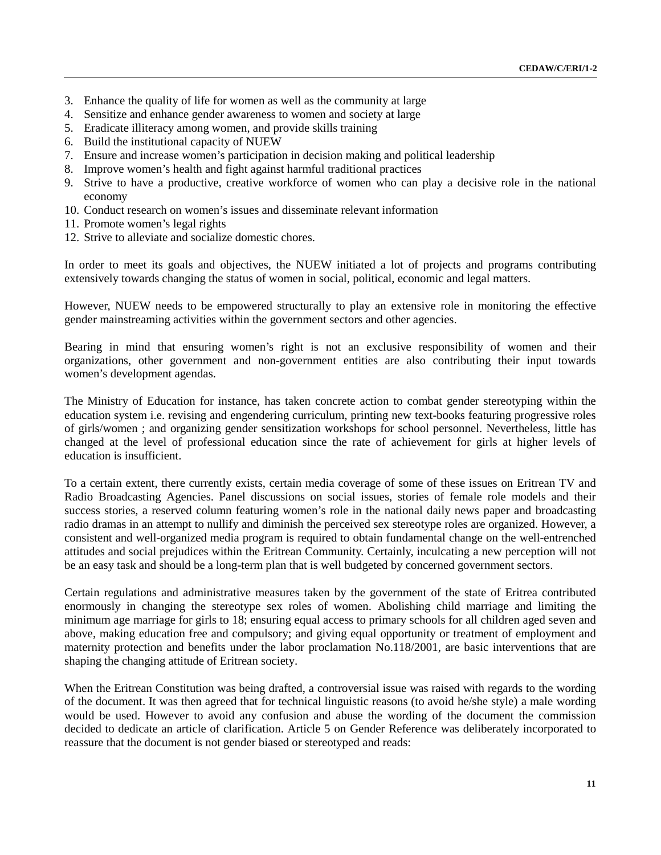- 3. Enhance the quality of life for women as well as the community at large
- 4. Sensitize and enhance gender awareness to women and society at large
- 5. Eradicate illiteracy among women, and provide skills training
- 6. Build the institutional capacity of NUEW
- 7. Ensure and increase women's participation in decision making and political leadership
- 8. Improve women's health and fight against harmful traditional practices
- 9. Strive to have a productive, creative workforce of women who can play a decisive role in the national economy
- 10. Conduct research on women's issues and disseminate relevant information
- 11. Promote women's legal rights
- 12. Strive to alleviate and socialize domestic chores.

In order to meet its goals and objectives, the NUEW initiated a lot of projects and programs contributing extensively towards changing the status of women in social, political, economic and legal matters.

However, NUEW needs to be empowered structurally to play an extensive role in monitoring the effective gender mainstreaming activities within the government sectors and other agencies.

Bearing in mind that ensuring women's right is not an exclusive responsibility of women and their organizations, other government and non-government entities are also contributing their input towards women's development agendas.

The Ministry of Education for instance, has taken concrete action to combat gender stereotyping within the education system i.e. revising and engendering curriculum, printing new text-books featuring progressive roles of girls/women ; and organizing gender sensitization workshops for school personnel. Nevertheless, little has changed at the level of professional education since the rate of achievement for girls at higher levels of education is insufficient.

To a certain extent, there currently exists, certain media coverage of some of these issues on Eritrean TV and Radio Broadcasting Agencies. Panel discussions on social issues, stories of female role models and their success stories, a reserved column featuring women's role in the national daily news paper and broadcasting radio dramas in an attempt to nullify and diminish the perceived sex stereotype roles are organized. However, a consistent and well-organized media program is required to obtain fundamental change on the well-entrenched attitudes and social prejudices within the Eritrean Community. Certainly, inculcating a new perception will not be an easy task and should be a long-term plan that is well budgeted by concerned government sectors.

Certain regulations and administrative measures taken by the government of the state of Eritrea contributed enormously in changing the stereotype sex roles of women. Abolishing child marriage and limiting the minimum age marriage for girls to 18; ensuring equal access to primary schools for all children aged seven and above, making education free and compulsory; and giving equal opportunity or treatment of employment and maternity protection and benefits under the labor proclamation No.118/2001, are basic interventions that are shaping the changing attitude of Eritrean society.

When the Eritrean Constitution was being drafted, a controversial issue was raised with regards to the wording of the document. It was then agreed that for technical linguistic reasons (to avoid he/she style) a male wording would be used. However to avoid any confusion and abuse the wording of the document the commission decided to dedicate an article of clarification. Article 5 on Gender Reference was deliberately incorporated to reassure that the document is not gender biased or stereotyped and reads: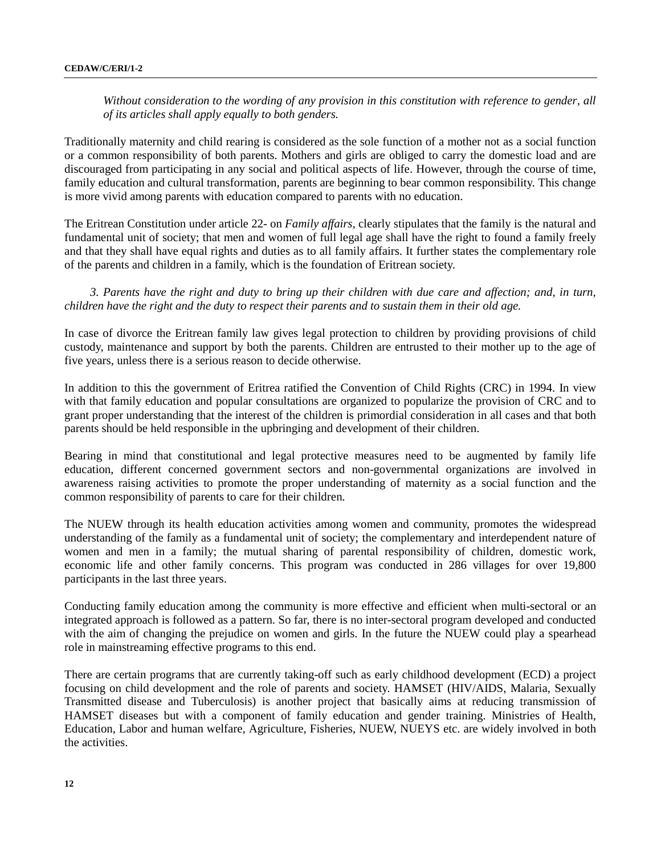*Without consideration to the wording of any provision in this constitution with reference to gender, all of its articles shall apply equally to both genders.*

Traditionally maternity and child rearing is considered as the sole function of a mother not as a social function or a common responsibility of both parents. Mothers and girls are obliged to carry the domestic load and are discouraged from participating in any social and political aspects of life. However, through the course of time, family education and cultural transformation, parents are beginning to bear common responsibility. This change is more vivid among parents with education compared to parents with no education.

The Eritrean Constitution under article 22- on *Family affairs*, clearly stipulates that the family is the natural and fundamental unit of society; that men and women of full legal age shall have the right to found a family freely and that they shall have equal rights and duties as to all family affairs. It further states the complementary role of the parents and children in a family, which is the foundation of Eritrean society.

*3. Parents have the right and duty to bring up their children with due care and affection; and, in turn, children have the right and the duty to respect their parents and to sustain them in their old age.*

In case of divorce the Eritrean family law gives legal protection to children by providing provisions of child custody, maintenance and support by both the parents. Children are entrusted to their mother up to the age of five years, unless there is a serious reason to decide otherwise.

In addition to this the government of Eritrea ratified the Convention of Child Rights (CRC) in 1994. In view with that family education and popular consultations are organized to popularize the provision of CRC and to grant proper understanding that the interest of the children is primordial consideration in all cases and that both parents should be held responsible in the upbringing and development of their children.

Bearing in mind that constitutional and legal protective measures need to be augmented by family life education, different concerned government sectors and non-governmental organizations are involved in awareness raising activities to promote the proper understanding of maternity as a social function and the common responsibility of parents to care for their children.

The NUEW through its health education activities among women and community, promotes the widespread understanding of the family as a fundamental unit of society; the complementary and interdependent nature of women and men in a family; the mutual sharing of parental responsibility of children, domestic work, economic life and other family concerns. This program was conducted in 286 villages for over 19,800 participants in the last three years.

Conducting family education among the community is more effective and efficient when multi-sectoral or an integrated approach is followed as a pattern. So far, there is no inter-sectoral program developed and conducted with the aim of changing the prejudice on women and girls. In the future the NUEW could play a spearhead role in mainstreaming effective programs to this end.

There are certain programs that are currently taking-off such as early childhood development (ECD) a project focusing on child development and the role of parents and society. HAMSET (HIV/AIDS, Malaria, Sexually Transmitted disease and Tuberculosis) is another project that basically aims at reducing transmission of HAMSET diseases but with a component of family education and gender training. Ministries of Health, Education, Labor and human welfare, Agriculture, Fisheries, NUEW, NUEYS etc. are widely involved in both the activities.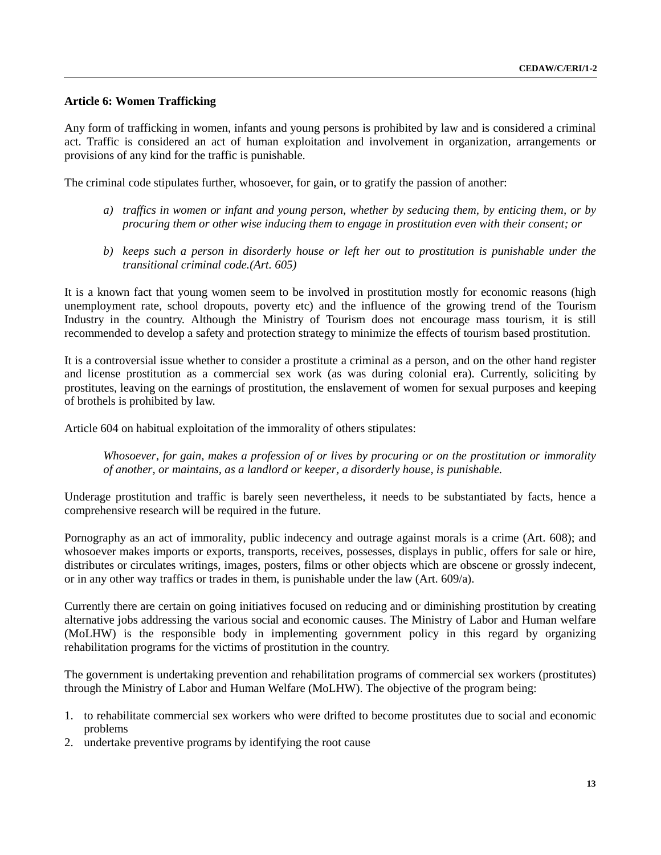## **Article 6: Women Trafficking**

Any form of trafficking in women, infants and young persons is prohibited by law and is considered a criminal act. Traffic is considered an act of human exploitation and involvement in organization, arrangements or provisions of any kind for the traffic is punishable.

The criminal code stipulates further, whosoever, for gain, or to gratify the passion of another:

- *a) traffics in women or infant and young person, whether by seducing them, by enticing them, or by procuring them or other wise inducing them to engage in prostitution even with their consent; or*
- *b) keeps such a person in disorderly house or left her out to prostitution is punishable under the transitional criminal code.(Art. 605)*

It is a known fact that young women seem to be involved in prostitution mostly for economic reasons (high unemployment rate, school dropouts, poverty etc) and the influence of the growing trend of the Tourism Industry in the country. Although the Ministry of Tourism does not encourage mass tourism, it is still recommended to develop a safety and protection strategy to minimize the effects of tourism based prostitution.

It is a controversial issue whether to consider a prostitute a criminal as a person, and on the other hand register and license prostitution as a commercial sex work (as was during colonial era). Currently, soliciting by prostitutes, leaving on the earnings of prostitution, the enslavement of women for sexual purposes and keeping of brothels is prohibited by law.

Article 604 on habitual exploitation of the immorality of others stipulates:

*Whosoever, for gain, makes a profession of or lives by procuring or on the prostitution or immorality of another, or maintains, as a landlord or keeper, a disorderly house, is punishable.*

Underage prostitution and traffic is barely seen nevertheless, it needs to be substantiated by facts, hence a comprehensive research will be required in the future.

Pornography as an act of immorality, public indecency and outrage against morals is a crime (Art. 608); and whosoever makes imports or exports, transports, receives, possesses, displays in public, offers for sale or hire, distributes or circulates writings, images, posters, films or other objects which are obscene or grossly indecent, or in any other way traffics or trades in them, is punishable under the law (Art. 609/a).

Currently there are certain on going initiatives focused on reducing and or diminishing prostitution by creating alternative jobs addressing the various social and economic causes. The Ministry of Labor and Human welfare (MoLHW) is the responsible body in implementing government policy in this regard by organizing rehabilitation programs for the victims of prostitution in the country.

The government is undertaking prevention and rehabilitation programs of commercial sex workers (prostitutes) through the Ministry of Labor and Human Welfare (MoLHW). The objective of the program being:

- 1. to rehabilitate commercial sex workers who were drifted to become prostitutes due to social and economic problems
- 2. undertake preventive programs by identifying the root cause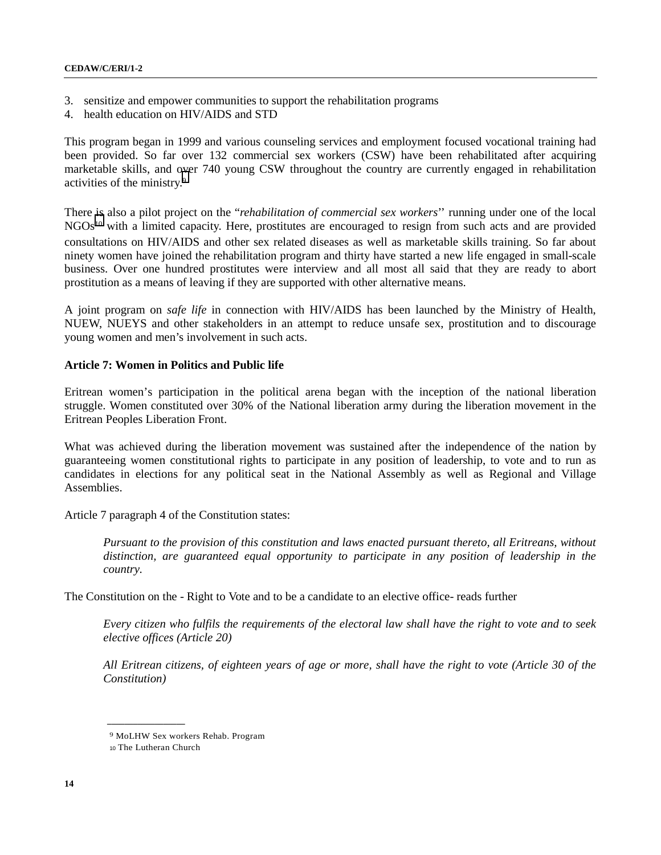- 3. sensitize and empower communities to support the rehabilitation programs
- 4. health education on HIV/AIDS and STD

This program began in 1999 and various counseling services and employment focused vocational training had been provided. So far over 132 commercial sex workers (CSW) have been rehabilitated after acquiring marketable skills, and over 740 young CSW throughout the country are currently engaged in rehabilitation activities of the ministry.9

There is also a pilot project on the "*rehabilitation of commercial sex workers*'' running under one of the local NGOs<sup>10</sup> with a limited capacity. Here, prostitutes are encouraged to resign from such acts and are provided consultations on HIV/AIDS and other sex related diseases as well as marketable skills training. So far about ninety women have joined the rehabilitation program and thirty have started a new life engaged in small-scale business. Over one hundred prostitutes were interview and all most all said that they are ready to abort prostitution as a means of leaving if they are supported with other alternative means.

A joint program on *safe life* in connection with HIV/AIDS has been launched by the Ministry of Health, NUEW, NUEYS and other stakeholders in an attempt to reduce unsafe sex, prostitution and to discourage young women and men's involvement in such acts.

### **Article 7: Women in Politics and Public life**

Eritrean women's participation in the political arena began with the inception of the national liberation struggle. Women constituted over 30% of the National liberation army during the liberation movement in the Eritrean Peoples Liberation Front.

What was achieved during the liberation movement was sustained after the independence of the nation by guaranteeing women constitutional rights to participate in any position of leadership, to vote and to run as candidates in elections for any political seat in the National Assembly as well as Regional and Village Assemblies.

Article 7 paragraph 4 of the Constitution states:

*Pursuant to the provision of this constitution and laws enacted pursuant thereto, all Eritreans, without distinction, are guaranteed equal opportunity to participate in any position of leadership in the country.*

The Constitution on the - Right to Vote and to be a candidate to an elective office- reads further

*Every citizen who fulfils the requirements of the electoral law shall have the right to vote and to seek elective offices (Article 20)*

*All Eritrean citizens, of eighteen years of age or more, shall have the right to vote (Article 30 of the Constitution)*

<sup>9</sup> MoLHW Sex workers Rehab. Program

<sup>10</sup> The Lutheran Church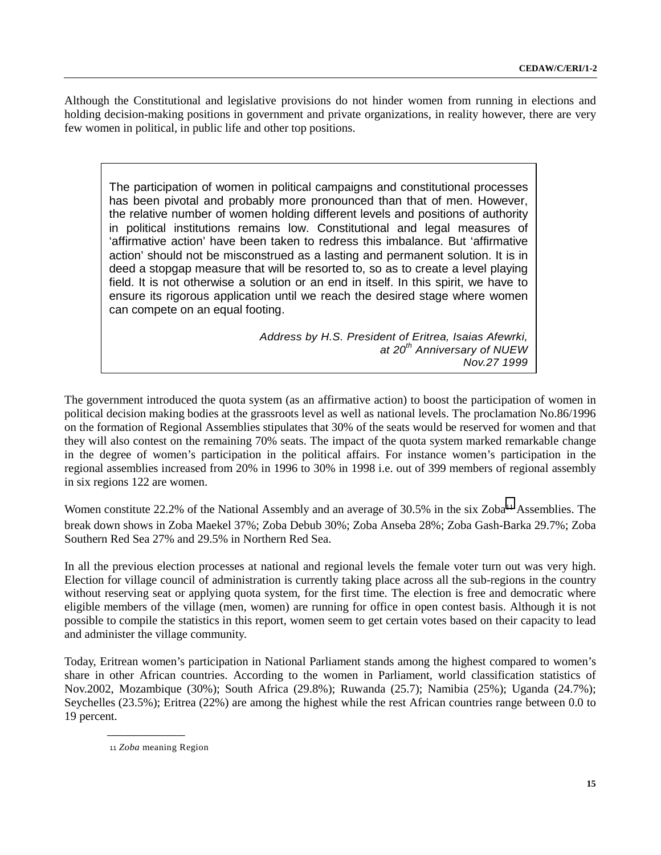Although the Constitutional and legislative provisions do not hinder women from running in elections and holding decision-making positions in government and private organizations, in reality however, there are very few women in political, in public life and other top positions.

The participation of women in political campaigns and constitutional processes has been pivotal and probably more pronounced than that of men. However, the relative number of women holding different levels and positions of authority in political institutions remains low. Constitutional and legal measures of 'affirmative action' have been taken to redress this imbalance. But 'affirmative action' should not be misconstrued as a lasting and permanent solution. It is in deed a stopgap measure that will be resorted to, so as to create a level playing field. It is not otherwise a solution or an end in itself. In this spirit, we have to ensure its rigorous application until we reach the desired stage where women can compete on an equal footing.

> *Address by H.S. President of Eritrea, Isaias Afewrki, at 20th Anniversary of NUEW Nov.27 1999*

The government introduced the quota system (as an affirmative action) to boost the participation of women in political decision making bodies at the grassroots level as well as national levels. The proclamation No.86/1996 on the formation of Regional Assemblies stipulates that 30% of the seats would be reserved for women and that they will also contest on the remaining 70% seats. The impact of the quota system marked remarkable change in the degree of women's participation in the political affairs. For instance women's participation in the regional assemblies increased from 20% in 1996 to 30% in 1998 i.e. out of 399 members of regional assembly in six regions 122 are women.

Women constitute 22.2% of the National Assembly and an average of 30.5% in the six Zoba<sup>11</sup> Assemblies. The break down shows in Zoba Maekel 37%; Zoba Debub 30%; Zoba Anseba 28%; Zoba Gash-Barka 29.7%; Zoba Southern Red Sea 27% and 29.5% in Northern Red Sea.

In all the previous election processes at national and regional levels the female voter turn out was very high. Election for village council of administration is currently taking place across all the sub-regions in the country without reserving seat or applying quota system, for the first time. The election is free and democratic where eligible members of the village (men, women) are running for office in open contest basis. Although it is not possible to compile the statistics in this report, women seem to get certain votes based on their capacity to lead and administer the village community.

Today, Eritrean women's participation in National Parliament stands among the highest compared to women's share in other African countries. According to the women in Parliament, world classification statistics of Nov.2002, Mozambique (30%); South Africa (29.8%); Ruwanda (25.7); Namibia (25%); Uganda (24.7%); Seychelles (23.5%); Eritrea (22%) are among the highest while the rest African countries range between 0.0 to 19 percent.

<sup>11</sup> *Zoba* meaning Region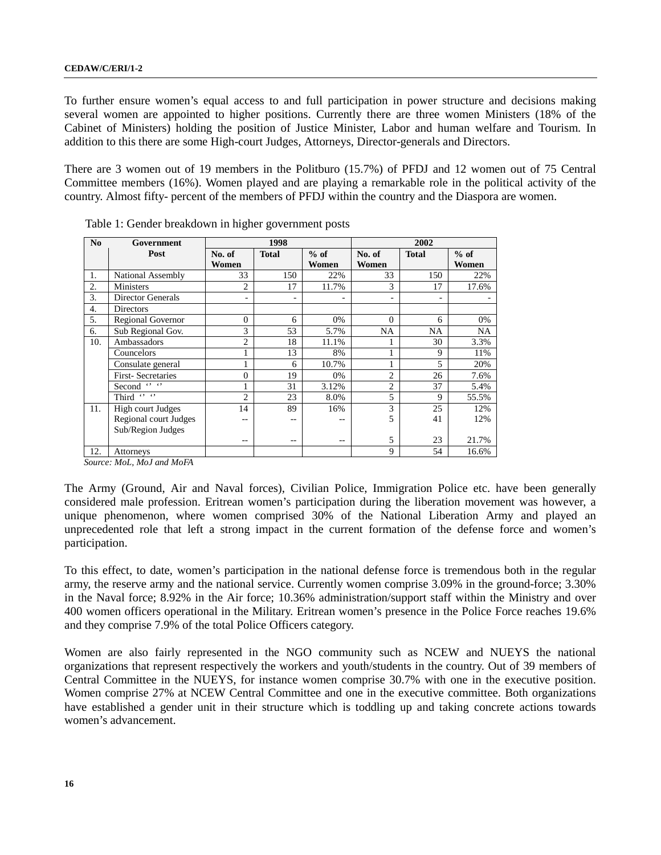To further ensure women's equal access to and full participation in power structure and decisions making several women are appointed to higher positions. Currently there are three women Ministers (18% of the Cabinet of Ministers) holding the position of Justice Minister, Labor and human welfare and Tourism. In addition to this there are some High-court Judges, Attorneys, Director-generals and Directors.

There are 3 women out of 19 members in the Politburo (15.7%) of PFDJ and 12 women out of 75 Central Committee members (16%). Women played and are playing a remarkable role in the political activity of the country. Almost fifty- percent of the members of PFDJ within the country and the Diaspora are women.

| N <sub>0</sub> | Government                |                 | 1998         |                 |                          | 2002         |                 |
|----------------|---------------------------|-----------------|--------------|-----------------|--------------------------|--------------|-----------------|
|                | Post                      | No. of<br>Women | <b>Total</b> | $%$ of<br>Women | No. of<br>Women          | <b>Total</b> | $%$ of<br>Women |
| 1.             | National Assembly         | 33              | 150          | 22%             | 33                       | 150          | 22%             |
| 2.             | <b>Ministers</b>          | $\overline{c}$  | 17           | 11.7%           | 3                        | 17           | 17.6%           |
| 3.             | Director Generals         | ۰               | ٠            |                 | $\overline{\phantom{0}}$ | ۰            |                 |
| 4.             | Directors                 |                 |              |                 |                          |              |                 |
| 5.             | Regional Governor         | $\overline{0}$  | 6            | 0%              | $\overline{0}$           | 6            | 0%              |
| 6.             | Sub Regional Gov.         | 3               | 53           | 5.7%            | NA                       | <b>NA</b>    | NA              |
| 10.            | Ambassadors               | $\overline{c}$  | 18           | 11.1%           |                          | 30           | 3.3%            |
|                | Councelors                |                 | 13           | 8%              |                          | 9            | 11%             |
|                | Consulate general         |                 | 6            | 10.7%           |                          | 5            | 20%             |
|                | <b>First-Secretaries</b>  | 0               | 19           | 0%              | $\overline{c}$           | 26           | 7.6%            |
|                | $69 - 69$<br>Second       |                 | 31           | 3.12%           | $\overline{c}$           | 37           | 5.4%            |
|                | Third $\overline{\cdots}$ | $\overline{c}$  | 23           | 8.0%            | 5                        | 9            | 55.5%           |
| 11.            | High court Judges         | 14              | 89           | 16%             | 3                        | 25           | 12%             |
|                | Regional court Judges     | --              | --           | --              | 5                        | 41           | 12%             |
|                | Sub/Region Judges         |                 |              |                 |                          |              |                 |
|                |                           | --              | --           | --              | 5                        | 23           | 21.7%           |
| 12.            | Attorneys                 |                 |              |                 | 9                        | 54           | 16.6%           |

Table 1: Gender breakdown in higher government posts

 *Source: MoL, MoJ and MoFA*

The Army (Ground, Air and Naval forces), Civilian Police, Immigration Police etc. have been generally considered male profession. Eritrean women's participation during the liberation movement was however, a unique phenomenon, where women comprised 30% of the National Liberation Army and played an unprecedented role that left a strong impact in the current formation of the defense force and women's participation.

To this effect, to date, women's participation in the national defense force is tremendous both in the regular army, the reserve army and the national service. Currently women comprise 3.09% in the ground-force; 3.30% in the Naval force; 8.92% in the Air force; 10.36% administration/support staff within the Ministry and over 400 women officers operational in the Military. Eritrean women's presence in the Police Force reaches 19.6% and they comprise 7.9% of the total Police Officers category.

Women are also fairly represented in the NGO community such as NCEW and NUEYS the national organizations that represent respectively the workers and youth/students in the country. Out of 39 members of Central Committee in the NUEYS, for instance women comprise 30.7% with one in the executive position. Women comprise 27% at NCEW Central Committee and one in the executive committee. Both organizations have established a gender unit in their structure which is toddling up and taking concrete actions towards women's advancement.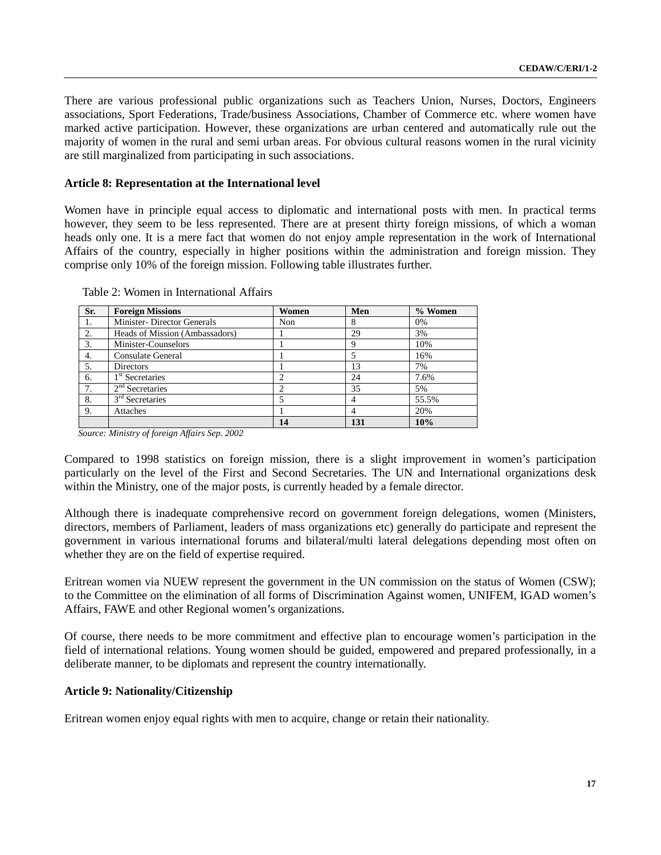There are various professional public organizations such as Teachers Union, Nurses, Doctors, Engineers associations, Sport Federations, Trade/business Associations, Chamber of Commerce etc. where women have marked active participation. However, these organizations are urban centered and automatically rule out the majority of women in the rural and semi urban areas. For obvious cultural reasons women in the rural vicinity are still marginalized from participating in such associations.

### **Article 8: Representation at the International level**

Women have in principle equal access to diplomatic and international posts with men. In practical terms however, they seem to be less represented. There are at present thirty foreign missions, of which a woman heads only one. It is a mere fact that women do not enjoy ample representation in the work of International Affairs of the country, especially in higher positions within the administration and foreign mission. They comprise only 10% of the foreign mission. Following table illustrates further.

| Sr. | <b>Foreign Missions</b>            | Women | Men | % Women |
|-----|------------------------------------|-------|-----|---------|
| 1.  | <b>Minister-</b> Director Generals | Non   | 8   | 0%      |
| 2.  | Heads of Mission (Ambassadors)     |       | 29  | 3%      |
| 3.  | Minister-Counselors                |       | 9   | 10%     |
| 4.  | Consulate General                  |       |     | 16%     |
| 5.  | <b>Directors</b>                   |       | 13  | 7%      |
| 6.  | 1 <sup>st</sup> Secretaries        |       | 24  | 7.6%    |
| 7.  | $2nd$ Secretaries                  |       | 35  | 5%      |
| 8.  | $3rd$ Secretaries                  |       | 4   | 55.5%   |
| 9.  | Attaches                           |       | 4   | 20%     |
|     |                                    | 14    | 131 | 10%     |

Table 2: Women in International Affairs

 *Source: Ministry of foreign Affairs Sep. 2002*

Compared to 1998 statistics on foreign mission, there is a slight improvement in women's participation particularly on the level of the First and Second Secretaries. The UN and International organizations desk within the Ministry, one of the major posts, is currently headed by a female director.

Although there is inadequate comprehensive record on government foreign delegations, women (Ministers, directors, members of Parliament, leaders of mass organizations etc) generally do participate and represent the government in various international forums and bilateral/multi lateral delegations depending most often on whether they are on the field of expertise required.

Eritrean women via NUEW represent the government in the UN commission on the status of Women (CSW); to the Committee on the elimination of all forms of Discrimination Against women, UNIFEM, IGAD women's Affairs, FAWE and other Regional women's organizations.

Of course, there needs to be more commitment and effective plan to encourage women's participation in the field of international relations. Young women should be guided, empowered and prepared professionally, in a deliberate manner, to be diplomats and represent the country internationally.

### **Article 9: Nationality/Citizenship**

Eritrean women enjoy equal rights with men to acquire, change or retain their nationality.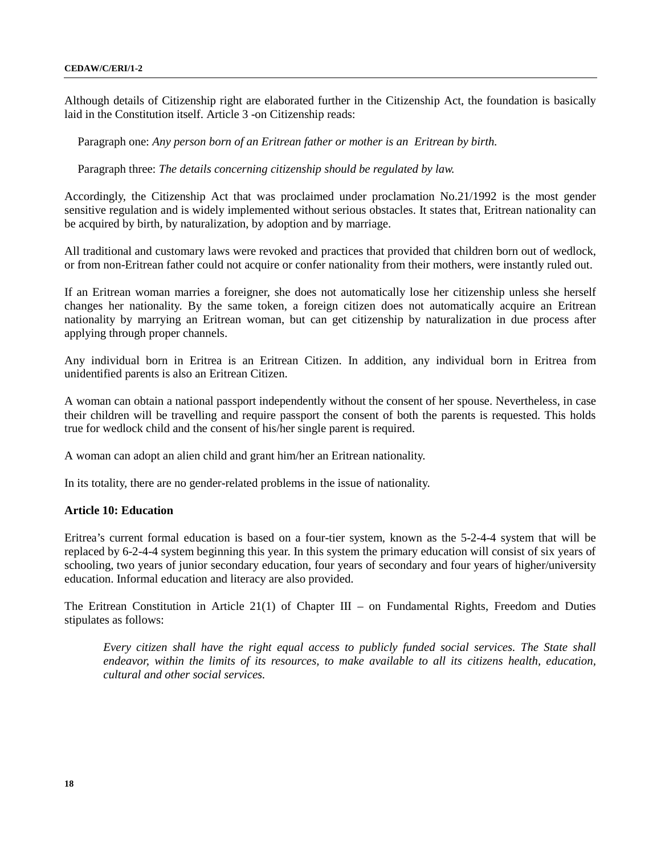Although details of Citizenship right are elaborated further in the Citizenship Act, the foundation is basically laid in the Constitution itself. Article 3 -on Citizenship reads:

Paragraph one: *Any person born of an Eritrean father or mother is an Eritrean by birth.*

Paragraph three: *The details concerning citizenship should be regulated by law.*

Accordingly, the Citizenship Act that was proclaimed under proclamation No.21/1992 is the most gender sensitive regulation and is widely implemented without serious obstacles. It states that, Eritrean nationality can be acquired by birth, by naturalization, by adoption and by marriage.

All traditional and customary laws were revoked and practices that provided that children born out of wedlock, or from non-Eritrean father could not acquire or confer nationality from their mothers, were instantly ruled out.

If an Eritrean woman marries a foreigner, she does not automatically lose her citizenship unless she herself changes her nationality. By the same token, a foreign citizen does not automatically acquire an Eritrean nationality by marrying an Eritrean woman, but can get citizenship by naturalization in due process after applying through proper channels.

Any individual born in Eritrea is an Eritrean Citizen. In addition, any individual born in Eritrea from unidentified parents is also an Eritrean Citizen.

A woman can obtain a national passport independently without the consent of her spouse. Nevertheless, in case their children will be travelling and require passport the consent of both the parents is requested. This holds true for wedlock child and the consent of his/her single parent is required.

A woman can adopt an alien child and grant him/her an Eritrean nationality.

In its totality, there are no gender-related problems in the issue of nationality.

## **Article 10: Education**

Eritrea's current formal education is based on a four-tier system, known as the 5-2-4-4 system that will be replaced by 6-2-4-4 system beginning this year. In this system the primary education will consist of six years of schooling, two years of junior secondary education, four years of secondary and four years of higher/university education. Informal education and literacy are also provided.

The Eritrean Constitution in Article 21(1) of Chapter III – on Fundamental Rights, Freedom and Duties stipulates as follows:

*Every citizen shall have the right equal access to publicly funded social services. The State shall endeavor, within the limits of its resources, to make available to all its citizens health, education, cultural and other social services.*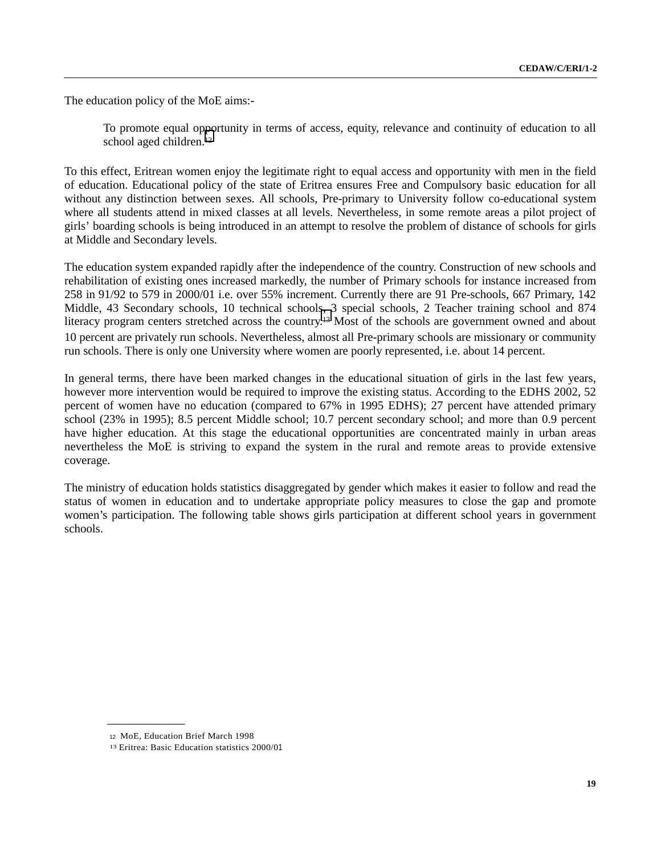The education policy of the MoE aims:-

To promote equal opportunity in terms of access, equity, relevance and continuity of education to all school aged children.<sup>12</sup>

To this effect, Eritrean women enjoy the legitimate right to equal access and opportunity with men in the field of education. Educational policy of the state of Eritrea ensures Free and Compulsory basic education for all without any distinction between sexes. All schools, Pre-primary to University follow co-educational system where all students attend in mixed classes at all levels. Nevertheless, in some remote areas a pilot project of girls' boarding schools is being introduced in an attempt to resolve the problem of distance of schools for girls at Middle and Secondary levels.

The education system expanded rapidly after the independence of the country. Construction of new schools and rehabilitation of existing ones increased markedly, the number of Primary schools for instance increased from 258 in 91/92 to 579 in 2000/01 i.e. over 55% increment. Currently there are 91 Pre-schools, 667 Primary, 142 Middle, 43 Secondary schools, 10 technical schools, 3 special schools, 2 Teacher training school and 874 literacy program centers stretched across the country.<sup>13</sup> Most of the schools are government owned and about 10 percent are privately run schools. Nevertheless, almost all Pre-primary schools are missionary or community run schools. There is only one University where women are poorly represented, i.e. about 14 percent.

In general terms, there have been marked changes in the educational situation of girls in the last few years, however more intervention would be required to improve the existing status. According to the EDHS 2002, 52 percent of women have no education (compared to 67% in 1995 EDHS); 27 percent have attended primary school (23% in 1995); 8.5 percent Middle school; 10.7 percent secondary school; and more than 0.9 percent have higher education. At this stage the educational opportunities are concentrated mainly in urban areas nevertheless the MoE is striving to expand the system in the rural and remote areas to provide extensive coverage.

The ministry of education holds statistics disaggregated by gender which makes it easier to follow and read the status of women in education and to undertake appropriate policy measures to close the gap and promote women's participation. The following table shows girls participation at different school years in government schools.

<sup>12</sup> MoE, Education Brief March 1998

<sup>13</sup> Eritrea: Basic Education statistics 2000/01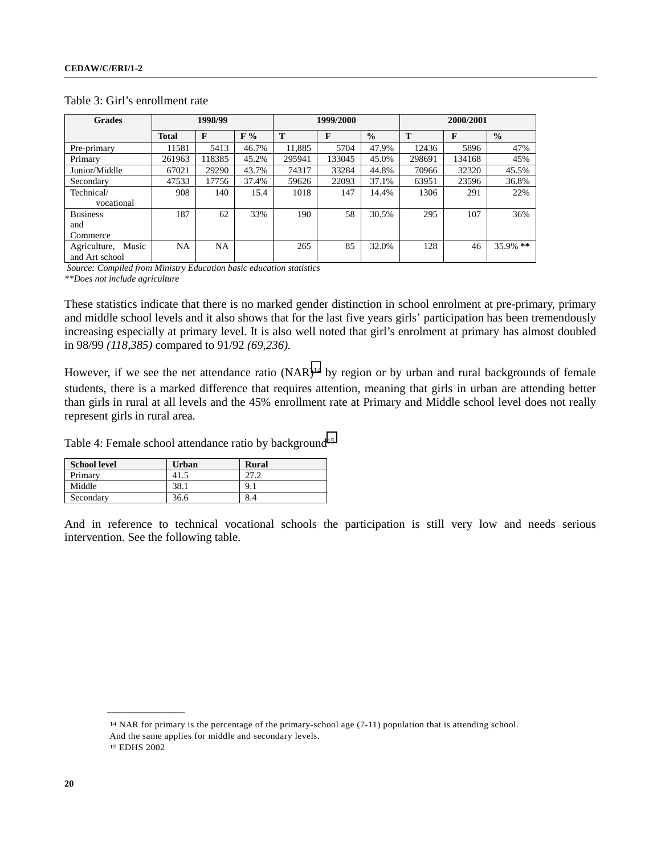| <b>Grades</b>         | 1998/99      |        |       | 1999/2000 |        |               | 2000/2001 |        |               |
|-----------------------|--------------|--------|-------|-----------|--------|---------------|-----------|--------|---------------|
|                       | <b>Total</b> | F      | F%    | T         | F      | $\frac{0}{0}$ | T         | F      | $\frac{0}{0}$ |
| Pre-primary           | 11581        | 5413   | 46.7% | 11.885    | 5704   | 47.9%         | 12436     | 5896   | 47%           |
| Primary               | 261963       | 118385 | 45.2% | 295941    | 133045 | 45.0%         | 298691    | 134168 | 45%           |
| Junior/Middle         | 67021        | 29290  | 43.7% | 74317     | 33284  | 44.8%         | 70966     | 32320  | 45.5%         |
| Secondary             | 47533        | 17756  | 37.4% | 59626     | 22093  | 37.1%         | 63951     | 23596  | 36.8%         |
| Technical/            | 908          | 140    | 15.4  | 1018      | 147    | 14.4%         | 1306      | 291    | 22%           |
| vocational            |              |        |       |           |        |               |           |        |               |
| <b>Business</b>       | 187          | 62     | 33%   | 190       | 58     | 30.5%         | 295       | 107    | 36%           |
| and                   |              |        |       |           |        |               |           |        |               |
| Commerce              |              |        |       |           |        |               |           |        |               |
| Music<br>Agriculture, | NA           | NA     |       | 265       | 85     | 32.0%         | 128       | 46     | $35.9\%$ **   |
| and Art school        |              |        |       |           |        |               |           |        |               |

### Table 3: Girl's enrollment rate

*Source: Compiled from Ministry Education basic education statistics*

*\*\*Does not include agriculture*

These statistics indicate that there is no marked gender distinction in school enrolment at pre-primary, primary and middle school levels and it also shows that for the last five years girls' participation has been tremendously increasing especially at primary level. It is also well noted that girl's enrolment at primary has almost doubled in 98/99 *(118,385)* compared to 91/92 *(69,236).*

However, if we see the net attendance ratio (NAR)<sup>14</sup> by region or by urban and rural backgrounds of female students, there is a marked difference that requires attention, meaning that girls in urban are attending better than girls in rural at all levels and the 45% enrollment rate at Primary and Middle school level does not really represent girls in rural area.

Table 4: Female school attendance ratio by background<sup>15</sup>

| <b>School level</b> | Urban | Rural    |
|---------------------|-------|----------|
| Primary             | 41.5  | 27.2     |
| Middle              | 38.1  | $9_{.1}$ |
| Secondary           | 36.6  | 8.4      |

And in reference to technical vocational schools the participation is still very low and needs serious intervention. See the following table.

14 NAR for primary is the percentage of the primary-school age (7-11) population that is attending school. And the same applies for middle and secondary levels. 15 EDHS 2002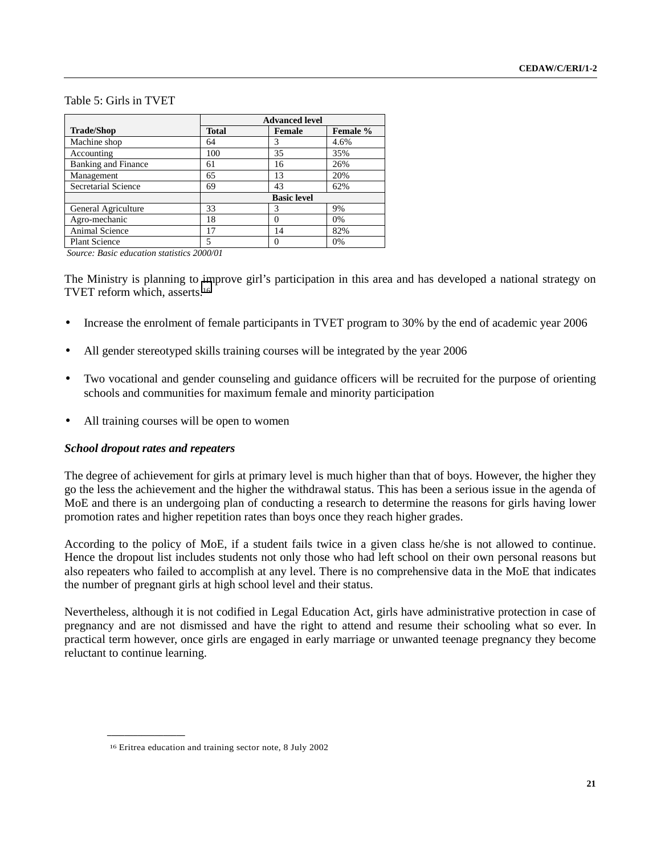## Table 5: Girls in TVET

|                            |              | <b>Advanced level</b> |          |  |  |  |  |
|----------------------------|--------------|-----------------------|----------|--|--|--|--|
| <b>Trade/Shop</b>          | <b>Total</b> | <b>Female</b>         | Female % |  |  |  |  |
| Machine shop               | 64           | 3                     | 4.6%     |  |  |  |  |
| Accounting                 | 100          | 35                    | 35%      |  |  |  |  |
| <b>Banking and Finance</b> | 61           | 16                    | 26%      |  |  |  |  |
| Management                 | 65           | 13                    | 20%      |  |  |  |  |
| Secretarial Science        | 69           | 43                    | 62%      |  |  |  |  |
|                            |              | <b>Basic level</b>    |          |  |  |  |  |
| General Agriculture        | 33           | 3                     | 9%       |  |  |  |  |
| Agro-mechanic              | 18           | $\theta$              | 0%       |  |  |  |  |
| Animal Science             | 17           | 14                    | 82%      |  |  |  |  |
| <b>Plant Science</b>       | 5            | $\theta$              | 0%       |  |  |  |  |

*Source: Basic education statistics 2000/01*

The Ministry is planning to improve girl's participation in this area and has developed a national strategy on TVET reform which, asserts.16

- Increase the enrolment of female participants in TVET program to 30% by the end of academic year 2006
- All gender stereotyped skills training courses will be integrated by the year 2006
- Two vocational and gender counseling and guidance officers will be recruited for the purpose of orienting schools and communities for maximum female and minority participation
- All training courses will be open to women

### *School dropout rates and repeaters*

**\_\_\_\_\_\_\_\_\_\_\_\_\_\_\_\_\_\_**

The degree of achievement for girls at primary level is much higher than that of boys. However, the higher they go the less the achievement and the higher the withdrawal status. This has been a serious issue in the agenda of MoE and there is an undergoing plan of conducting a research to determine the reasons for girls having lower promotion rates and higher repetition rates than boys once they reach higher grades.

According to the policy of MoE, if a student fails twice in a given class he/she is not allowed to continue. Hence the dropout list includes students not only those who had left school on their own personal reasons but also repeaters who failed to accomplish at any level. There is no comprehensive data in the MoE that indicates the number of pregnant girls at high school level and their status.

Nevertheless, although it is not codified in Legal Education Act, girls have administrative protection in case of pregnancy and are not dismissed and have the right to attend and resume their schooling what so ever. In practical term however, once girls are engaged in early marriage or unwanted teenage pregnancy they become reluctant to continue learning.

<sup>16</sup> Eritrea education and training sector note, 8 July 2002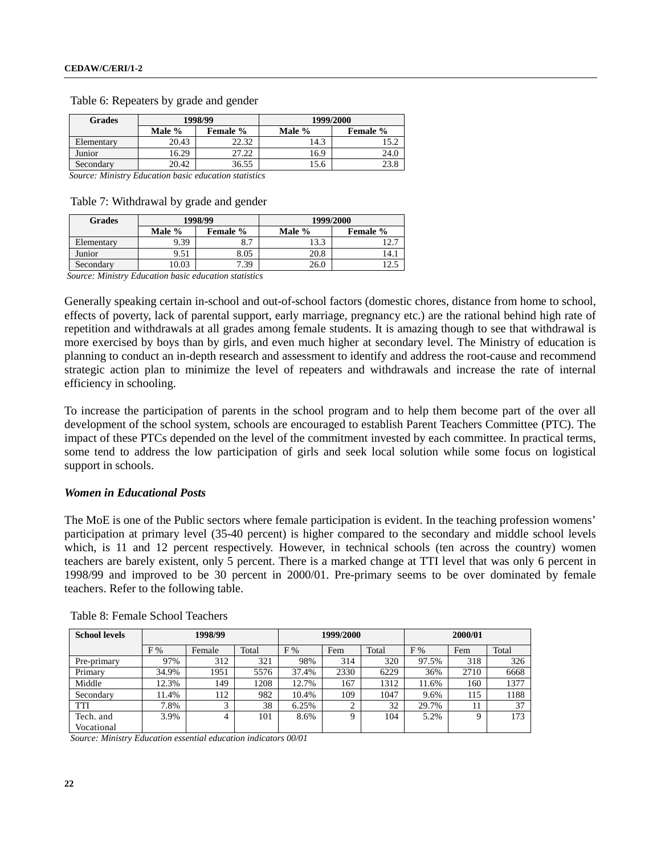| <b>Grades</b>                                        |                           | 1998/99 | 1999/2000 |          |  |  |
|------------------------------------------------------|---------------------------|---------|-----------|----------|--|--|
|                                                      | Male %<br><b>Female</b> % |         | Male %    | Female % |  |  |
| Elementary                                           | 20.43                     | 22.32   | 14.3      |          |  |  |
| Junior                                               | 16.29                     | 27.22   | 16.9      | 24.0     |  |  |
| 20.42<br>Secondary                                   |                           | 36.55   | 15.6      | 23.8     |  |  |
| Course Ministra Education basis education statistics |                           |         |           |          |  |  |

Table 6: Repeaters by grade and gender

*Source: Ministry Education basic education statistics*

Table 7: Withdrawal by grade and gender

| <b>Grades</b> |                           | 1998/99 | 1999/2000 |                 |  |  |
|---------------|---------------------------|---------|-----------|-----------------|--|--|
|               | Male %<br><b>Female</b> % |         | Male %    | <b>Female</b> % |  |  |
| Elementary    | 9.39                      | 8.7     | 13.3      | 12.7            |  |  |
| Junior        | 9.51                      | 8.05    | 20.8      | 14.1            |  |  |
| Secondary     | 0.03                      | 7.39    | 26.0      | 12.5            |  |  |

*Source: Ministry Education basic education statistics*

Generally speaking certain in-school and out-of-school factors (domestic chores, distance from home to school, effects of poverty, lack of parental support, early marriage, pregnancy etc.) are the rational behind high rate of repetition and withdrawals at all grades among female students. It is amazing though to see that withdrawal is more exercised by boys than by girls, and even much higher at secondary level. The Ministry of education is planning to conduct an in-depth research and assessment to identify and address the root-cause and recommend strategic action plan to minimize the level of repeaters and withdrawals and increase the rate of internal efficiency in schooling.

To increase the participation of parents in the school program and to help them become part of the over all development of the school system, schools are encouraged to establish Parent Teachers Committee (PTC). The impact of these PTCs depended on the level of the commitment invested by each committee. In practical terms, some tend to address the low participation of girls and seek local solution while some focus on logistical support in schools.

### *Women in Educational Posts*

The MoE is one of the Public sectors where female participation is evident. In the teaching profession womens' participation at primary level (35-40 percent) is higher compared to the secondary and middle school levels which, is 11 and 12 percent respectively. However, in technical schools (ten across the country) women teachers are barely existent, only 5 percent. There is a marked change at TTI level that was only 6 percent in 1998/99 and improved to be 30 percent in 2000/01. Pre-primary seems to be over dominated by female teachers. Refer to the following table.

| <b>School levels</b> | 1998/99 |        |       | 1999/2000 |                    |       | 2000/01 |      |       |  |
|----------------------|---------|--------|-------|-----------|--------------------|-------|---------|------|-------|--|
|                      | F%      | Female | Total | F%        | Fem                | Total | F%      | Fem  | Total |  |
| Pre-primary          | 97%     | 312    | 321   | 98%       | 314                | 320   | 97.5%   | 318  | 326   |  |
| Primary              | 34.9%   | 1951   | 5576  | 37.4%     | 2330               | 6229  | 36%     | 2710 | 6668  |  |
| Middle               | 12.3%   | 149    | 208   | 12.7%     | 167                | 1312  | 11.6%   | 160  | 1377  |  |
| Secondary            | 1.4%    | 112    | 982   | 10.4%     | 109                | 1047  | 9.6%    | 115  | 1188  |  |
| <b>TTI</b>           | 7.8%    |        | 38    | 6.25%     | $\mathcal{L}$<br>∠ | 32    | 29.7%   | 11   | 37    |  |
| Tech. and            | 3.9%    | 4      | 101   | 8.6%      | Q                  | 104   | 5.2%    | Q    | 173   |  |
| Vocational           |         |        |       |           |                    |       |         |      |       |  |

Table 8: Female School Teachers

*Source: Ministry Education essential education indicators 00/01*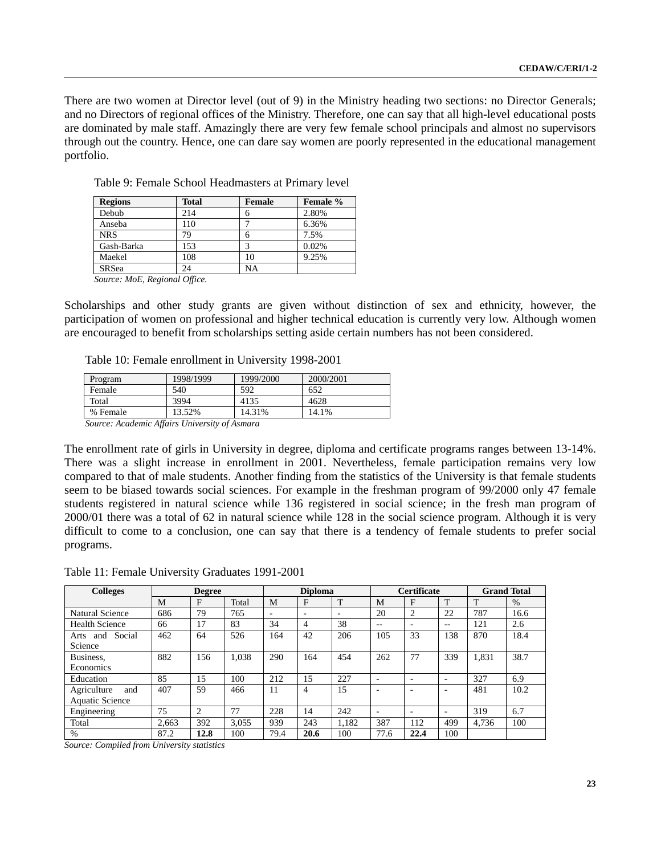There are two women at Director level (out of 9) in the Ministry heading two sections: no Director Generals; and no Directors of regional offices of the Ministry. Therefore, one can say that all high-level educational posts are dominated by male staff. Amazingly there are very few female school principals and almost no supervisors through out the country. Hence, one can dare say women are poorly represented in the educational management portfolio.

| <b>Regions</b>                                  | <b>Total</b> | <b>Female</b> | Female % |
|-------------------------------------------------|--------------|---------------|----------|
| Debub                                           | 214          | 6             | 2.80%    |
| Anseba                                          | 110          |               | 6.36%    |
| <b>NRS</b>                                      | 79           | 6             | 7.5%     |
| Gash-Barka                                      | 153          | 3             | 0.02%    |
| Maekel                                          | 108          | 10            | 9.25%    |
| <b>SRSea</b>                                    | 24           | NA            |          |
| <b>Contract Contract Contract Contract</b><br>. |              |               |          |

Table 9: Female School Headmasters at Primary level

 *Source: MoE, Regional Office.*

Scholarships and other study grants are given without distinction of sex and ethnicity, however, the participation of women on professional and higher technical education is currently very low. Although women are encouraged to benefit from scholarships setting aside certain numbers has not been considered.

Table 10: Female enrollment in University 1998-2001

| Program  | 1998/1999 | 1999/2000 | 2000/2001 |  |  |  |  |
|----------|-----------|-----------|-----------|--|--|--|--|
| Female   | 540       | 592       | 652       |  |  |  |  |
| Total    | 3994      | 4135      | 4628      |  |  |  |  |
| % Female | 13.52%    | 14.31%    | 14.1%     |  |  |  |  |
|          |           |           |           |  |  |  |  |

*Source: Academic Affairs University of Asmara*

The enrollment rate of girls in University in degree, diploma and certificate programs ranges between 13-14%. There was a slight increase in enrollment in 2001. Nevertheless, female participation remains very low compared to that of male students. Another finding from the statistics of the University is that female students seem to be biased towards social sciences. For example in the freshman program of 99/2000 only 47 female students registered in natural science while 136 registered in social science; in the fresh man program of 2000/01 there was a total of 62 in natural science while 128 in the social science program. Although it is very difficult to come to a conclusion, one can say that there is a tendency of female students to prefer social programs.

Table 11: Female University Graduates 1991-2001

| <b>Colleges</b>                              | <b>Degree</b> |      |       | <b>Diploma</b> |                          |                          | <b>Certificate</b>       |                          | <b>Grand Total</b>       |       |      |
|----------------------------------------------|---------------|------|-------|----------------|--------------------------|--------------------------|--------------------------|--------------------------|--------------------------|-------|------|
|                                              | M             | F    | Total | M              | F                        | T                        | M                        | F                        | T                        | T     | $\%$ |
| Natural Science                              | 686           | 79   | 765   | ٠              | $\overline{\phantom{0}}$ | $\overline{\phantom{0}}$ | 20                       | 2                        | 22                       | 787   | 16.6 |
| Health Science                               | 66            | 17   | 83    | 34             | 4                        | 38                       | --                       | $\overline{\phantom{0}}$ | $- -$                    | 121   | 2.6  |
| Social<br>and<br>Arts<br>Science             | 462           | 64   | 526   | 164            | 42                       | 206                      | 105                      | 33                       | 138                      | 870   | 18.4 |
| Business,<br>Economics                       | 882           | 156  | 1.038 | 290            | 164                      | 454                      | 262                      | 77                       | 339                      | 1.831 | 38.7 |
| Education                                    | 85            | 15   | 100   | 212            | 15                       | 227                      | $\overline{\phantom{0}}$ | $\overline{\phantom{0}}$ | $\overline{\phantom{0}}$ | 327   | 6.9  |
| Agriculture<br>and<br><b>Aquatic Science</b> | 407           | 59   | 466   | 11             | 4                        | 15                       |                          |                          | $\overline{\phantom{0}}$ | 481   | 10.2 |
| Engineering                                  | 75            | 2    | 77    | 228            | 14                       | 242                      | $\overline{\phantom{0}}$ | $\overline{\phantom{a}}$ | $\overline{\phantom{0}}$ | 319   | 6.7  |
| Total                                        | 2.663         | 392  | 3.055 | 939            | 243                      | 1,182                    | 387                      | 112                      | 499                      | 4.736 | 100  |
| $\%$                                         | 87.2          | 12.8 | 100   | 79.4           | 20.6                     | 100                      | 77.6                     | 22.4                     | 100                      |       |      |

*Source: Compiled from University statistics*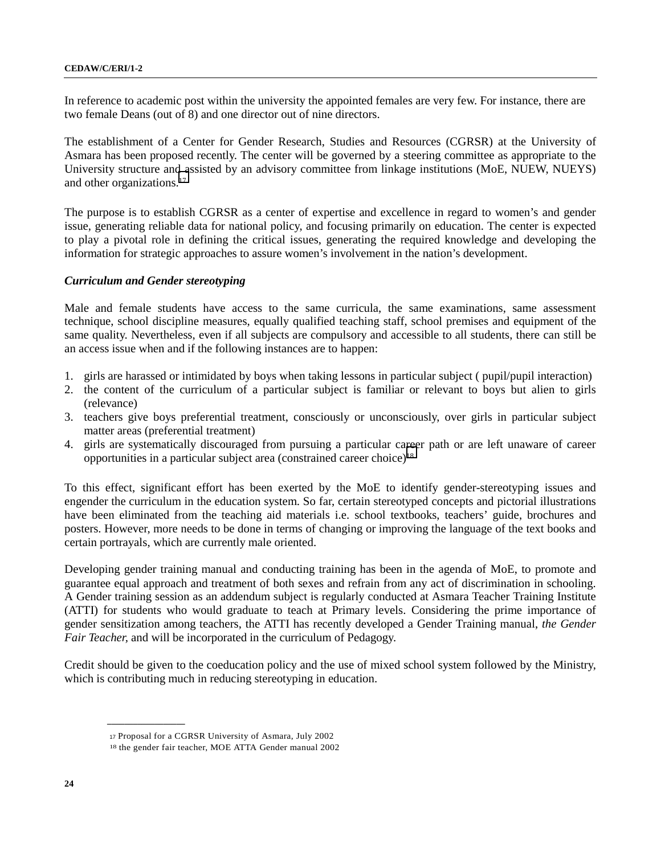In reference to academic post within the university the appointed females are very few. For instance, there are two female Deans (out of 8) and one director out of nine directors.

The establishment of a Center for Gender Research, Studies and Resources (CGRSR) at the University of Asmara has been proposed recently. The center will be governed by a steering committee as appropriate to the University structure and assisted by an advisory committee from linkage institutions (MoE, NUEW, NUEYS) and other organizations.17

The purpose is to establish CGRSR as a center of expertise and excellence in regard to women's and gender issue, generating reliable data for national policy, and focusing primarily on education. The center is expected to play a pivotal role in defining the critical issues, generating the required knowledge and developing the information for strategic approaches to assure women's involvement in the nation's development.

### *Curriculum and Gender stereotyping*

Male and female students have access to the same curricula, the same examinations, same assessment technique, school discipline measures, equally qualified teaching staff, school premises and equipment of the same quality. Nevertheless, even if all subjects are compulsory and accessible to all students, there can still be an access issue when and if the following instances are to happen:

- 1. girls are harassed or intimidated by boys when taking lessons in particular subject ( pupil/pupil interaction)
- 2. the content of the curriculum of a particular subject is familiar or relevant to boys but alien to girls (relevance)
- 3. teachers give boys preferential treatment, consciously or unconsciously, over girls in particular subject matter areas (preferential treatment)
- 4. girls are systematically discouraged from pursuing a particular career path or are left unaware of career opportunities in a particular subject area (constrained career choice)18

To this effect, significant effort has been exerted by the MoE to identify gender-stereotyping issues and engender the curriculum in the education system. So far, certain stereotyped concepts and pictorial illustrations have been eliminated from the teaching aid materials i.e. school textbooks, teachers' guide, brochures and posters. However, more needs to be done in terms of changing or improving the language of the text books and certain portrayals, which are currently male oriented.

Developing gender training manual and conducting training has been in the agenda of MoE, to promote and guarantee equal approach and treatment of both sexes and refrain from any act of discrimination in schooling. A Gender training session as an addendum subject is regularly conducted at Asmara Teacher Training Institute (ATTI) for students who would graduate to teach at Primary levels. Considering the prime importance of gender sensitization among teachers, the ATTI has recently developed a Gender Training manual, *the Gender Fair Teacher,* and will be incorporated in the curriculum of Pedagogy.

Credit should be given to the coeducation policy and the use of mixed school system followed by the Ministry, which is contributing much in reducing stereotyping in education.

<sup>17</sup> Proposal for a CGRSR University of Asmara, July 2002

<sup>18</sup> the gender fair teacher, MOE ATTA Gender manual 2002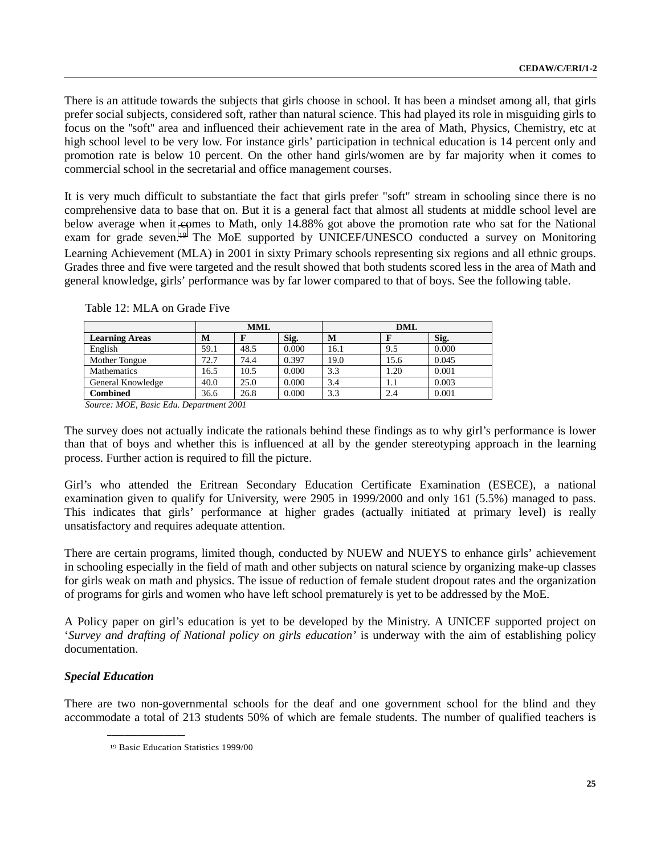There is an attitude towards the subjects that girls choose in school. It has been a mindset among all, that girls prefer social subjects, considered soft, rather than natural science. This had played its role in misguiding girls to focus on the ''soft'' area and influenced their achievement rate in the area of Math, Physics, Chemistry, etc at high school level to be very low. For instance girls' participation in technical education is 14 percent only and promotion rate is below 10 percent. On the other hand girls/women are by far majority when it comes to commercial school in the secretarial and office management courses.

It is very much difficult to substantiate the fact that girls prefer "soft" stream in schooling since there is no comprehensive data to base that on. But it is a general fact that almost all students at middle school level are below average when it comes to Math, only 14.88% got above the promotion rate who sat for the National exam for grade seven.19 The MoE supported by UNICEF/UNESCO conducted a survey on Monitoring Learning Achievement (MLA) in 2001 in sixty Primary schools representing six regions and all ethnic groups. Grades three and five were targeted and the result showed that both students scored less in the area of Math and general knowledge, girls' performance was by far lower compared to that of boys. See the following table.

|                       | <b>MML</b> |      |       |      |      |       |
|-----------------------|------------|------|-------|------|------|-------|
| <b>Learning Areas</b> | М          |      | Sig.  | М    | F    | Sig.  |
| English               | 59.1       | 48.5 | 0.000 | 16.1 | 9.5  | 0.000 |
| Mother Tongue         | 72.7       | 74.4 | 0.397 | 19.0 | 15.6 | 0.045 |
| <b>Mathematics</b>    | 16.5       | 10.5 | 0.000 | 3.3  | 1.20 | 0.001 |
| General Knowledge     | 40.0       | 25.0 | 0.000 | 3.4  | 1.1  | 0.003 |
| Combined              | 36.6       | 26.8 | 0.000 | 3.3  | 2.4  | 0.001 |

Table 12: MLA on Grade Five

*Source: MOE, Basic Edu. Department 2001*

The survey does not actually indicate the rationals behind these findings as to why girl's performance is lower than that of boys and whether this is influenced at all by the gender stereotyping approach in the learning process. Further action is required to fill the picture.

Girl's who attended the Eritrean Secondary Education Certificate Examination (ESECE), a national examination given to qualify for University, were 2905 in 1999/2000 and only 161 (5.5%) managed to pass. This indicates that girls' performance at higher grades (actually initiated at primary level) is really unsatisfactory and requires adequate attention.

There are certain programs, limited though, conducted by NUEW and NUEYS to enhance girls' achievement in schooling especially in the field of math and other subjects on natural science by organizing make-up classes for girls weak on math and physics. The issue of reduction of female student dropout rates and the organization of programs for girls and women who have left school prematurely is yet to be addressed by the MoE.

A Policy paper on girl's education is yet to be developed by the Ministry. A UNICEF supported project on '*Survey and drafting of National policy on girls education'* is underway with the aim of establishing policy documentation.

## *Special Education*

There are two non-governmental schools for the deaf and one government school for the blind and they accommodate a total of 213 students 50% of which are female students. The number of qualified teachers is

<sup>19</sup> Basic Education Statistics 1999/00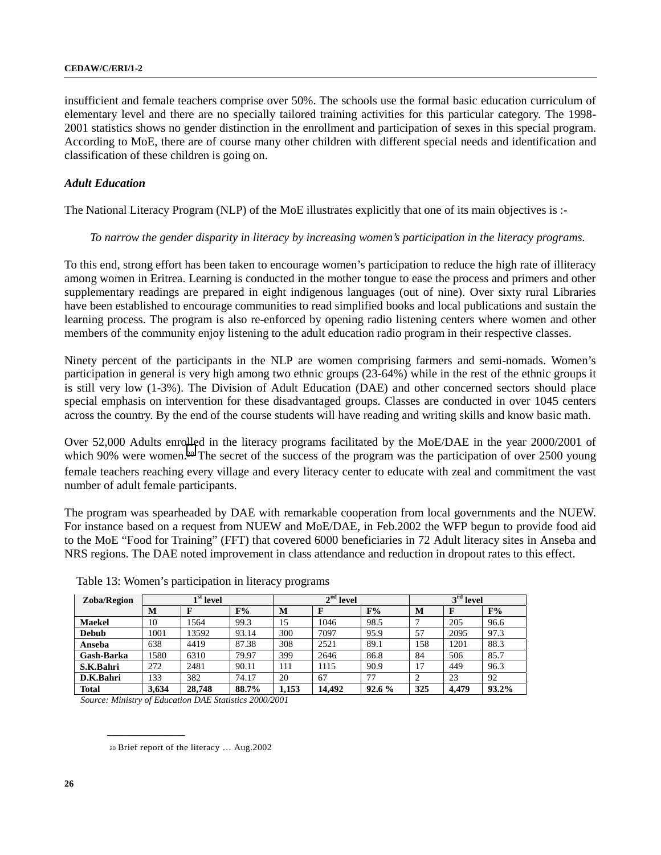insufficient and female teachers comprise over 50%. The schools use the formal basic education curriculum of elementary level and there are no specially tailored training activities for this particular category. The 1998- 2001 statistics shows no gender distinction in the enrollment and participation of sexes in this special program. According to MoE, there are of course many other children with different special needs and identification and classification of these children is going on.

## *Adult Education*

The National Literacy Program (NLP) of the MoE illustrates explicitly that one of its main objectives is :-

## *To narrow the gender disparity in literacy by increasing women's participation in the literacy programs.*

To this end, strong effort has been taken to encourage women's participation to reduce the high rate of illiteracy among women in Eritrea. Learning is conducted in the mother tongue to ease the process and primers and other supplementary readings are prepared in eight indigenous languages (out of nine). Over sixty rural Libraries have been established to encourage communities to read simplified books and local publications and sustain the learning process. The program is also re-enforced by opening radio listening centers where women and other members of the community enjoy listening to the adult education radio program in their respective classes.

Ninety percent of the participants in the NLP are women comprising farmers and semi-nomads. Women's participation in general is very high among two ethnic groups (23-64%) while in the rest of the ethnic groups it is still very low (1-3%). The Division of Adult Education (DAE) and other concerned sectors should place special emphasis on intervention for these disadvantaged groups. Classes are conducted in over 1045 centers across the country. By the end of the course students will have reading and writing skills and know basic math.

Over 52,000 Adults enrolled in the literacy programs facilitated by the MoE/DAE in the year 2000/2001 of which 90% were women.<sup>20</sup> The secret of the success of the program was the participation of over 2500 young female teachers reaching every village and every literacy center to educate with zeal and commitment the vast number of adult female participants.

The program was spearheaded by DAE with remarkable cooperation from local governments and the NUEW. For instance based on a request from NUEW and MoE/DAE, in Feb.2002 the WFP begun to provide food aid to the MoE "Food for Training" (FFT) that covered 6000 beneficiaries in 72 Adult literacy sites in Anseba and NRS regions. The DAE noted improvement in class attendance and reduction in dropout rates to this effect.

| Zoba/Region   | $1st$ level |        |       |       | $2nd$ level |       |     | $3rd$ level |       |  |
|---------------|-------------|--------|-------|-------|-------------|-------|-----|-------------|-------|--|
|               | M           |        | F%    | M     |             | F%    | M   | F           | F%    |  |
| <b>Maekel</b> | 10          | 1564   | 99.3  | .5    | 1046        | 98.5  |     | 205         | 96.6  |  |
| <b>Debub</b>  | 1001        | 13592  | 93.14 | 300   | 7097        | 95.9  | 57  | 2095        | 97.3  |  |
| Anseba        | 638         | 4419   | 87.38 | 308   | 2521        | 89.1  | 158 | 1201        | 88.3  |  |
| Gash-Barka    | 1580        | 6310   | 79.97 | 399   | 2646        | 86.8  | 84  | 506         | 85.7  |  |
| S.K.Bahri     | 272         | 2481   | 90.11 | 111   | 1115        | 90.9  | 17  | 449         | 96.3  |  |
| D.K.Bahri     | 133         | 382    | 74.17 | 20    | 67          | 77    |     | 23          | 92    |  |
| Total         | 3.634       | 28,748 | 88.7% | 1,153 | 14.492      | 92.6% | 325 | 4.479       | 93.2% |  |

Table 13: Women's participation in literacy programs

 *Source: Ministry of Education DAE Statistics 2000/2001*

<sup>20</sup> Brief report of the literacy … Aug.2002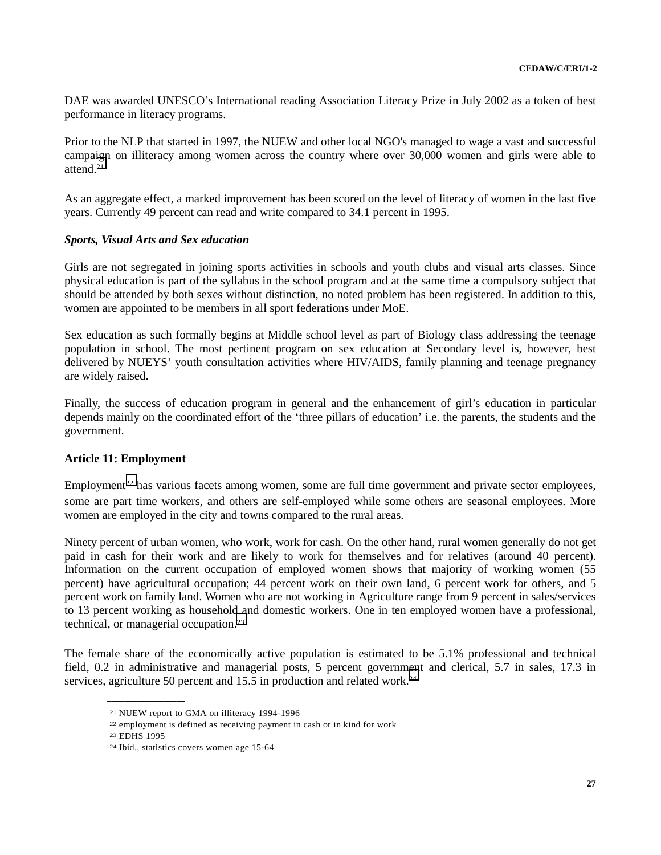DAE was awarded UNESCO's International reading Association Literacy Prize in July 2002 as a token of best performance in literacy programs.

Prior to the NLP that started in 1997, the NUEW and other local NGO's managed to wage a vast and successful campaign on illiteracy among women across the country where over 30,000 women and girls were able to attend.21

As an aggregate effect, a marked improvement has been scored on the level of literacy of women in the last five years. Currently 49 percent can read and write compared to 34.1 percent in 1995.

### *Sports, Visual Arts and Sex education*

Girls are not segregated in joining sports activities in schools and youth clubs and visual arts classes. Since physical education is part of the syllabus in the school program and at the same time a compulsory subject that should be attended by both sexes without distinction, no noted problem has been registered. In addition to this, women are appointed to be members in all sport federations under MoE.

Sex education as such formally begins at Middle school level as part of Biology class addressing the teenage population in school. The most pertinent program on sex education at Secondary level is, however, best delivered by NUEYS' youth consultation activities where HIV/AIDS, family planning and teenage pregnancy are widely raised.

Finally, the success of education program in general and the enhancement of girl's education in particular depends mainly on the coordinated effort of the 'three pillars of education' i.e. the parents, the students and the government.

### **Article 11: Employment**

Employment<sup>22</sup> has various facets among women, some are full time government and private sector employees, some are part time workers, and others are self-employed while some others are seasonal employees. More women are employed in the city and towns compared to the rural areas.

Ninety percent of urban women, who work, work for cash. On the other hand, rural women generally do not get paid in cash for their work and are likely to work for themselves and for relatives (around 40 percent). Information on the current occupation of employed women shows that majority of working women (55 percent) have agricultural occupation; 44 percent work on their own land, 6 percent work for others, and 5 percent work on family land. Women who are not working in Agriculture range from 9 percent in sales/services to 13 percent working as household and domestic workers. One in ten employed women have a professional, technical, or managerial occupation.23

The female share of the economically active population is estimated to be 5.1% professional and technical field, 0.2 in administrative and managerial posts, 5 percent government and clerical, 5.7 in sales, 17.3 in services, agriculture 50 percent and 15.5 in production and related work.<sup>24</sup>

<sup>21</sup> NUEW report to GMA on illiteracy 1994-1996

<sup>22</sup> employment is defined as receiving payment in cash or in kind for work

<sup>23</sup> EDHS 1995

<sup>24</sup> Ibid., statistics covers women age 15-64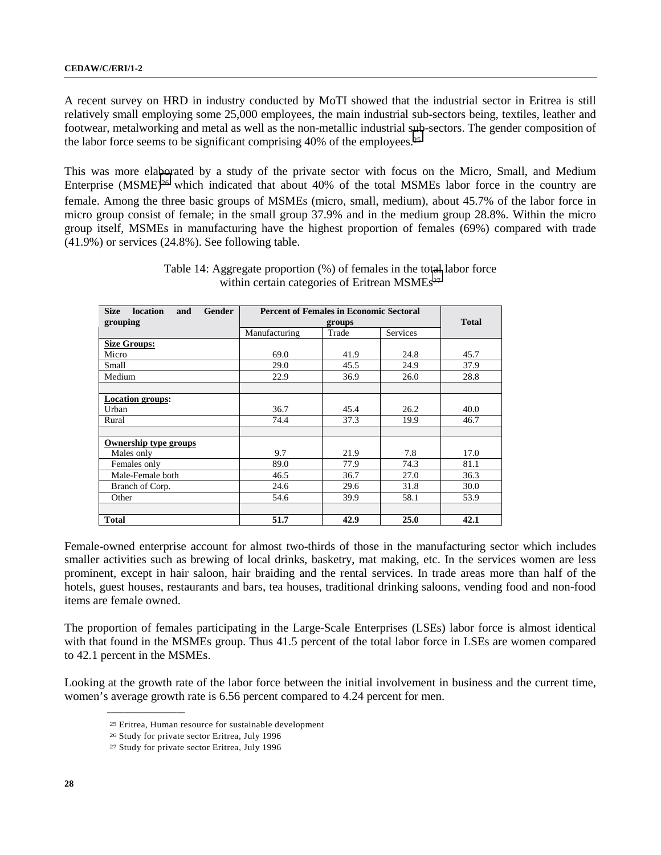A recent survey on HRD in industry conducted by MoTI showed that the industrial sector in Eritrea is still relatively small employing some 25,000 employees, the main industrial sub-sectors being, textiles, leather and footwear, metalworking and metal as well as the non-metallic industrial sub-sectors. The gender composition of the labor force seems to be significant comprising 40% of the employees.25

This was more elaborated by a study of the private sector with focus on the Micro, Small, and Medium Enterprise (MSME)<sup>26</sup> which indicated that about 40% of the total MSMEs labor force in the country are female. Among the three basic groups of MSMEs (micro, small, medium), about 45.7% of the labor force in micro group consist of female; in the small group 37.9% and in the medium group 28.8%. Within the micro group itself, MSMEs in manufacturing have the highest proportion of females (69%) compared with trade (41.9%) or services (24.8%). See following table.

| <b>Size</b><br>Gender<br>location<br>and | <b>Percent of Females in Economic Sectoral</b> |              |          |      |
|------------------------------------------|------------------------------------------------|--------------|----------|------|
| grouping                                 |                                                | <b>Total</b> |          |      |
|                                          | Manufacturing                                  | Trade        | Services |      |
| <b>Size Groups:</b>                      |                                                |              |          |      |
| Micro                                    | 69.0                                           | 41.9         | 24.8     | 45.7 |
| Small                                    | 29.0                                           | 45.5         | 24.9     | 37.9 |
| Medium                                   | 22.9                                           | 36.9         | 26.0     | 28.8 |
|                                          |                                                |              |          |      |
| <b>Location groups:</b>                  |                                                |              |          |      |
| Urban                                    | 36.7                                           | 45.4         | 26.2     | 40.0 |
| Rural                                    | 74.4                                           | 37.3         | 19.9     | 46.7 |
|                                          |                                                |              |          |      |
| <b>Ownership type groups</b>             |                                                |              |          |      |
| Males only                               | 9.7                                            | 21.9         | 7.8      | 17.0 |
| Females only                             | 89.0                                           | 77.9         | 74.3     | 81.1 |
| Male-Female both                         | 46.5                                           | 36.7         | 27.0     | 36.3 |
| Branch of Corp.                          | 24.6                                           | 29.6         | 31.8     | 30.0 |
| Other                                    | 54.6                                           | 39.9         | 58.1     | 53.9 |
|                                          |                                                |              |          |      |
| <b>Total</b>                             | 51.7                                           | 42.9         | 25.0     | 42.1 |

Table 14: Aggregate proportion (%) of females in the total labor force within certain categories of Eritrean MSMEs<sup>27</sup>

Female-owned enterprise account for almost two-thirds of those in the manufacturing sector which includes smaller activities such as brewing of local drinks, basketry, mat making, etc. In the services women are less prominent, except in hair saloon, hair braiding and the rental services. In trade areas more than half of the hotels, guest houses, restaurants and bars, tea houses, traditional drinking saloons, vending food and non-food items are female owned.

The proportion of females participating in the Large-Scale Enterprises (LSEs) labor force is almost identical with that found in the MSMEs group. Thus 41.5 percent of the total labor force in LSEs are women compared to 42.1 percent in the MSMEs.

Looking at the growth rate of the labor force between the initial involvement in business and the current time, women's average growth rate is 6.56 percent compared to 4.24 percent for men.

<sup>25</sup> Eritrea, Human resource for sustainable development

<sup>26</sup> Study for private sector Eritrea, July 1996

<sup>27</sup> Study for private sector Eritrea, July 1996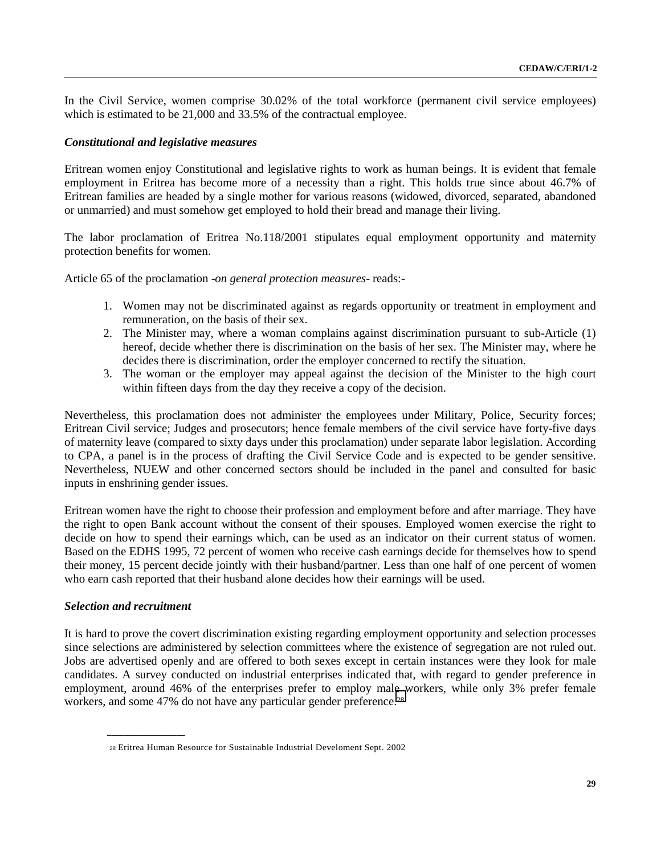In the Civil Service, women comprise 30.02% of the total workforce (permanent civil service employees) which is estimated to be 21,000 and 33.5% of the contractual employee.

### *Constitutional and legislative measures*

Eritrean women enjoy Constitutional and legislative rights to work as human beings. It is evident that female employment in Eritrea has become more of a necessity than a right. This holds true since about 46.7% of Eritrean families are headed by a single mother for various reasons (widowed, divorced, separated, abandoned or unmarried) and must somehow get employed to hold their bread and manage their living.

The labor proclamation of Eritrea No.118/2001 stipulates equal employment opportunity and maternity protection benefits for women.

Article 65 of the proclamation -*on general protection measures*- reads:-

- 1. Women may not be discriminated against as regards opportunity or treatment in employment and remuneration, on the basis of their sex.
- 2. The Minister may, where a woman complains against discrimination pursuant to sub-Article (1) hereof, decide whether there is discrimination on the basis of her sex. The Minister may, where he decides there is discrimination, order the employer concerned to rectify the situation.
- 3. The woman or the employer may appeal against the decision of the Minister to the high court within fifteen days from the day they receive a copy of the decision.

Nevertheless, this proclamation does not administer the employees under Military, Police, Security forces; Eritrean Civil service; Judges and prosecutors; hence female members of the civil service have forty-five days of maternity leave (compared to sixty days under this proclamation) under separate labor legislation. According to CPA, a panel is in the process of drafting the Civil Service Code and is expected to be gender sensitive. Nevertheless, NUEW and other concerned sectors should be included in the panel and consulted for basic inputs in enshrining gender issues.

Eritrean women have the right to choose their profession and employment before and after marriage. They have the right to open Bank account without the consent of their spouses. Employed women exercise the right to decide on how to spend their earnings which, can be used as an indicator on their current status of women. Based on the EDHS 1995, 72 percent of women who receive cash earnings decide for themselves how to spend their money, 15 percent decide jointly with their husband/partner. Less than one half of one percent of women who earn cash reported that their husband alone decides how their earnings will be used.

## *Selection and recruitment*

**\_\_\_\_\_\_\_\_\_\_\_\_\_\_\_\_\_\_**

It is hard to prove the covert discrimination existing regarding employment opportunity and selection processes since selections are administered by selection committees where the existence of segregation are not ruled out. Jobs are advertised openly and are offered to both sexes except in certain instances were they look for male candidates. A survey conducted on industrial enterprises indicated that, with regard to gender preference in employment, around 46% of the enterprises prefer to employ male workers, while only 3% prefer female workers, and some 47% do not have any particular gender preference.<sup>28</sup>

<sup>28</sup> Eritrea Human Resource for Sustainable Industrial Develoment Sept. 2002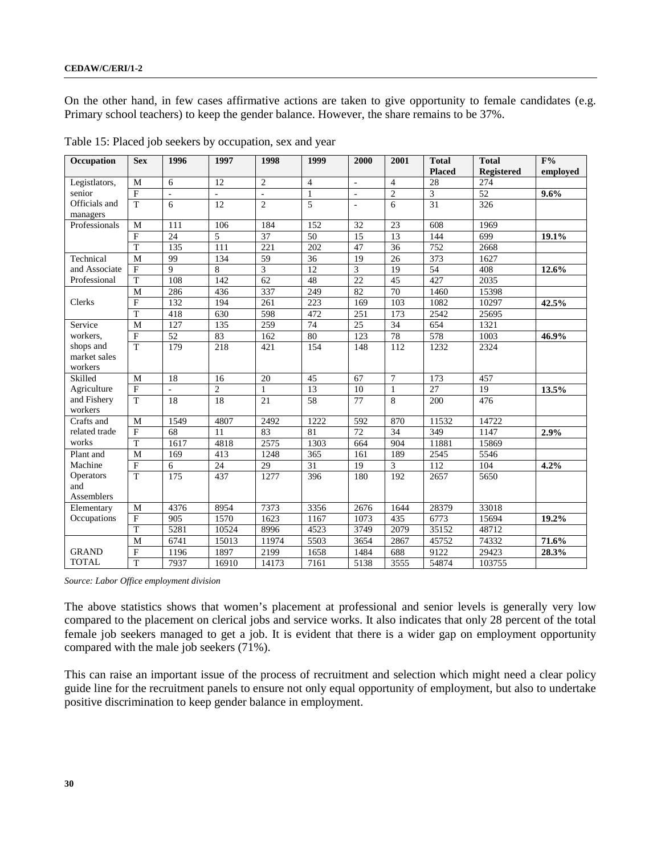On the other hand, in few cases affirmative actions are taken to give opportunity to female candidates (e.g. Primary school teachers) to keep the gender balance. However, the share remains to be 37%.

| Occupation    | <b>Sex</b>              | 1996                     | 1997            | 1998            | 1999             | 2000                | 2001           | <b>Total</b>     | <b>Total</b> | $\overline{F\%}$ |
|---------------|-------------------------|--------------------------|-----------------|-----------------|------------------|---------------------|----------------|------------------|--------------|------------------|
|               |                         |                          |                 |                 |                  |                     |                | <b>Placed</b>    | Registered   | emploved         |
| Legistlators, | M                       | 6                        | 12              | $\overline{2}$  | $\overline{4}$   | $\sim$              | $\overline{4}$ | 28               | 274          |                  |
| senior        | $\mathbf{F}$            | $\overline{\phantom{a}}$ | ÷.              | ä,              | $\mathbf{1}$     | $\bar{\phantom{a}}$ | $\mathfrak{2}$ | 3                | 52           | 9.6%             |
| Officials and | $\overline{T}$          | 6                        | $\overline{12}$ | $\overline{2}$  | 5                | $\bar{a}$           | 6              | 31               | 326          |                  |
| managers      |                         |                          |                 |                 |                  |                     |                |                  |              |                  |
| Professionals | M                       | 111                      | 106             | 184             | 152              | 32                  | 23             | 608              | 1969         |                  |
|               | $\mathbf F$             | 24                       | 5               | 37              | 50               | 15                  | 13             | 144              | 699          | 19.1%            |
|               | $\overline{\text{T}}$   | 135                      | 111             | 221             | 202              | 47                  | 36             | 752              | 2668         |                  |
| Technical     | $\overline{M}$          | 99                       | 134             | $\overline{59}$ | 36               | 19                  | 26             | 373              | 1627         |                  |
| and Associate | $\rm F$                 | $\mathbf{Q}$             | $\,8\,$         | 3               | 12               | 3                   | 19             | $\overline{54}$  | 408          | 12.6%            |
| Professional  | T                       | 108                      | 142             | 62              | 48               | $\overline{22}$     | 45             | 427              | 2035         |                  |
|               | M                       | 286                      | 436             | 337             | 249              | 82                  | 70             | 1460             | 15398        |                  |
| Clerks        | $\overline{F}$          | 132                      | 194             | 261             | $\overline{223}$ | 169                 | 103            | 1082             | 10297        | 42.5%            |
|               | $\overline{T}$          | 418                      | 630             | 598             | 472              | 251                 | 173            | 2542             | 25695        |                  |
| Service       | M                       | 127                      | 135             | 259             | 74               | 25                  | 34             | 654              | 1321         |                  |
| workers.      | $\overline{F}$          | $\overline{52}$          | 83              | 162             | 80               | 123                 | 78             | $\overline{578}$ | 1003         | 46.9%            |
| shops and     | T                       | 179                      | 218             | 421             | 154              | 148                 | 112            | 1232             | 2324         |                  |
| market sales  |                         |                          |                 |                 |                  |                     |                |                  |              |                  |
| workers       |                         |                          |                 |                 |                  |                     |                |                  |              |                  |
| Skilled       | M                       | 18                       | 16              | 20              | 45               | 67                  | $\overline{7}$ | 173              | 457          |                  |
| Agriculture   | $\rm F$                 | ÷                        | $\mathfrak{2}$  | 1               | 13               | 10                  | 1              | 27               | 19           | 13.5%            |
| and Fishery   | $\overline{T}$          | 18                       | 18              | 21              | 58               | 77                  | 8              | 200              | 476          |                  |
| workers       |                         |                          |                 |                 |                  |                     |                |                  |              |                  |
| Crafts and    | M                       | 1549                     | 4807            | 2492            | 1222             | 592                 | 870            | 11532            | 14722        |                  |
| related trade | $\rm F$                 | 68                       | 11              | 83              | 81               | 72                  | 34             | 349              | 1147         | 2.9%             |
| works         | $\overline{T}$          | 1617                     | 4818            | 2575            | 1303             | 664                 | 904            | 11881            | 15869        |                  |
| Plant and     | $\overline{M}$          | 169                      | 413             | 1248            | 365              | 161                 | 189            | 2545             | 5546         |                  |
| Machine       | $\overline{\mathrm{F}}$ | 6                        | $\overline{24}$ | $\overline{29}$ | $\overline{31}$  | 19                  | 3              | 112              | 104          | 4.2%             |
| Operators     | $\overline{T}$          | 175                      | 437             | 1277            | 396              | 180                 | 192            | 2657             | 5650         |                  |
| and           |                         |                          |                 |                 |                  |                     |                |                  |              |                  |
| Assemblers    |                         |                          |                 |                 |                  |                     |                |                  |              |                  |
| Elementary    | M                       | 4376                     | 8954            | 7373            | 3356             | 2676                | 1644           | 28379            | 33018        |                  |
| Occupations   | $\mathbf{F}$            | 905                      | 1570            | 1623            | 1167             | 1073                | 435            | 6773             | 15694        | 19.2%            |
|               | $\overline{T}$          | 5281                     | 10524           | 8996            | 4523             | 3749                | 2079           | 35152            | 48712        |                  |
|               | M                       | 6741                     | 15013           | 11974           | 5503             | 3654                | 2867           | 45752            | 74332        | 71.6%            |
| <b>GRAND</b>  | $\mathbf F$             | 1196                     | 1897            | 2199            | 1658             | 1484                | 688            | 9122             | 29423        | 28.3%            |
| <b>TOTAL</b>  | $\overline{T}$          | 7937                     | 16910           | 14173           | 7161             | 5138                | 3555           | 54874            | 103755       |                  |

Table 15: Placed job seekers by occupation, sex and year

*Source: Labor Office employment division*

The above statistics shows that women's placement at professional and senior levels is generally very low compared to the placement on clerical jobs and service works. It also indicates that only 28 percent of the total female job seekers managed to get a job. It is evident that there is a wider gap on employment opportunity compared with the male job seekers (71%).

This can raise an important issue of the process of recruitment and selection which might need a clear policy guide line for the recruitment panels to ensure not only equal opportunity of employment, but also to undertake positive discrimination to keep gender balance in employment.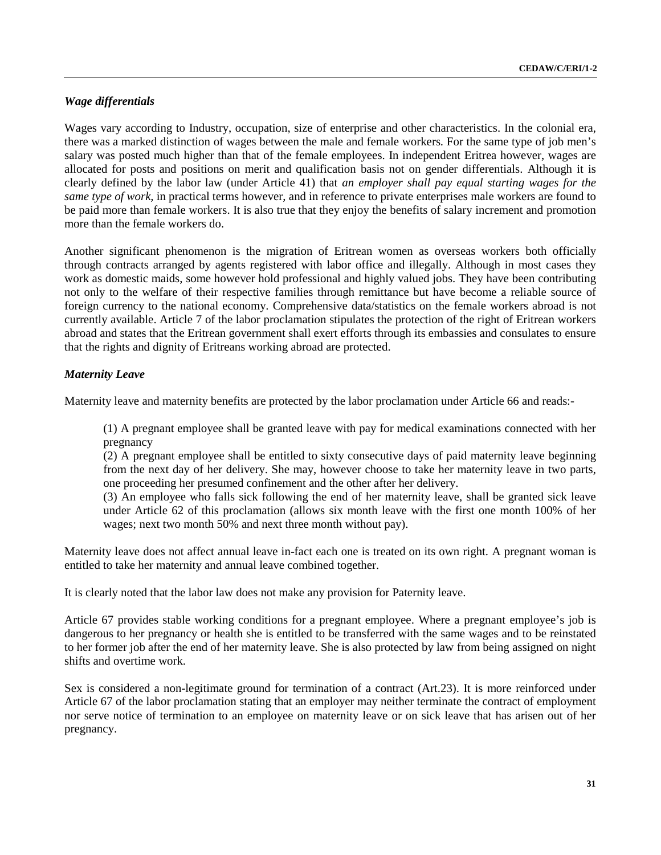## *Wage differentials*

Wages vary according to Industry, occupation, size of enterprise and other characteristics. In the colonial era, there was a marked distinction of wages between the male and female workers. For the same type of job men's salary was posted much higher than that of the female employees. In independent Eritrea however, wages are allocated for posts and positions on merit and qualification basis not on gender differentials. Although it is clearly defined by the labor law (under Article 41) that *an employer shall pay equal starting wages for the same type of work,* in practical terms however, and in reference to private enterprises male workers are found to be paid more than female workers. It is also true that they enjoy the benefits of salary increment and promotion more than the female workers do.

Another significant phenomenon is the migration of Eritrean women as overseas workers both officially through contracts arranged by agents registered with labor office and illegally. Although in most cases they work as domestic maids, some however hold professional and highly valued jobs. They have been contributing not only to the welfare of their respective families through remittance but have become a reliable source of foreign currency to the national economy. Comprehensive data/statistics on the female workers abroad is not currently available. Article 7 of the labor proclamation stipulates the protection of the right of Eritrean workers abroad and states that the Eritrean government shall exert efforts through its embassies and consulates to ensure that the rights and dignity of Eritreans working abroad are protected.

## *Maternity Leave*

Maternity leave and maternity benefits are protected by the labor proclamation under Article 66 and reads:-

(1) A pregnant employee shall be granted leave with pay for medical examinations connected with her pregnancy

(2) A pregnant employee shall be entitled to sixty consecutive days of paid maternity leave beginning from the next day of her delivery. She may, however choose to take her maternity leave in two parts, one proceeding her presumed confinement and the other after her delivery.

(3) An employee who falls sick following the end of her maternity leave, shall be granted sick leave under Article 62 of this proclamation (allows six month leave with the first one month 100% of her wages; next two month 50% and next three month without pay).

Maternity leave does not affect annual leave in-fact each one is treated on its own right. A pregnant woman is entitled to take her maternity and annual leave combined together.

It is clearly noted that the labor law does not make any provision for Paternity leave.

Article 67 provides stable working conditions for a pregnant employee. Where a pregnant employee's job is dangerous to her pregnancy or health she is entitled to be transferred with the same wages and to be reinstated to her former job after the end of her maternity leave. She is also protected by law from being assigned on night shifts and overtime work.

Sex is considered a non-legitimate ground for termination of a contract (Art.23). It is more reinforced under Article 67 of the labor proclamation stating that an employer may neither terminate the contract of employment nor serve notice of termination to an employee on maternity leave or on sick leave that has arisen out of her pregnancy.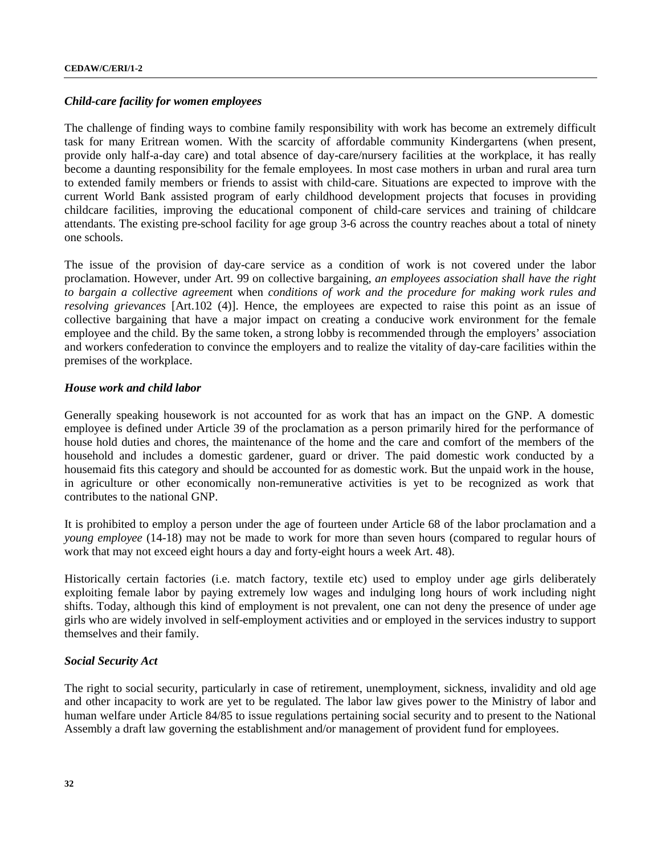## *Child-care facility for women employees*

The challenge of finding ways to combine family responsibility with work has become an extremely difficult task for many Eritrean women. With the scarcity of affordable community Kindergartens (when present, provide only half-a-day care) and total absence of day-care/nursery facilities at the workplace, it has really become a daunting responsibility for the female employees. In most case mothers in urban and rural area turn to extended family members or friends to assist with child-care. Situations are expected to improve with the current World Bank assisted program of early childhood development projects that focuses in providing childcare facilities, improving the educational component of child-care services and training of childcare attendants. The existing pre-school facility for age group 3-6 across the country reaches about a total of ninety one schools.

The issue of the provision of day-care service as a condition of work is not covered under the labor proclamation. However, under Art. 99 on collective bargaining, *an employees association shall have the right to bargain a collective agreemen*t when *conditions of work and the procedure for making work rules and resolving grievances* [Art.102 (4)]. Hence, the employees are expected to raise this point as an issue of collective bargaining that have a major impact on creating a conducive work environment for the female employee and the child. By the same token, a strong lobby is recommended through the employers' association and workers confederation to convince the employers and to realize the vitality of day-care facilities within the premises of the workplace.

## *House work and child labor*

Generally speaking housework is not accounted for as work that has an impact on the GNP. A domestic employee is defined under Article 39 of the proclamation as a person primarily hired for the performance of house hold duties and chores, the maintenance of the home and the care and comfort of the members of the household and includes a domestic gardener, guard or driver. The paid domestic work conducted by a housemaid fits this category and should be accounted for as domestic work. But the unpaid work in the house, in agriculture or other economically non-remunerative activities is yet to be recognized as work that contributes to the national GNP.

It is prohibited to employ a person under the age of fourteen under Article 68 of the labor proclamation and a *young employee* (14-18) may not be made to work for more than seven hours (compared to regular hours of work that may not exceed eight hours a day and forty-eight hours a week Art. 48).

Historically certain factories (i.e. match factory, textile etc) used to employ under age girls deliberately exploiting female labor by paying extremely low wages and indulging long hours of work including night shifts. Today, although this kind of employment is not prevalent, one can not deny the presence of under age girls who are widely involved in self-employment activities and or employed in the services industry to support themselves and their family.

## *Social Security Act*

The right to social security, particularly in case of retirement, unemployment, sickness, invalidity and old age and other incapacity to work are yet to be regulated. The labor law gives power to the Ministry of labor and human welfare under Article 84/85 to issue regulations pertaining social security and to present to the National Assembly a draft law governing the establishment and/or management of provident fund for employees.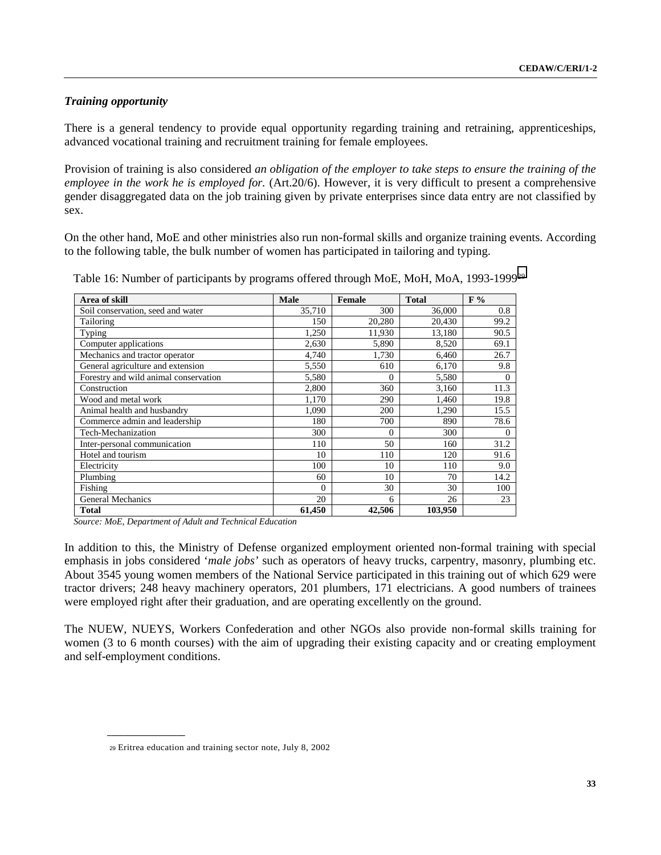## *Training opportunity*

There is a general tendency to provide equal opportunity regarding training and retraining, apprenticeships, advanced vocational training and recruitment training for female employees.

Provision of training is also considered *an obligation of the employer to take steps to ensure the training of the employee in the work he is employed for.* (Art.20/6). However, it is very difficult to present a comprehensive gender disaggregated data on the job training given by private enterprises since data entry are not classified by sex.

On the other hand, MoE and other ministries also run non-formal skills and organize training events. According to the following table, the bulk number of women has participated in tailoring and typing.

| Area of skill                         | Male     | <b>Female</b> | <b>Total</b> | F%       |
|---------------------------------------|----------|---------------|--------------|----------|
| Soil conservation, seed and water     | 35,710   | 300           | 36,000       | 0.8      |
| Tailoring                             | 150      | 20,280        | 20.430       | 99.2     |
| Typing                                | 1,250    | 11,930        | 13,180       | 90.5     |
| Computer applications                 | 2,630    | 5,890         | 8,520        | 69.1     |
| Mechanics and tractor operator        | 4,740    | 1,730         | 6,460        | 26.7     |
| General agriculture and extension     | 5,550    | 610           | 6,170        | 9.8      |
| Forestry and wild animal conservation | 5,580    | $\Omega$      | 5,580        | $\Omega$ |
| Construction                          | 2,800    | 360           | 3,160        | 11.3     |
| Wood and metal work                   | 1,170    | 290           | 1,460        | 19.8     |
| Animal health and husbandry           | 1,090    | 200           | 1,290        | 15.5     |
| Commerce admin and leadership         | 180      | 700           | 890          | 78.6     |
| Tech-Mechanization                    | 300      | $\Omega$      | 300          | 0        |
| Inter-personal communication          | 110      | 50            | 160          | 31.2     |
| Hotel and tourism                     | 10       | 110           | 120          | 91.6     |
| Electricity                           | 100      | 10            | 110          | 9.0      |
| Plumbing                              | 60       | 10            | 70           | 14.2     |
| Fishing                               | $\Omega$ | 30            | 30           | 100      |
| <b>General Mechanics</b>              | 20       | 6             | 26           | 23       |
| <b>Total</b>                          | 61,450   | 42,506        | 103,950      |          |

Table 16: Number of participants by programs offered through MoE, MoH, MoA, 1993-199929

 *Source: MoE, Department of Adult and Technical Education*

In addition to this, the Ministry of Defense organized employment oriented non-formal training with special emphasis in jobs considered '*male jobs'* such as operators of heavy trucks, carpentry, masonry, plumbing etc. About 3545 young women members of the National Service participated in this training out of which 629 were tractor drivers; 248 heavy machinery operators, 201 plumbers, 171 electricians. A good numbers of trainees were employed right after their graduation, and are operating excellently on the ground.

The NUEW, NUEYS, Workers Confederation and other NGOs also provide non-formal skills training for women (3 to 6 month courses) with the aim of upgrading their existing capacity and or creating employment and self-employment conditions.

<sup>29</sup> Eritrea education and training sector note, July 8, 2002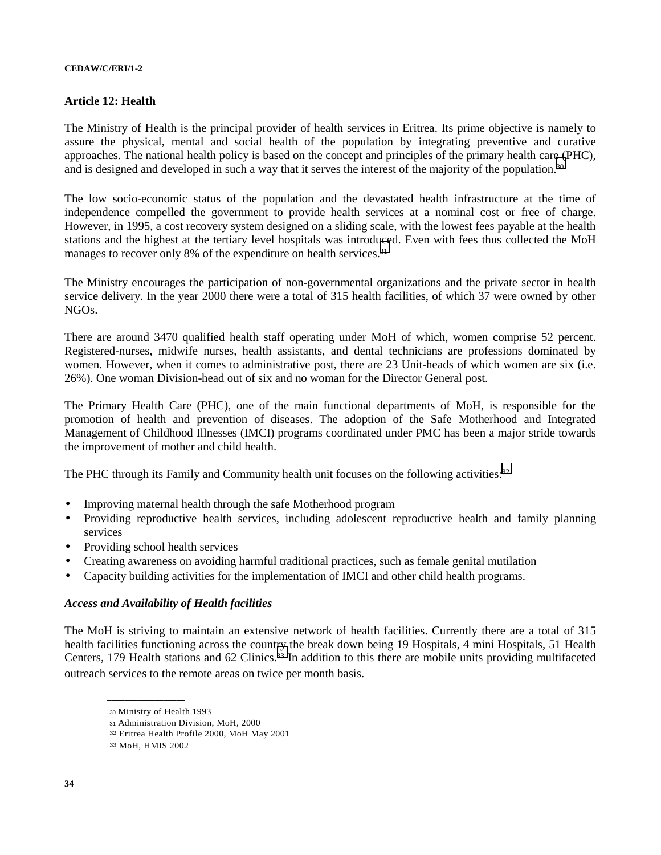## **Article 12: Health**

The Ministry of Health is the principal provider of health services in Eritrea. Its prime objective is namely to assure the physical, mental and social health of the population by integrating preventive and curative approaches. The national health policy is based on the concept and principles of the primary health care (PHC), and is designed and developed in such a way that it serves the interest of the majority of the population.30

The low socio-economic status of the population and the devastated health infrastructure at the time of independence compelled the government to provide health services at a nominal cost or free of charge. However, in 1995, a cost recovery system designed on a sliding scale, with the lowest fees payable at the health stations and the highest at the tertiary level hospitals was introduced. Even with fees thus collected the MoH manages to recover only 8% of the expenditure on health services.<sup>31</sup>

The Ministry encourages the participation of non-governmental organizations and the private sector in health service delivery. In the year 2000 there were a total of 315 health facilities, of which 37 were owned by other NGOs.

There are around 3470 qualified health staff operating under MoH of which, women comprise 52 percent. Registered-nurses, midwife nurses, health assistants, and dental technicians are professions dominated by women. However, when it comes to administrative post, there are 23 Unit-heads of which women are six (i.e. 26%). One woman Division-head out of six and no woman for the Director General post.

The Primary Health Care (PHC), one of the main functional departments of MoH, is responsible for the promotion of health and prevention of diseases. The adoption of the Safe Motherhood and Integrated Management of Childhood Illnesses (IMCI) programs coordinated under PMC has been a major stride towards the improvement of mother and child health.

The PHC through its Family and Community health unit focuses on the following activities:32

- Improving maternal health through the safe Motherhood program
- Providing reproductive health services, including adolescent reproductive health and family planning services
- Providing school health services
- Creating awareness on avoiding harmful traditional practices, such as female genital mutilation
- Capacity building activities for the implementation of IMCI and other child health programs.

#### *Access and Availability of Health facilities*

The MoH is striving to maintain an extensive network of health facilities. Currently there are a total of 315 health facilities functioning across the country the break down being 19 Hospitals, 4 mini Hospitals, 51 Health Centers, 179 Health stations and 62 Clinics.<sup>33</sup> In addition to this there are mobile units providing multifaceted outreach services to the remote areas on twice per month basis.

<sup>30</sup> Ministry of Health 1993

<sup>31</sup> Administration Division, MoH, 2000

<sup>32</sup> Eritrea Health Profile 2000, MoH May 2001

<sup>33</sup> MoH, HMIS 2002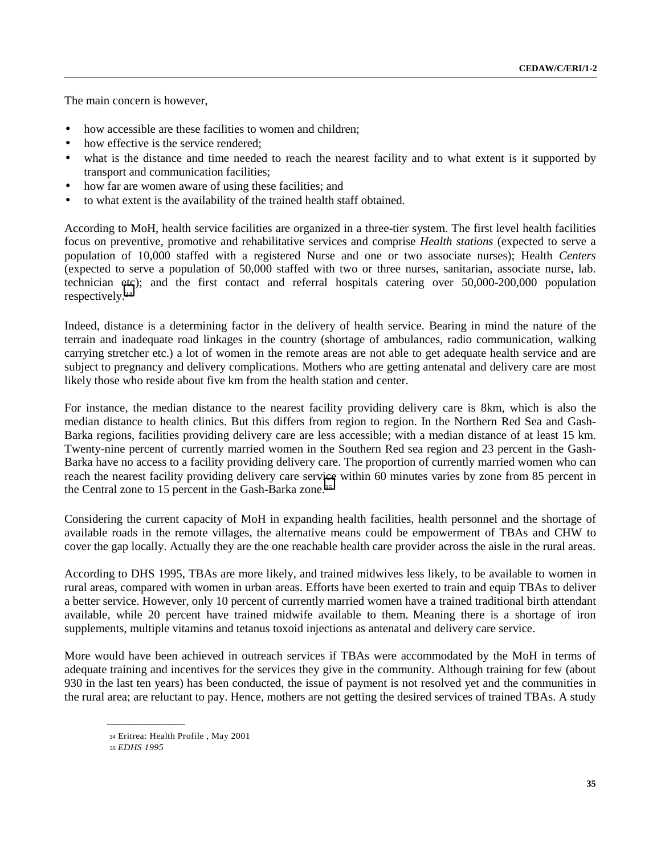The main concern is however,

- how accessible are these facilities to women and children:
- how effective is the service rendered:
- what is the distance and time needed to reach the nearest facility and to what extent is it supported by transport and communication facilities;
- how far are women aware of using these facilities; and
- to what extent is the availability of the trained health staff obtained.

According to MoH, health service facilities are organized in a three-tier system. The first level health facilities focus on preventive, promotive and rehabilitative services and comprise *Health stations* (expected to serve a population of 10,000 staffed with a registered Nurse and one or two associate nurses); Health *Centers* (expected to serve a population of 50,000 staffed with two or three nurses, sanitarian, associate nurse, lab. technician etc); and the first contact and referral hospitals catering over 50,000-200,000 population respectively.34

Indeed, distance is a determining factor in the delivery of health service. Bearing in mind the nature of the terrain and inadequate road linkages in the country (shortage of ambulances, radio communication, walking carrying stretcher etc.) a lot of women in the remote areas are not able to get adequate health service and are subject to pregnancy and delivery complications. Mothers who are getting antenatal and delivery care are most likely those who reside about five km from the health station and center.

For instance, the median distance to the nearest facility providing delivery care is 8km, which is also the median distance to health clinics. But this differs from region to region. In the Northern Red Sea and Gash-Barka regions, facilities providing delivery care are less accessible; with a median distance of at least 15 km. Twenty-nine percent of currently married women in the Southern Red sea region and 23 percent in the Gash-Barka have no access to a facility providing delivery care. The proportion of currently married women who can reach the nearest facility providing delivery care service within 60 minutes varies by zone from 85 percent in the Central zone to 15 percent in the Gash-Barka zone.35

Considering the current capacity of MoH in expanding health facilities, health personnel and the shortage of available roads in the remote villages, the alternative means could be empowerment of TBAs and CHW to cover the gap locally. Actually they are the one reachable health care provider across the aisle in the rural areas.

According to DHS 1995, TBAs are more likely, and trained midwives less likely, to be available to women in rural areas, compared with women in urban areas. Efforts have been exerted to train and equip TBAs to deliver a better service. However, only 10 percent of currently married women have a trained traditional birth attendant available, while 20 percent have trained midwife available to them. Meaning there is a shortage of iron supplements, multiple vitamins and tetanus toxoid injections as antenatal and delivery care service.

More would have been achieved in outreach services if TBAs were accommodated by the MoH in terms of adequate training and incentives for the services they give in the community. Although training for few (about 930 in the last ten years) has been conducted, the issue of payment is not resolved yet and the communities in the rural area; are reluctant to pay. Hence, mothers are not getting the desired services of trained TBAs. A study

35 *EDHS 1995*

<sup>34</sup> Eritrea: Health Profile , May 2001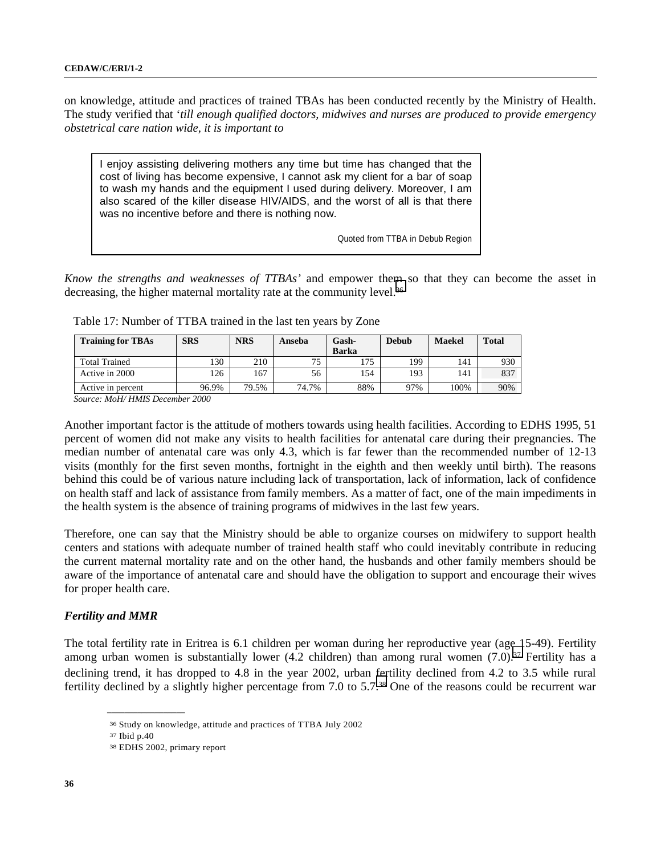on knowledge, attitude and practices of trained TBAs has been conducted recently by the Ministry of Health. The study verified that '*till enough qualified doctors, midwives and nurses are produced to provide emergency obstetrical care nation wide, it is important to*

I enjoy assisting delivering mothers any time but time has changed that the cost of living has become expensive, I cannot ask my client for a bar of soap to wash my hands and the equipment I used during delivery. Moreover, I am also scared of the killer disease HIV/AIDS, and the worst of all is that there was no incentive before and there is nothing now.

Quoted from TTBA in Debub Region

*Know the strengths and weaknesses of TTBAs'* and empower them so that they can become the asset in decreasing, the higher maternal mortality rate at the community level.<sup>36</sup>

| <b>Training for TBAs</b> | <b>SRS</b> | <b>NRS</b> | Anseba | Gash-<br><b>Barka</b> | <b>Debub</b> | <b>Maekel</b> | <b>Total</b> |
|--------------------------|------------|------------|--------|-----------------------|--------------|---------------|--------------|
| <b>Total Trained</b>     | 130        | 210        | 75     | 175                   | 199          | 141           | 930          |
| Active in 2000           | 126        | 167        | 56     | 154                   | 193          | 141           | 837          |
| Active in percent        | 96.9%      | 79.5%      | 74.7%  | 88%                   | 97%          | 100%          | 90%          |

Table 17: Number of TTBA trained in the last ten years by Zone

 *Source: MoH/ HMIS December 2000*

Another important factor is the attitude of mothers towards using health facilities. According to EDHS 1995, 51 percent of women did not make any visits to health facilities for antenatal care during their pregnancies. The median number of antenatal care was only 4.3, which is far fewer than the recommended number of 12-13 visits (monthly for the first seven months, fortnight in the eighth and then weekly until birth). The reasons behind this could be of various nature including lack of transportation, lack of information, lack of confidence on health staff and lack of assistance from family members. As a matter of fact, one of the main impediments in the health system is the absence of training programs of midwives in the last few years.

Therefore, one can say that the Ministry should be able to organize courses on midwifery to support health centers and stations with adequate number of trained health staff who could inevitably contribute in reducing the current maternal mortality rate and on the other hand, the husbands and other family members should be aware of the importance of antenatal care and should have the obligation to support and encourage their wives for proper health care.

### *Fertility and MMR*

The total fertility rate in Eritrea is 6.1 children per woman during her reproductive year (age 15-49). Fertility among urban women is substantially lower (4.2 children) than among rural women (7.0).37 Fertility has a declining trend, it has dropped to 4.8 in the year 2002, urban fertility declined from 4.2 to 3.5 while rural fertility declined by a slightly higher percentage from 7.0 to 5.7.38 One of the reasons could be recurrent war

<sup>36</sup> Study on knowledge, attitude and practices of TTBA July 2002

<sup>37</sup> Ibid p.40

<sup>38</sup> EDHS 2002, primary report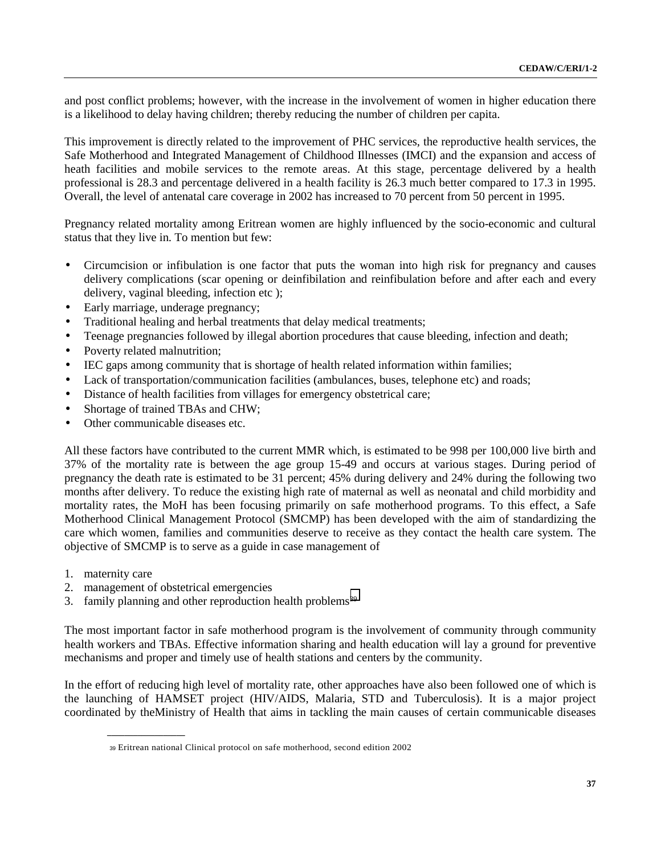and post conflict problems; however, with the increase in the involvement of women in higher education there is a likelihood to delay having children; thereby reducing the number of children per capita.

This improvement is directly related to the improvement of PHC services, the reproductive health services, the Safe Motherhood and Integrated Management of Childhood Illnesses (IMCI) and the expansion and access of heath facilities and mobile services to the remote areas. At this stage, percentage delivered by a health professional is 28.3 and percentage delivered in a health facility is 26.3 much better compared to 17.3 in 1995. Overall, the level of antenatal care coverage in 2002 has increased to 70 percent from 50 percent in 1995.

Pregnancy related mortality among Eritrean women are highly influenced by the socio-economic and cultural status that they live in. To mention but few:

- Circumcision or infibulation is one factor that puts the woman into high risk for pregnancy and causes delivery complications (scar opening or deinfibilation and reinfibulation before and after each and every delivery, vaginal bleeding, infection etc );
- Early marriage, underage pregnancy;
- Traditional healing and herbal treatments that delay medical treatments;
- Teenage pregnancies followed by illegal abortion procedures that cause bleeding, infection and death;
- Poverty related malnutrition;
- IEC gaps among community that is shortage of health related information within families;
- Lack of transportation/communication facilities (ambulances, buses, telephone etc) and roads;
- Distance of health facilities from villages for emergency obstetrical care;
- Shortage of trained TBAs and CHW;
- Other communicable diseases etc.

All these factors have contributed to the current MMR which, is estimated to be 998 per 100,000 live birth and 37% of the mortality rate is between the age group 15-49 and occurs at various stages. During period of pregnancy the death rate is estimated to be 31 percent; 45% during delivery and 24% during the following two months after delivery. To reduce the existing high rate of maternal as well as neonatal and child morbidity and mortality rates, the MoH has been focusing primarily on safe motherhood programs. To this effect, a Safe Motherhood Clinical Management Protocol (SMCMP) has been developed with the aim of standardizing the care which women, families and communities deserve to receive as they contact the health care system. The objective of SMCMP is to serve as a guide in case management of

- 1. maternity care
- 2. management of obstetrical emergencies

**\_\_\_\_\_\_\_\_\_\_\_\_\_\_\_\_\_\_**

3. family planning and other reproduction health problems<sup>39</sup>

The most important factor in safe motherhood program is the involvement of community through community health workers and TBAs. Effective information sharing and health education will lay a ground for preventive mechanisms and proper and timely use of health stations and centers by the community.

In the effort of reducing high level of mortality rate, other approaches have also been followed one of which is the launching of HAMSET project (HIV/AIDS, Malaria, STD and Tuberculosis). It is a major project coordinated by theMinistry of Health that aims in tackling the main causes of certain communicable diseases

<sup>39</sup> Eritrean national Clinical protocol on safe motherhood, second edition 2002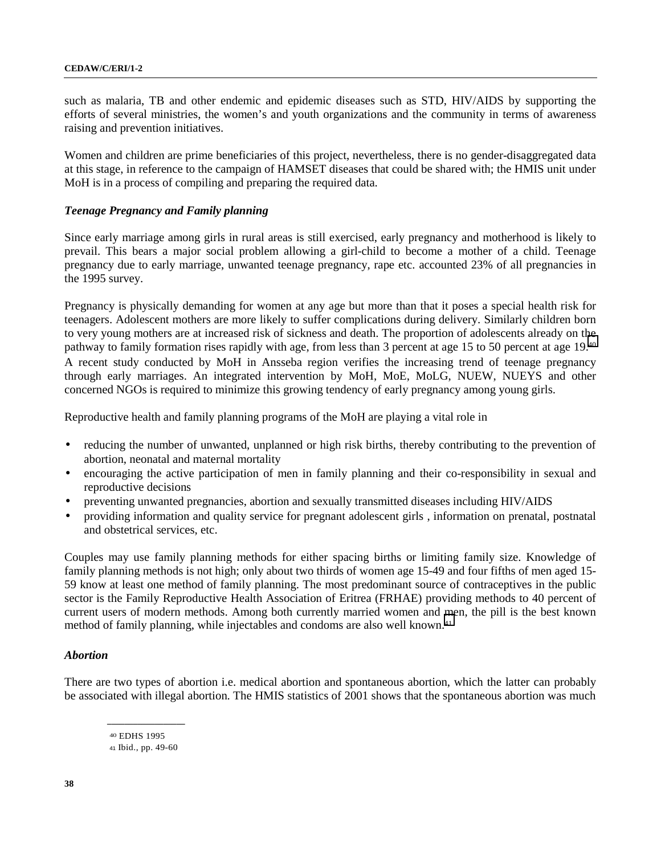such as malaria, TB and other endemic and epidemic diseases such as STD, HIV/AIDS by supporting the efforts of several ministries, the women's and youth organizations and the community in terms of awareness raising and prevention initiatives.

Women and children are prime beneficiaries of this project, nevertheless, there is no gender-disaggregated data at this stage, in reference to the campaign of HAMSET diseases that could be shared with; the HMIS unit under MoH is in a process of compiling and preparing the required data.

### *Teenage Pregnancy and Family planning*

Since early marriage among girls in rural areas is still exercised, early pregnancy and motherhood is likely to prevail. This bears a major social problem allowing a girl-child to become a mother of a child. Teenage pregnancy due to early marriage, unwanted teenage pregnancy, rape etc. accounted 23% of all pregnancies in the 1995 survey.

Pregnancy is physically demanding for women at any age but more than that it poses a special health risk for teenagers. Adolescent mothers are more likely to suffer complications during delivery. Similarly children born to very young mothers are at increased risk of sickness and death. The proportion of adolescents already on the pathway to family formation rises rapidly with age, from less than 3 percent at age 15 to 50 percent at age 19.40 A recent study conducted by MoH in Ansseba region verifies the increasing trend of teenage pregnancy through early marriages. An integrated intervention by MoH, MoE, MoLG, NUEW, NUEYS and other concerned NGOs is required to minimize this growing tendency of early pregnancy among young girls.

Reproductive health and family planning programs of the MoH are playing a vital role in

- reducing the number of unwanted, unplanned or high risk births, thereby contributing to the prevention of abortion, neonatal and maternal mortality
- encouraging the active participation of men in family planning and their co-responsibility in sexual and reproductive decisions
- preventing unwanted pregnancies, abortion and sexually transmitted diseases including HIV/AIDS
- providing information and quality service for pregnant adolescent girls , information on prenatal, postnatal and obstetrical services, etc.

Couples may use family planning methods for either spacing births or limiting family size. Knowledge of family planning methods is not high; only about two thirds of women age 15-49 and four fifths of men aged 15- 59 know at least one method of family planning. The most predominant source of contraceptives in the public sector is the Family Reproductive Health Association of Eritrea (FRHAE) providing methods to 40 percent of current users of modern methods. Among both currently married women and men, the pill is the best known method of family planning, while injectables and condoms are also well known.<sup>41</sup>

#### *Abortion*

There are two types of abortion i.e. medical abortion and spontaneous abortion, which the latter can probably be associated with illegal abortion. The HMIS statistics of 2001 shows that the spontaneous abortion was much

40 EDHS 1995 41 Ibid., pp. 49-60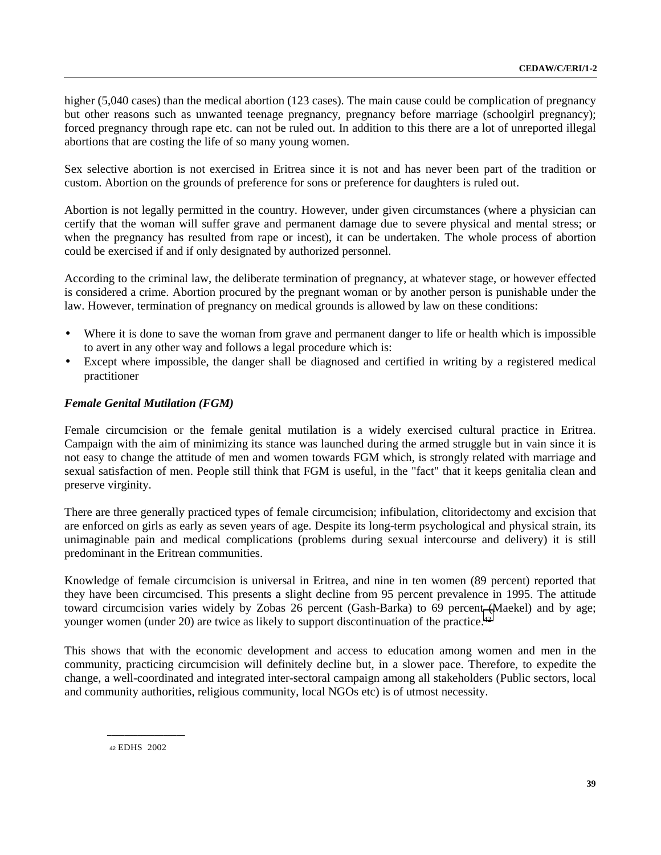higher (5,040 cases) than the medical abortion (123 cases). The main cause could be complication of pregnancy but other reasons such as unwanted teenage pregnancy, pregnancy before marriage (schoolgirl pregnancy); forced pregnancy through rape etc. can not be ruled out. In addition to this there are a lot of unreported illegal abortions that are costing the life of so many young women.

Sex selective abortion is not exercised in Eritrea since it is not and has never been part of the tradition or custom. Abortion on the grounds of preference for sons or preference for daughters is ruled out.

Abortion is not legally permitted in the country. However, under given circumstances (where a physician can certify that the woman will suffer grave and permanent damage due to severe physical and mental stress; or when the pregnancy has resulted from rape or incest), it can be undertaken. The whole process of abortion could be exercised if and if only designated by authorized personnel.

According to the criminal law, the deliberate termination of pregnancy, at whatever stage, or however effected is considered a crime. Abortion procured by the pregnant woman or by another person is punishable under the law. However, termination of pregnancy on medical grounds is allowed by law on these conditions:

- Where it is done to save the woman from grave and permanent danger to life or health which is impossible to avert in any other way and follows a legal procedure which is:
- Except where impossible, the danger shall be diagnosed and certified in writing by a registered medical practitioner

## *Female Genital Mutilation (FGM)*

Female circumcision or the female genital mutilation is a widely exercised cultural practice in Eritrea. Campaign with the aim of minimizing its stance was launched during the armed struggle but in vain since it is not easy to change the attitude of men and women towards FGM which, is strongly related with marriage and sexual satisfaction of men. People still think that FGM is useful, in the "fact" that it keeps genitalia clean and preserve virginity.

There are three generally practiced types of female circumcision; infibulation, clitoridectomy and excision that are enforced on girls as early as seven years of age. Despite its long-term psychological and physical strain, its unimaginable pain and medical complications (problems during sexual intercourse and delivery) it is still predominant in the Eritrean communities.

Knowledge of female circumcision is universal in Eritrea, and nine in ten women (89 percent) reported that they have been circumcised. This presents a slight decline from 95 percent prevalence in 1995. The attitude toward circumcision varies widely by Zobas 26 percent (Gash-Barka) to 69 percent (Maekel) and by age; younger women (under 20) are twice as likely to support discontinuation of the practice.<sup>42</sup>

This shows that with the economic development and access to education among women and men in the community, practicing circumcision will definitely decline but, in a slower pace. Therefore, to expedite the change, a well-coordinated and integrated inter-sectoral campaign among all stakeholders (Public sectors, local and community authorities, religious community, local NGOs etc) is of utmost necessity.

42 EDHS 2002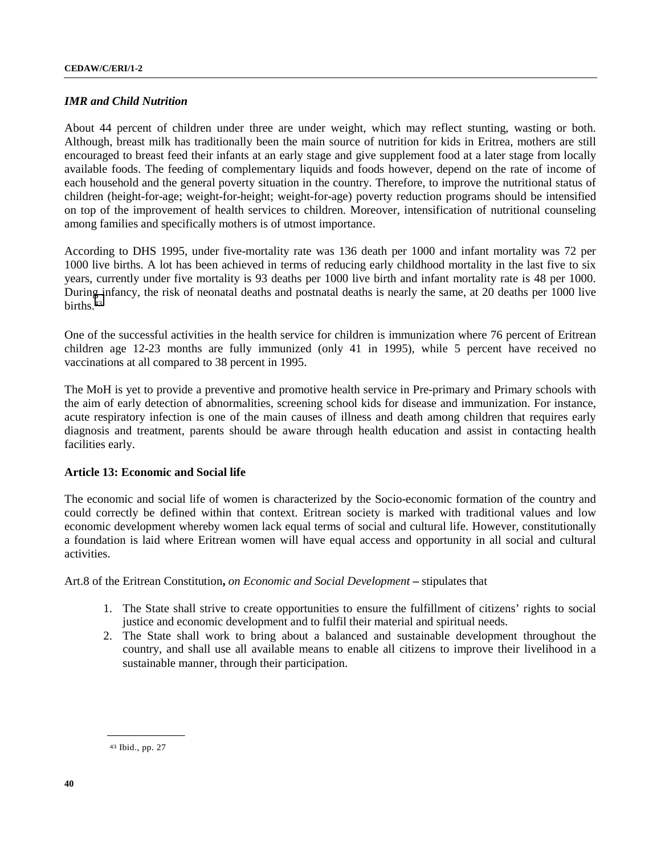## *IMR and Child Nutrition*

About 44 percent of children under three are under weight, which may reflect stunting, wasting or both. Although, breast milk has traditionally been the main source of nutrition for kids in Eritrea, mothers are still encouraged to breast feed their infants at an early stage and give supplement food at a later stage from locally available foods. The feeding of complementary liquids and foods however, depend on the rate of income of each household and the general poverty situation in the country. Therefore, to improve the nutritional status of children (height-for-age; weight-for-height; weight-for-age) poverty reduction programs should be intensified on top of the improvement of health services to children. Moreover, intensification of nutritional counseling among families and specifically mothers is of utmost importance.

According to DHS 1995, under five-mortality rate was 136 death per 1000 and infant mortality was 72 per 1000 live births. A lot has been achieved in terms of reducing early childhood mortality in the last five to six years, currently under five mortality is 93 deaths per 1000 live birth and infant mortality rate is 48 per 1000. During infancy, the risk of neonatal deaths and postnatal deaths is nearly the same, at 20 deaths per 1000 live births $43$ 

One of the successful activities in the health service for children is immunization where 76 percent of Eritrean children age 12-23 months are fully immunized (only 41 in 1995), while 5 percent have received no vaccinations at all compared to 38 percent in 1995.

The MoH is yet to provide a preventive and promotive health service in Pre-primary and Primary schools with the aim of early detection of abnormalities, screening school kids for disease and immunization. For instance, acute respiratory infection is one of the main causes of illness and death among children that requires early diagnosis and treatment, parents should be aware through health education and assist in contacting health facilities early.

### **Article 13: Economic and Social life**

The economic and social life of women is characterized by the Socio-economic formation of the country and could correctly be defined within that context. Eritrean society is marked with traditional values and low economic development whereby women lack equal terms of social and cultural life. However, constitutionally a foundation is laid where Eritrean women will have equal access and opportunity in all social and cultural activities.

Art.8 of the Eritrean Constitution**,** *on Economic and Social Development* **–** stipulates that

- 1. The State shall strive to create opportunities to ensure the fulfillment of citizens' rights to social justice and economic development and to fulfil their material and spiritual needs.
- 2. The State shall work to bring about a balanced and sustainable development throughout the country, and shall use all available means to enable all citizens to improve their livelihood in a sustainable manner, through their participation.

<sup>43</sup> Ibid., pp. 27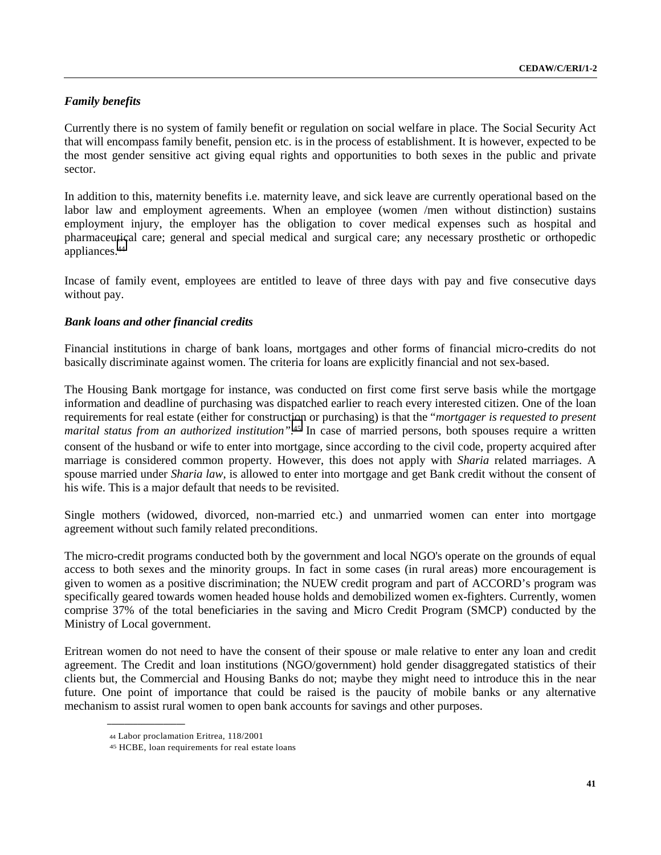## *Family benefits*

Currently there is no system of family benefit or regulation on social welfare in place. The Social Security Act that will encompass family benefit, pension etc. is in the process of establishment. It is however, expected to be the most gender sensitive act giving equal rights and opportunities to both sexes in the public and private sector.

In addition to this, maternity benefits i.e. maternity leave, and sick leave are currently operational based on the labor law and employment agreements. When an employee (women /men without distinction) sustains employment injury, the employer has the obligation to cover medical expenses such as hospital and pharmaceutical care; general and special medical and surgical care; any necessary prosthetic or orthopedic appliances.44

Incase of family event, employees are entitled to leave of three days with pay and five consecutive days without pay.

## *Bank loans and other financial credits*

Financial institutions in charge of bank loans, mortgages and other forms of financial micro-credits do not basically discriminate against women. The criteria for loans are explicitly financial and not sex-based.

The Housing Bank mortgage for instance, was conducted on first come first serve basis while the mortgage information and deadline of purchasing was dispatched earlier to reach every interested citizen. One of the loan requirements for real estate (either for construction or purchasing) is that the "*mortgager is requested to present marital status from an authorized institution".*45 In case of married persons, both spouses require a written consent of the husband or wife to enter into mortgage, since according to the civil code, property acquired after marriage is considered common property. However, this does not apply with *Sharia* related marriages. A spouse married under *Sharia law*, is allowed to enter into mortgage and get Bank credit without the consent of his wife. This is a major default that needs to be revisited.

Single mothers (widowed, divorced, non-married etc.) and unmarried women can enter into mortgage agreement without such family related preconditions.

The micro-credit programs conducted both by the government and local NGO's operate on the grounds of equal access to both sexes and the minority groups. In fact in some cases (in rural areas) more encouragement is given to women as a positive discrimination; the NUEW credit program and part of ACCORD's program was specifically geared towards women headed house holds and demobilized women ex-fighters. Currently, women comprise 37% of the total beneficiaries in the saving and Micro Credit Program (SMCP) conducted by the Ministry of Local government.

Eritrean women do not need to have the consent of their spouse or male relative to enter any loan and credit agreement. The Credit and loan institutions (NGO/government) hold gender disaggregated statistics of their clients but, the Commercial and Housing Banks do not; maybe they might need to introduce this in the near future. One point of importance that could be raised is the paucity of mobile banks or any alternative mechanism to assist rural women to open bank accounts for savings and other purposes.

<sup>44</sup> Labor proclamation Eritrea, 118/2001

<sup>45</sup> HCBE, loan requirements for real estate loans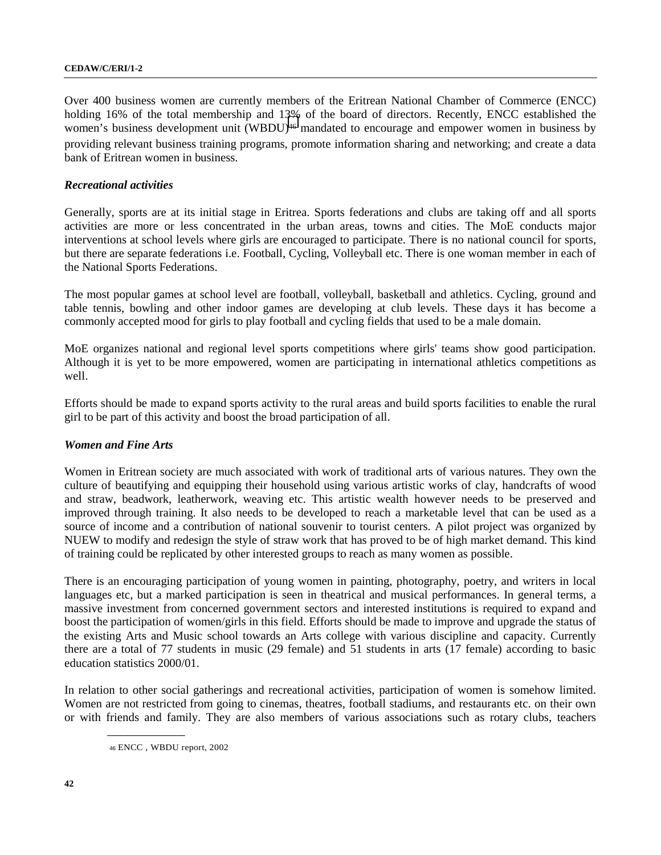#### **CEDAW/C/ERI/1-2**

Over 400 business women are currently members of the Eritrean National Chamber of Commerce (ENCC) holding 16% of the total membership and 13% of the board of directors. Recently, ENCC established the women's business development unit (WBDU)<sup>46</sup> mandated to encourage and empower women in business by providing relevant business training programs, promote information sharing and networking; and create a data bank of Eritrean women in business.

### *Recreational activities*

Generally, sports are at its initial stage in Eritrea. Sports federations and clubs are taking off and all sports activities are more or less concentrated in the urban areas, towns and cities. The MoE conducts major interventions at school levels where girls are encouraged to participate. There is no national council for sports, but there are separate federations i.e. Football, Cycling, Volleyball etc. There is one woman member in each of the National Sports Federations.

The most popular games at school level are football, volleyball, basketball and athletics. Cycling, ground and table tennis, bowling and other indoor games are developing at club levels. These days it has become a commonly accepted mood for girls to play football and cycling fields that used to be a male domain.

MoE organizes national and regional level sports competitions where girls' teams show good participation. Although it is yet to be more empowered, women are participating in international athletics competitions as well.

Efforts should be made to expand sports activity to the rural areas and build sports facilities to enable the rural girl to be part of this activity and boost the broad participation of all.

## *Women and Fine Arts*

Women in Eritrean society are much associated with work of traditional arts of various natures. They own the culture of beautifying and equipping their household using various artistic works of clay, handcrafts of wood and straw, beadwork, leatherwork, weaving etc. This artistic wealth however needs to be preserved and improved through training. It also needs to be developed to reach a marketable level that can be used as a source of income and a contribution of national souvenir to tourist centers. A pilot project was organized by NUEW to modify and redesign the style of straw work that has proved to be of high market demand. This kind of training could be replicated by other interested groups to reach as many women as possible.

There is an encouraging participation of young women in painting, photography, poetry, and writers in local languages etc, but a marked participation is seen in theatrical and musical performances. In general terms, a massive investment from concerned government sectors and interested institutions is required to expand and boost the participation of women/girls in this field. Efforts should be made to improve and upgrade the status of the existing Arts and Music school towards an Arts college with various discipline and capacity. Currently there are a total of 77 students in music (29 female) and 51 students in arts (17 female) according to basic education statistics 2000/01.

In relation to other social gatherings and recreational activities, participation of women is somehow limited. Women are not restricted from going to cinemas, theatres, football stadiums, and restaurants etc. on their own or with friends and family. They are also members of various associations such as rotary clubs, teachers

<sup>46</sup> ENCC , WBDU report, 2002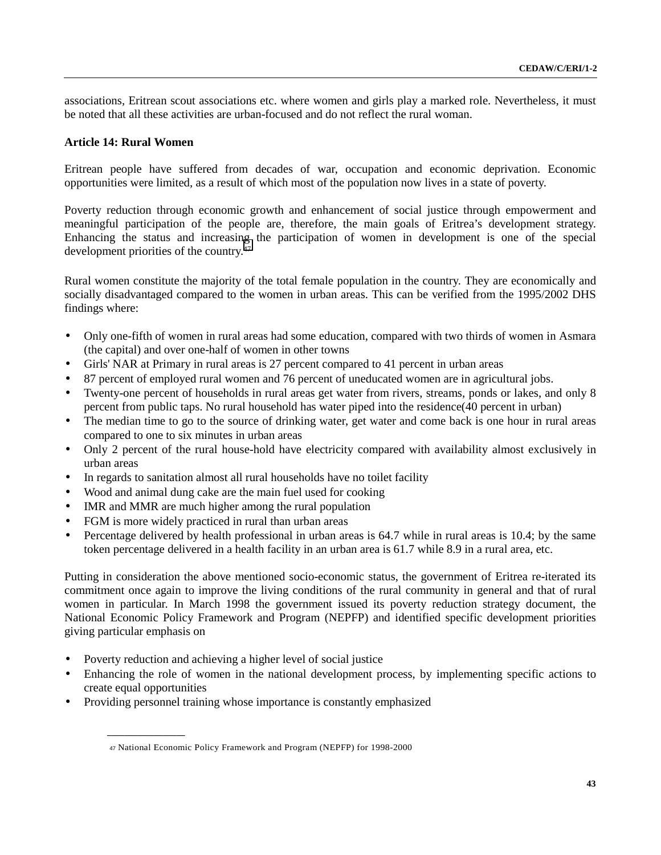associations, Eritrean scout associations etc. where women and girls play a marked role. Nevertheless, it must be noted that all these activities are urban-focused and do not reflect the rural woman.

## **Article 14: Rural Women**

Eritrean people have suffered from decades of war, occupation and economic deprivation. Economic opportunities were limited, as a result of which most of the population now lives in a state of poverty.

Poverty reduction through economic growth and enhancement of social justice through empowerment and meaningful participation of the people are, therefore, the main goals of Eritrea's development strategy. Enhancing the status and increasing the participation of women in development is one of the special development priorities of the country.47

Rural women constitute the majority of the total female population in the country. They are economically and socially disadvantaged compared to the women in urban areas. This can be verified from the 1995/2002 DHS findings where:

- Only one-fifth of women in rural areas had some education, compared with two thirds of women in Asmara (the capital) and over one-half of women in other towns
- Girls' NAR at Primary in rural areas is 27 percent compared to 41 percent in urban areas
- 87 percent of employed rural women and 76 percent of uneducated women are in agricultural jobs.
- Twenty-one percent of households in rural areas get water from rivers, streams, ponds or lakes, and only 8 percent from public taps. No rural household has water piped into the residence(40 percent in urban)
- The median time to go to the source of drinking water, get water and come back is one hour in rural areas compared to one to six minutes in urban areas
- Only 2 percent of the rural house-hold have electricity compared with availability almost exclusively in urban areas
- In regards to sanitation almost all rural households have no toilet facility
- Wood and animal dung cake are the main fuel used for cooking
- IMR and MMR are much higher among the rural population
- FGM is more widely practiced in rural than urban areas
- Percentage delivered by health professional in urban areas is 64.7 while in rural areas is 10.4; by the same token percentage delivered in a health facility in an urban area is 61.7 while 8.9 in a rural area, etc.

Putting in consideration the above mentioned socio-economic status, the government of Eritrea re-iterated its commitment once again to improve the living conditions of the rural community in general and that of rural women in particular. In March 1998 the government issued its poverty reduction strategy document, the National Economic Policy Framework and Program (NEPFP) and identified specific development priorities giving particular emphasis on

• Poverty reduction and achieving a higher level of social justice

- Enhancing the role of women in the national development process, by implementing specific actions to create equal opportunities
- Providing personnel training whose importance is constantly emphasized

<sup>47</sup> National Economic Policy Framework and Program (NEPFP) for 1998-2000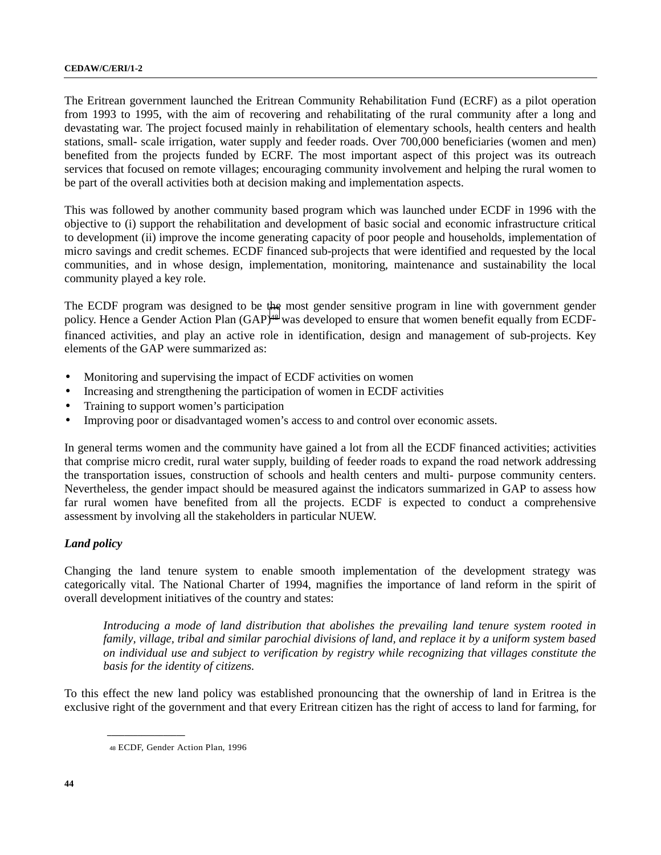#### **CEDAW/C/ERI/1-2**

The Eritrean government launched the Eritrean Community Rehabilitation Fund (ECRF) as a pilot operation from 1993 to 1995, with the aim of recovering and rehabilitating of the rural community after a long and devastating war. The project focused mainly in rehabilitation of elementary schools, health centers and health stations, small- scale irrigation, water supply and feeder roads. Over 700,000 beneficiaries (women and men) benefited from the projects funded by ECRF. The most important aspect of this project was its outreach services that focused on remote villages; encouraging community involvement and helping the rural women to be part of the overall activities both at decision making and implementation aspects.

This was followed by another community based program which was launched under ECDF in 1996 with the objective to (i) support the rehabilitation and development of basic social and economic infrastructure critical to development (ii) improve the income generating capacity of poor people and households, implementation of micro savings and credit schemes. ECDF financed sub-projects that were identified and requested by the local communities, and in whose design, implementation, monitoring, maintenance and sustainability the local community played a key role.

The ECDF program was designed to be the most gender sensitive program in line with government gender policy. Hence a Gender Action Plan (GAP)<sup>48</sup> was developed to ensure that women benefit equally from ECDFfinanced activities, and play an active role in identification, design and management of sub-projects. Key elements of the GAP were summarized as:

- Monitoring and supervising the impact of ECDF activities on women
- Increasing and strengthening the participation of women in ECDF activities
- Training to support women's participation
- Improving poor or disadvantaged women's access to and control over economic assets.

In general terms women and the community have gained a lot from all the ECDF financed activities; activities that comprise micro credit, rural water supply, building of feeder roads to expand the road network addressing the transportation issues, construction of schools and health centers and multi- purpose community centers. Nevertheless, the gender impact should be measured against the indicators summarized in GAP to assess how far rural women have benefited from all the projects. ECDF is expected to conduct a comprehensive assessment by involving all the stakeholders in particular NUEW.

# *Land policy*

Changing the land tenure system to enable smooth implementation of the development strategy was categorically vital. The National Charter of 1994, magnifies the importance of land reform in the spirit of overall development initiatives of the country and states:

*Introducing a mode of land distribution that abolishes the prevailing land tenure system rooted in family, village, tribal and similar parochial divisions of land, and replace it by a uniform system based on individual use and subject to verification by registry while recognizing that villages constitute the basis for the identity of citizens.*

To this effect the new land policy was established pronouncing that the ownership of land in Eritrea is the exclusive right of the government and that every Eritrean citizen has the right of access to land for farming, for

<sup>48</sup> ECDF, Gender Action Plan, 1996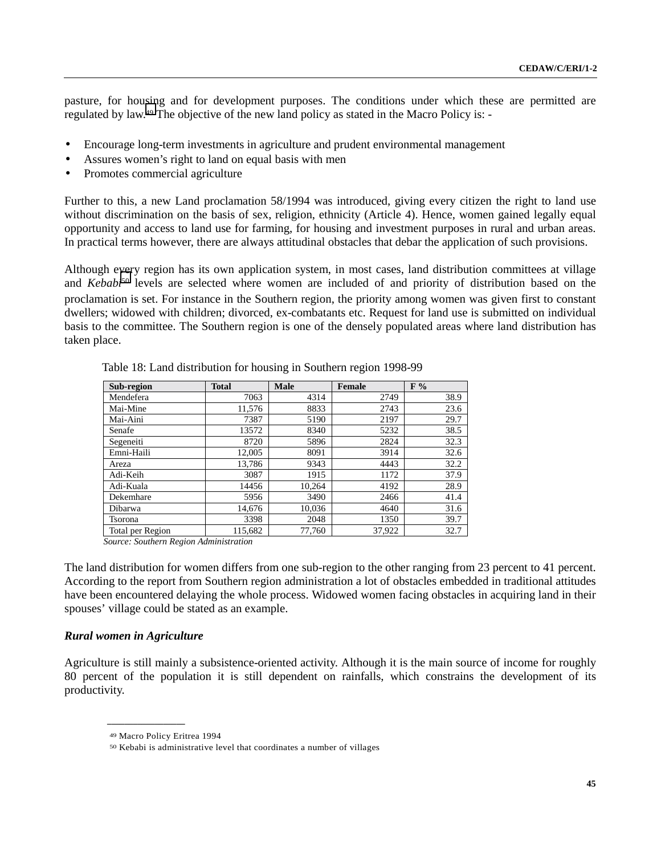pasture, for housing and for development purposes. The conditions under which these are permitted are regulated by law.49 The objective of the new land policy as stated in the Macro Policy is: -

- Encourage long-term investments in agriculture and prudent environmental management
- Assures women's right to land on equal basis with men
- Promotes commercial agriculture

Further to this, a new Land proclamation 58/1994 was introduced, giving every citizen the right to land use without discrimination on the basis of sex, religion, ethnicity (Article 4). Hence, women gained legally equal opportunity and access to land use for farming, for housing and investment purposes in rural and urban areas. In practical terms however, there are always attitudinal obstacles that debar the application of such provisions.

Although every region has its own application system, in most cases, land distribution committees at village and *Kebabi<sup>50</sup>* levels are selected where women are included of and priority of distribution based on the proclamation is set. For instance in the Southern region, the priority among women was given first to constant dwellers; widowed with children; divorced, ex-combatants etc. Request for land use is submitted on individual basis to the committee. The Southern region is one of the densely populated areas where land distribution has taken place.

| Sub-region       | <b>Total</b> | <b>Male</b> | <b>Female</b> | F%   |
|------------------|--------------|-------------|---------------|------|
| Mendefera        | 7063         | 4314        | 2749          | 38.9 |
| Mai-Mine         | 11,576       | 8833        | 2743          | 23.6 |
| Mai-Aini         | 7387         | 5190        | 2197          | 29.7 |
| Senafe           | 13572        | 8340        | 5232          | 38.5 |
| Segeneiti        | 8720         | 5896        | 2824          | 32.3 |
| Emni-Haili       | 12,005       | 8091        | 3914          | 32.6 |
| Areza            | 13.786       | 9343        | 4443          | 32.2 |
| Adi-Keih         | 3087         | 1915        | 1172          | 37.9 |
| Adi-Kuala        | 14456        | 10.264      | 4192          | 28.9 |
| Dekemhare        | 5956         | 3490        | 2466          | 41.4 |
| Dibarwa          | 14.676       | 10,036      | 4640          | 31.6 |
| Tsorona          | 3398         | 2048        | 1350          | 39.7 |
| Total per Region | 115,682      | 77.760      | 37,922        | 32.7 |

Table 18: Land distribution for housing in Southern region 1998-99

*Source: Southern Region Administration*

The land distribution for women differs from one sub-region to the other ranging from 23 percent to 41 percent. According to the report from Southern region administration a lot of obstacles embedded in traditional attitudes have been encountered delaying the whole process. Widowed women facing obstacles in acquiring land in their spouses' village could be stated as an example.

### *Rural women in Agriculture*

Agriculture is still mainly a subsistence-oriented activity. Although it is the main source of income for roughly 80 percent of the population it is still dependent on rainfalls, which constrains the development of its productivity.

<sup>49</sup> Macro Policy Eritrea 1994

<sup>50</sup> Kebabi is administrative level that coordinates a number of villages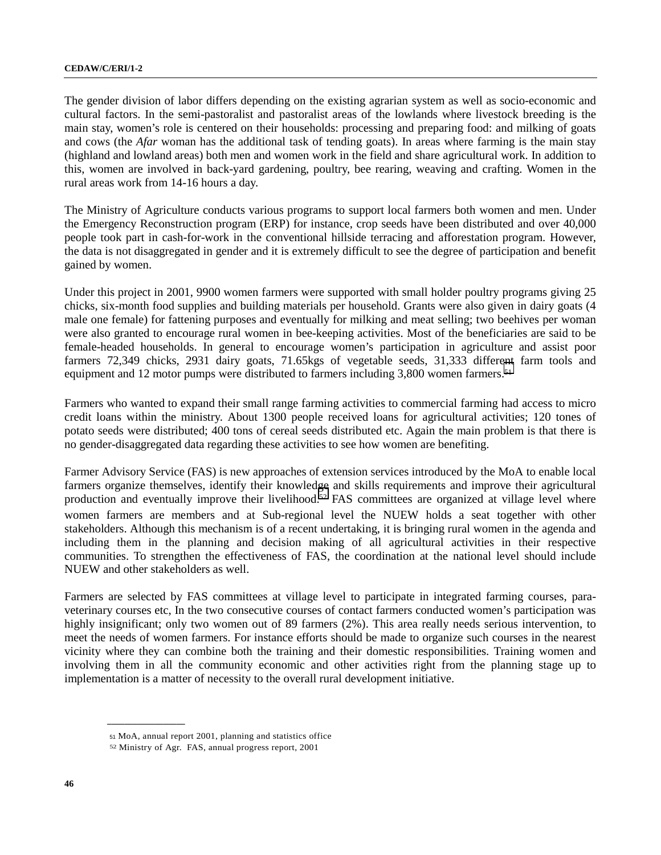The gender division of labor differs depending on the existing agrarian system as well as socio-economic and cultural factors. In the semi-pastoralist and pastoralist areas of the lowlands where livestock breeding is the main stay, women's role is centered on their households: processing and preparing food: and milking of goats and cows (the *Afar* woman has the additional task of tending goats). In areas where farming is the main stay (highland and lowland areas) both men and women work in the field and share agricultural work. In addition to this, women are involved in back-yard gardening, poultry, bee rearing, weaving and crafting. Women in the rural areas work from 14-16 hours a day.

The Ministry of Agriculture conducts various programs to support local farmers both women and men. Under the Emergency Reconstruction program (ERP) for instance, crop seeds have been distributed and over 40,000 people took part in cash-for-work in the conventional hillside terracing and afforestation program. However, the data is not disaggregated in gender and it is extremely difficult to see the degree of participation and benefit gained by women.

Under this project in 2001, 9900 women farmers were supported with small holder poultry programs giving 25 chicks, six-month food supplies and building materials per household. Grants were also given in dairy goats (4 male one female) for fattening purposes and eventually for milking and meat selling; two beehives per woman were also granted to encourage rural women in bee-keeping activities. Most of the beneficiaries are said to be female-headed households. In general to encourage women's participation in agriculture and assist poor farmers 72,349 chicks, 2931 dairy goats, 71.65kgs of vegetable seeds, 31,333 different farm tools and equipment and 12 motor pumps were distributed to farmers including 3,800 women farmers.<sup>51</sup>

Farmers who wanted to expand their small range farming activities to commercial farming had access to micro credit loans within the ministry. About 1300 people received loans for agricultural activities; 120 tones of potato seeds were distributed; 400 tons of cereal seeds distributed etc. Again the main problem is that there is no gender-disaggregated data regarding these activities to see how women are benefiting.

Farmer Advisory Service (FAS) is new approaches of extension services introduced by the MoA to enable local farmers organize themselves, identify their knowledge and skills requirements and improve their agricultural production and eventually improve their livelihood.<sup>52</sup> FAS committees are organized at village level where women farmers are members and at Sub-regional level the NUEW holds a seat together with other stakeholders. Although this mechanism is of a recent undertaking, it is bringing rural women in the agenda and including them in the planning and decision making of all agricultural activities in their respective communities. To strengthen the effectiveness of FAS, the coordination at the national level should include NUEW and other stakeholders as well.

Farmers are selected by FAS committees at village level to participate in integrated farming courses, paraveterinary courses etc, In the two consecutive courses of contact farmers conducted women's participation was highly insignificant; only two women out of 89 farmers (2%). This area really needs serious intervention, to meet the needs of women farmers. For instance efforts should be made to organize such courses in the nearest vicinity where they can combine both the training and their domestic responsibilities. Training women and involving them in all the community economic and other activities right from the planning stage up to implementation is a matter of necessity to the overall rural development initiative.

<sup>51</sup> MoA, annual report 2001, planning and statistics office

<sup>52</sup> Ministry of Agr. FAS, annual progress report, 2001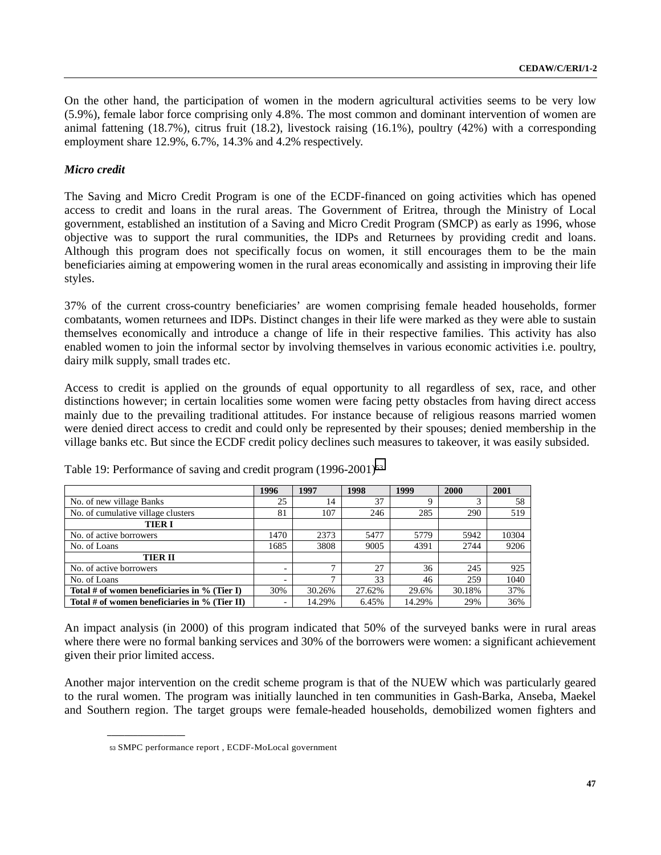On the other hand, the participation of women in the modern agricultural activities seems to be very low (5.9%), female labor force comprising only 4.8%. The most common and dominant intervention of women are animal fattening (18.7%), citrus fruit (18.2), livestock raising (16.1%), poultry (42%) with a corresponding employment share 12.9%, 6.7%, 14.3% and 4.2% respectively.

## *Micro credit*

The Saving and Micro Credit Program is one of the ECDF-financed on going activities which has opened access to credit and loans in the rural areas. The Government of Eritrea, through the Ministry of Local government, established an institution of a Saving and Micro Credit Program (SMCP) as early as 1996, whose objective was to support the rural communities, the IDPs and Returnees by providing credit and loans. Although this program does not specifically focus on women, it still encourages them to be the main beneficiaries aiming at empowering women in the rural areas economically and assisting in improving their life styles.

37% of the current cross-country beneficiaries' are women comprising female headed households, former combatants, women returnees and IDPs. Distinct changes in their life were marked as they were able to sustain themselves economically and introduce a change of life in their respective families. This activity has also enabled women to join the informal sector by involving themselves in various economic activities i.e. poultry, dairy milk supply, small trades etc.

Access to credit is applied on the grounds of equal opportunity to all regardless of sex, race, and other distinctions however; in certain localities some women were facing petty obstacles from having direct access mainly due to the prevailing traditional attitudes. For instance because of religious reasons married women were denied direct access to credit and could only be represented by their spouses; denied membership in the village banks etc. But since the ECDF credit policy declines such measures to takeover, it was easily subsided.

|                                                  | 1996 | 1997   | 1998   | 1999   | 2000   | 2001  |
|--------------------------------------------------|------|--------|--------|--------|--------|-------|
| No. of new village Banks                         | 25   | 14     | 37     | Q      | 3      | 58    |
| No. of cumulative village clusters               | 81   | 107    | 246    | 285    | 290    | 519   |
| <b>TIER I</b>                                    |      |        |        |        |        |       |
| No. of active borrowers                          | 1470 | 2373   | 5477   | 5779   | 5942   | 10304 |
| No. of Loans                                     | 1685 | 3808   | 9005   | 4391   | 2744   | 9206  |
| <b>TIER II</b>                                   |      |        |        |        |        |       |
| No. of active borrowers                          |      | ⇁      | 27     | 36     | 245    | 925   |
| No. of Loans                                     |      | -      | 33     | 46     | 259    | 1040  |
| Total # of women beneficiaries in $\%$ (Tier I)  | 30%  | 30.26% | 27.62% | 29.6%  | 30.18% | 37%   |
| Total # of women beneficiaries in $\%$ (Tier II) | ۰    | 14.29% | 6.45%  | 14.29% | 29%    | 36%   |

Table 19: Performance of saving and credit program (1996-2001)<sup>53</sup>

An impact analysis (in 2000) of this program indicated that 50% of the surveyed banks were in rural areas where there were no formal banking services and 30% of the borrowers were women: a significant achievement given their prior limited access.

Another major intervention on the credit scheme program is that of the NUEW which was particularly geared to the rural women. The program was initially launched in ten communities in Gash-Barka, Anseba, Maekel and Southern region. The target groups were female-headed households, demobilized women fighters and

<sup>53</sup> SMPC performance report , ECDF-MoLocal government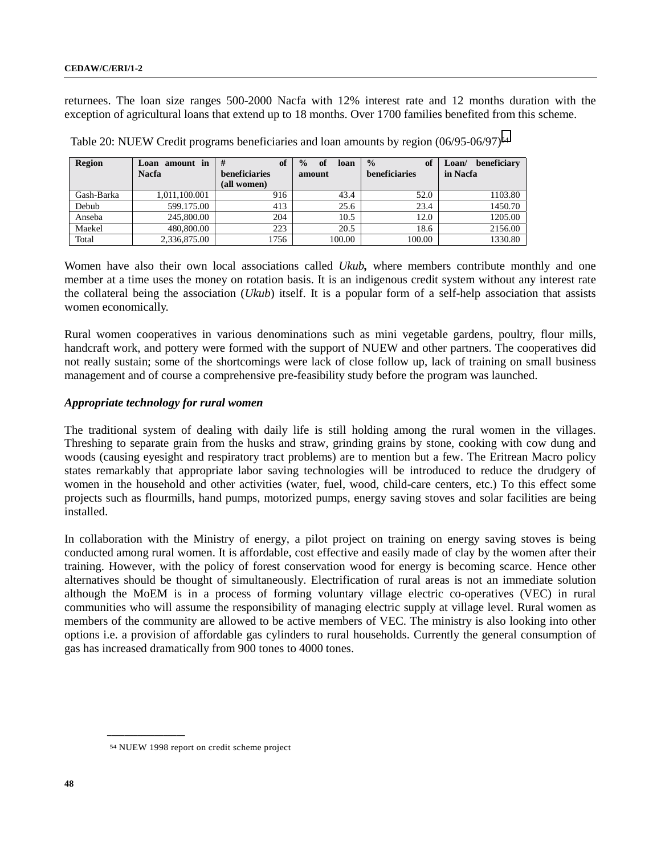returnees. The loan size ranges 500-2000 Nacfa with 12% interest rate and 12 months duration with the exception of agricultural loans that extend up to 18 months. Over 1700 families benefited from this scheme.

| <b>Region</b> | amount in<br>Loan<br><b>Nacfa</b> | #<br>of<br>beneficiaries<br>(all women) | of<br>$\frac{0}{0}$<br>loan<br>amount | $\frac{0}{0}$<br>of<br>beneficiaries | beneficiary<br>Loan/<br>in Nacfa |
|---------------|-----------------------------------|-----------------------------------------|---------------------------------------|--------------------------------------|----------------------------------|
| Gash-Barka    | 1.011.100.001                     | 916                                     | 43.4                                  | 52.0                                 | 1103.80                          |
| Debub         | 599.175.00                        | 413                                     | 25.6                                  | 23.4                                 | 1450.70                          |
| Anseba        | 245,800.00                        | 204                                     | 10.5                                  | 12.0                                 | 1205.00                          |
| Maekel        | 480,800.00                        | 223                                     | 20.5                                  | 18.6                                 | 2156.00                          |
| Total         | 2,336,875.00                      | 1756                                    | 100.00                                | 100.00                               | 1330.80                          |

Table 20: NUEW Credit programs beneficiaries and loan amounts by region (06/95-06/97)<sup>54</sup>

Women have also their own local associations called *Ukub,* where members contribute monthly and one member at a time uses the money on rotation basis. It is an indigenous credit system without any interest rate the collateral being the association (*Ukub*) itself. It is a popular form of a self-help association that assists women economically.

Rural women cooperatives in various denominations such as mini vegetable gardens, poultry, flour mills, handcraft work, and pottery were formed with the support of NUEW and other partners. The cooperatives did not really sustain; some of the shortcomings were lack of close follow up, lack of training on small business management and of course a comprehensive pre-feasibility study before the program was launched.

### *Appropriate technology for rural women*

The traditional system of dealing with daily life is still holding among the rural women in the villages. Threshing to separate grain from the husks and straw, grinding grains by stone, cooking with cow dung and woods (causing eyesight and respiratory tract problems) are to mention but a few. The Eritrean Macro policy states remarkably that appropriate labor saving technologies will be introduced to reduce the drudgery of women in the household and other activities (water, fuel, wood, child-care centers, etc.) To this effect some projects such as flourmills, hand pumps, motorized pumps, energy saving stoves and solar facilities are being installed.

In collaboration with the Ministry of energy, a pilot project on training on energy saving stoves is being conducted among rural women. It is affordable, cost effective and easily made of clay by the women after their training. However, with the policy of forest conservation wood for energy is becoming scarce. Hence other alternatives should be thought of simultaneously. Electrification of rural areas is not an immediate solution although the MoEM is in a process of forming voluntary village electric co-operatives (VEC) in rural communities who will assume the responsibility of managing electric supply at village level. Rural women as members of the community are allowed to be active members of VEC. The ministry is also looking into other options i.e. a provision of affordable gas cylinders to rural households. Currently the general consumption of gas has increased dramatically from 900 tones to 4000 tones.

<sup>54</sup> NUEW 1998 report on credit scheme project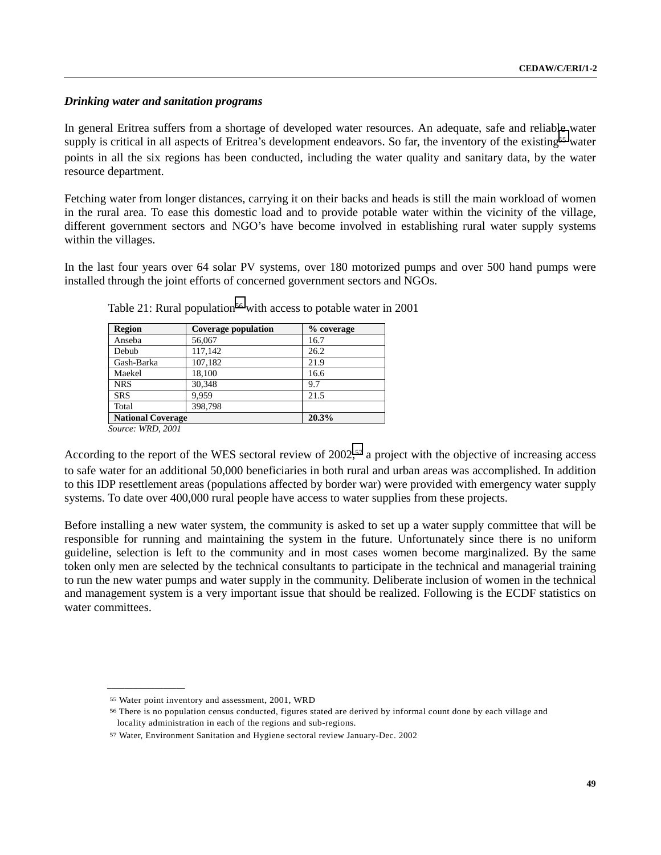## *Drinking water and sanitation programs*

In general Eritrea suffers from a shortage of developed water resources. An adequate, safe and reliable water supply is critical in all aspects of Eritrea's development endeavors. So far, the inventory of the existing<sup>55</sup> water points in all the six regions has been conducted, including the water quality and sanitary data, by the water resource department.

Fetching water from longer distances, carrying it on their backs and heads is still the main workload of women in the rural area. To ease this domestic load and to provide potable water within the vicinity of the village, different government sectors and NGO's have become involved in establishing rural water supply systems within the villages.

In the last four years over 64 solar PV systems, over 180 motorized pumps and over 500 hand pumps were installed through the joint efforts of concerned government sectors and NGOs.

| Region                                  | <b>Coverage population</b> | % coverage |
|-----------------------------------------|----------------------------|------------|
| Anseba                                  | 56,067                     | 16.7       |
| Debub                                   | 117,142                    | 26.2       |
| Gash-Barka                              | 107,182                    | 21.9       |
| Maekel                                  | 18.100                     | 16.6       |
| <b>NRS</b>                              | 30.348                     | 9.7        |
| <b>SRS</b>                              | 9.959                      | 21.5       |
| Total                                   | 398.798                    |            |
| <b>National Coverage</b>                |                            | 20.3%      |
| $S_{\alpha\mu\nu\rho\sigma}$ , WDD 2001 |                            |            |

Table 21: Rural population<sup>56</sup> with access to potable water in 2001

 *Source: WRD, 2001*

**\_\_\_\_\_\_\_\_\_\_\_\_\_\_\_\_\_\_**

According to the report of the WES sectoral review of 2002,<sup>57</sup> a project with the objective of increasing access to safe water for an additional 50,000 beneficiaries in both rural and urban areas was accomplished. In addition to this IDP resettlement areas (populations affected by border war) were provided with emergency water supply systems. To date over 400,000 rural people have access to water supplies from these projects.

Before installing a new water system, the community is asked to set up a water supply committee that will be responsible for running and maintaining the system in the future. Unfortunately since there is no uniform guideline, selection is left to the community and in most cases women become marginalized. By the same token only men are selected by the technical consultants to participate in the technical and managerial training to run the new water pumps and water supply in the community. Deliberate inclusion of women in the technical and management system is a very important issue that should be realized. Following is the ECDF statistics on water committees.

<sup>55</sup> Water point inventory and assessment, 2001, WRD

<sup>56</sup> There is no population census conducted, figures stated are derived by informal count done by each village and locality administration in each of the regions and sub-regions.

<sup>57</sup> Water, Environment Sanitation and Hygiene sectoral review January-Dec. 2002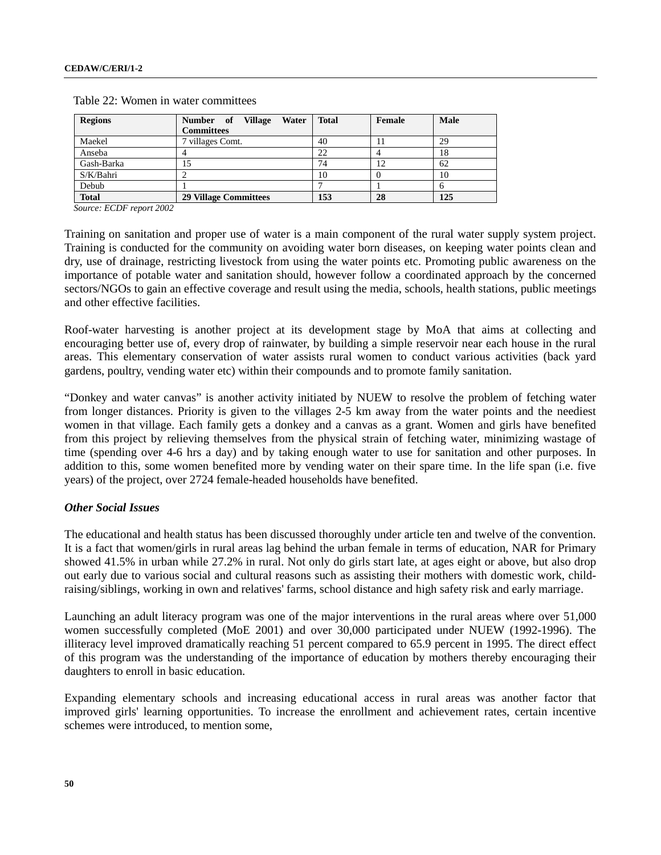| <b>Regions</b> | <b>Village</b><br>Number of<br>Water<br><b>Committees</b> | <b>Total</b> | Female | Male |
|----------------|-----------------------------------------------------------|--------------|--------|------|
| Maekel         | 7 villages Comt.                                          | 40           |        | 29   |
| Anseba         |                                                           | 22           |        | 18   |
| Gash-Barka     | 15                                                        | 74           | 12     | 62   |
| S/K/Bahri      |                                                           | 10           |        | 10   |
| Debub          |                                                           |              |        |      |
| <b>Total</b>   | <b>29 Village Committees</b>                              | 153          | 28     | 125  |

Table 22: Women in water committees

*Source: ECDF report 2002*

Training on sanitation and proper use of water is a main component of the rural water supply system project. Training is conducted for the community on avoiding water born diseases, on keeping water points clean and dry, use of drainage, restricting livestock from using the water points etc. Promoting public awareness on the importance of potable water and sanitation should, however follow a coordinated approach by the concerned sectors/NGOs to gain an effective coverage and result using the media, schools, health stations, public meetings and other effective facilities.

Roof-water harvesting is another project at its development stage by MoA that aims at collecting and encouraging better use of, every drop of rainwater, by building a simple reservoir near each house in the rural areas. This elementary conservation of water assists rural women to conduct various activities (back yard gardens, poultry, vending water etc) within their compounds and to promote family sanitation.

"Donkey and water canvas" is another activity initiated by NUEW to resolve the problem of fetching water from longer distances. Priority is given to the villages 2-5 km away from the water points and the neediest women in that village. Each family gets a donkey and a canvas as a grant. Women and girls have benefited from this project by relieving themselves from the physical strain of fetching water, minimizing wastage of time (spending over 4-6 hrs a day) and by taking enough water to use for sanitation and other purposes. In addition to this, some women benefited more by vending water on their spare time. In the life span (i.e. five years) of the project, over 2724 female-headed households have benefited.

### *Other Social Issues*

The educational and health status has been discussed thoroughly under article ten and twelve of the convention. It is a fact that women/girls in rural areas lag behind the urban female in terms of education, NAR for Primary showed 41.5% in urban while 27.2% in rural. Not only do girls start late, at ages eight or above, but also drop out early due to various social and cultural reasons such as assisting their mothers with domestic work, childraising/siblings, working in own and relatives' farms, school distance and high safety risk and early marriage.

Launching an adult literacy program was one of the major interventions in the rural areas where over 51,000 women successfully completed (MoE 2001) and over 30,000 participated under NUEW (1992-1996). The illiteracy level improved dramatically reaching 51 percent compared to 65.9 percent in 1995. The direct effect of this program was the understanding of the importance of education by mothers thereby encouraging their daughters to enroll in basic education.

Expanding elementary schools and increasing educational access in rural areas was another factor that improved girls' learning opportunities. To increase the enrollment and achievement rates, certain incentive schemes were introduced, to mention some,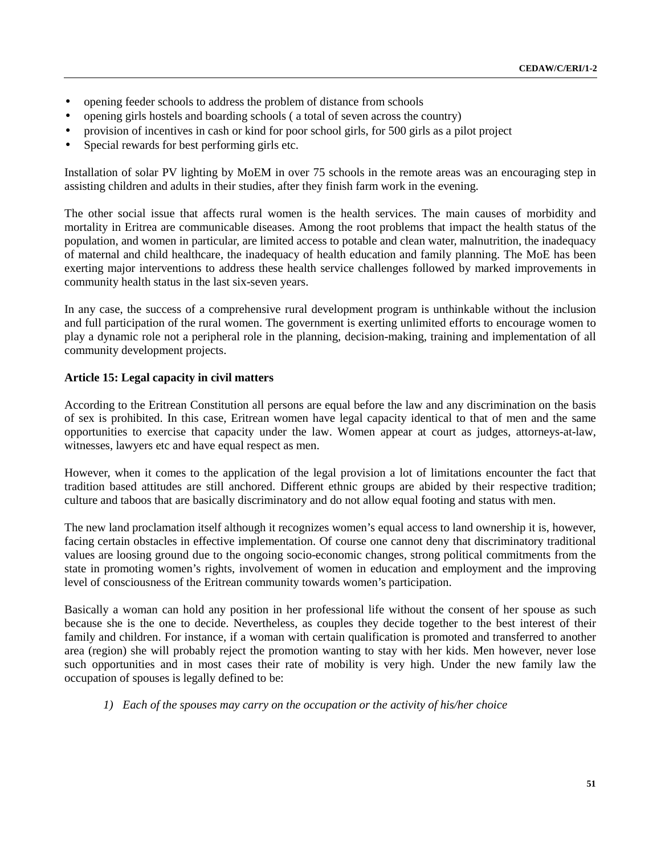- opening feeder schools to address the problem of distance from schools
- opening girls hostels and boarding schools (a total of seven across the country)
- provision of incentives in cash or kind for poor school girls, for 500 girls as a pilot project
- Special rewards for best performing girls etc.

Installation of solar PV lighting by MoEM in over 75 schools in the remote areas was an encouraging step in assisting children and adults in their studies, after they finish farm work in the evening.

The other social issue that affects rural women is the health services. The main causes of morbidity and mortality in Eritrea are communicable diseases. Among the root problems that impact the health status of the population, and women in particular, are limited access to potable and clean water, malnutrition, the inadequacy of maternal and child healthcare, the inadequacy of health education and family planning. The MoE has been exerting major interventions to address these health service challenges followed by marked improvements in community health status in the last six-seven years.

In any case, the success of a comprehensive rural development program is unthinkable without the inclusion and full participation of the rural women. The government is exerting unlimited efforts to encourage women to play a dynamic role not a peripheral role in the planning, decision-making, training and implementation of all community development projects.

### **Article 15: Legal capacity in civil matters**

According to the Eritrean Constitution all persons are equal before the law and any discrimination on the basis of sex is prohibited. In this case, Eritrean women have legal capacity identical to that of men and the same opportunities to exercise that capacity under the law. Women appear at court as judges, attorneys-at-law, witnesses, lawyers etc and have equal respect as men.

However, when it comes to the application of the legal provision a lot of limitations encounter the fact that tradition based attitudes are still anchored. Different ethnic groups are abided by their respective tradition; culture and taboos that are basically discriminatory and do not allow equal footing and status with men.

The new land proclamation itself although it recognizes women's equal access to land ownership it is, however, facing certain obstacles in effective implementation. Of course one cannot deny that discriminatory traditional values are loosing ground due to the ongoing socio-economic changes, strong political commitments from the state in promoting women's rights, involvement of women in education and employment and the improving level of consciousness of the Eritrean community towards women's participation.

Basically a woman can hold any position in her professional life without the consent of her spouse as such because she is the one to decide. Nevertheless, as couples they decide together to the best interest of their family and children. For instance, if a woman with certain qualification is promoted and transferred to another area (region) she will probably reject the promotion wanting to stay with her kids. Men however, never lose such opportunities and in most cases their rate of mobility is very high. Under the new family law the occupation of spouses is legally defined to be:

*1) Each of the spouses may carry on the occupation or the activity of his/her choice*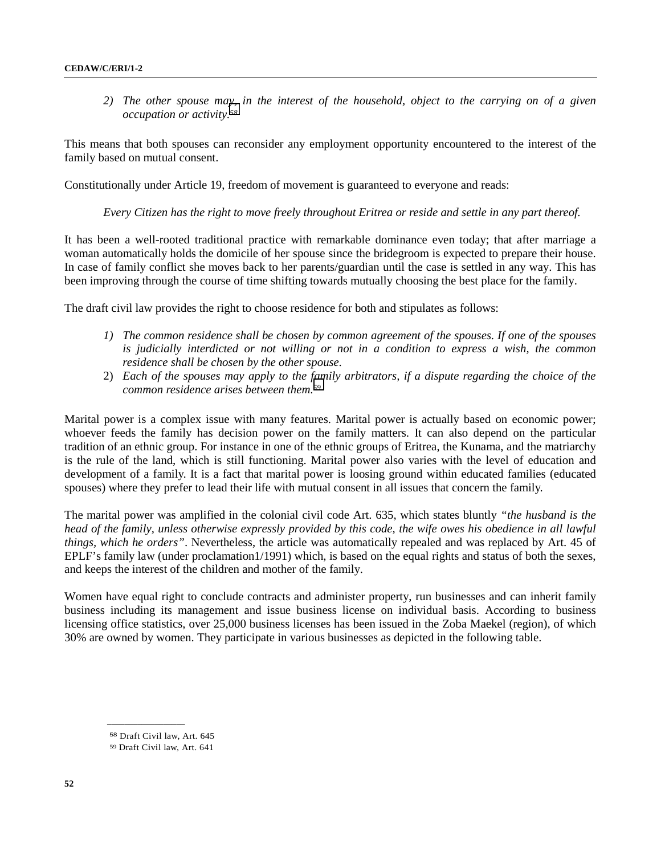*2) The other spouse may, in the interest of the household, object to the carrying on of a given occupation or activity.58*

This means that both spouses can reconsider any employment opportunity encountered to the interest of the family based on mutual consent.

Constitutionally under Article 19, freedom of movement is guaranteed to everyone and reads:

*Every Citizen has the right to move freely throughout Eritrea or reside and settle in any part thereof.*

It has been a well-rooted traditional practice with remarkable dominance even today; that after marriage a woman automatically holds the domicile of her spouse since the bridegroom is expected to prepare their house. In case of family conflict she moves back to her parents/guardian until the case is settled in any way. This has been improving through the course of time shifting towards mutually choosing the best place for the family.

The draft civil law provides the right to choose residence for both and stipulates as follows:

- *1) The common residence shall be chosen by common agreement of the spouses. If one of the spouses is judicially interdicted or not willing or not in a condition to express a wish, the common residence shall be chosen by the other spouse.*
- 2) *Each of the spouses may apply to the family arbitrators, if a dispute regarding the choice of the common residence arises between them.59*

Marital power is a complex issue with many features. Marital power is actually based on economic power; whoever feeds the family has decision power on the family matters. It can also depend on the particular tradition of an ethnic group. For instance in one of the ethnic groups of Eritrea, the Kunama, and the matriarchy is the rule of the land, which is still functioning. Marital power also varies with the level of education and development of a family. It is a fact that marital power is loosing ground within educated families (educated spouses) where they prefer to lead their life with mutual consent in all issues that concern the family.

The marital power was amplified in the colonial civil code Art. 635, which states bluntly *"the husband is the head of the family, unless otherwise expressly provided by this code, the wife owes his obedience in all lawful things, which he orders"*. Nevertheless, the article was automatically repealed and was replaced by Art. 45 of EPLF's family law (under proclamation1/1991) which, is based on the equal rights and status of both the sexes, and keeps the interest of the children and mother of the family.

Women have equal right to conclude contracts and administer property, run businesses and can inherit family business including its management and issue business license on individual basis. According to business licensing office statistics, over 25,000 business licenses has been issued in the Zoba Maekel (region), of which 30% are owned by women. They participate in various businesses as depicted in the following table.

<sup>58</sup> Draft Civil law, Art. 645

<sup>59</sup> Draft Civil law, Art. 641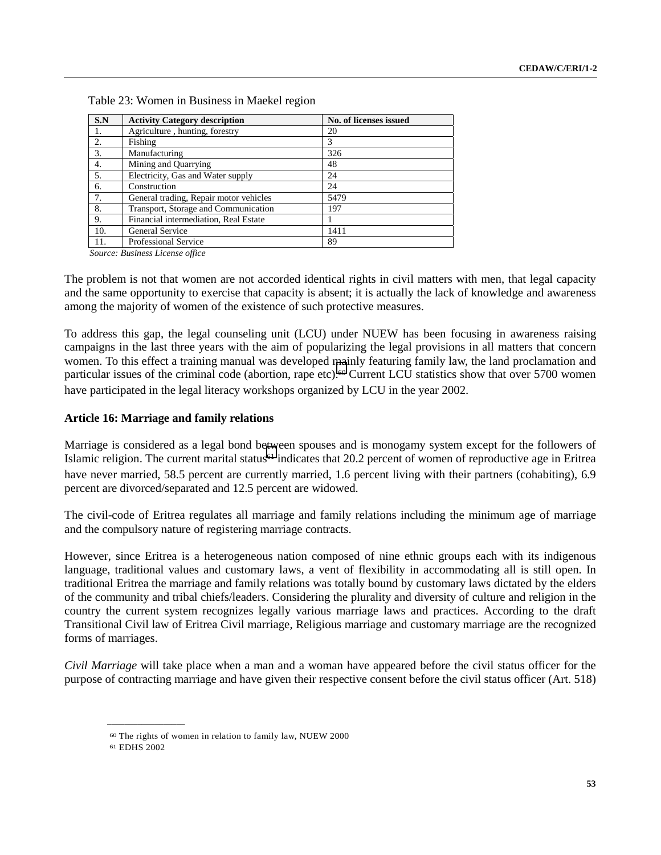| S.N | <b>Activity Category description</b>   | No. of licenses issued |
|-----|----------------------------------------|------------------------|
| 1.  | Agriculture, hunting, forestry         | 20                     |
| 2.  | Fishing                                | 3                      |
| 3.  | Manufacturing                          | 326                    |
| 4.  | Mining and Quarrying                   | 48                     |
| 5.  | Electricity, Gas and Water supply      | 24                     |
| 6.  | Construction                           | 24                     |
| 7.  | General trading, Repair motor vehicles | 5479                   |
| 8.  | Transport, Storage and Communication   | 197                    |
| 9.  | Financial intermediation, Real Estate  |                        |
| 10. | General Service                        | 1411                   |
| 11. | <b>Professional Service</b>            | 89                     |

Table 23: Women in Business in Maekel region

 *Source: Business License office*

The problem is not that women are not accorded identical rights in civil matters with men, that legal capacity and the same opportunity to exercise that capacity is absent; it is actually the lack of knowledge and awareness among the majority of women of the existence of such protective measures.

To address this gap, the legal counseling unit (LCU) under NUEW has been focusing in awareness raising campaigns in the last three years with the aim of popularizing the legal provisions in all matters that concern women. To this effect a training manual was developed mainly featuring family law, the land proclamation and particular issues of the criminal code (abortion, rape etc).<sup>60</sup> Current LCU statistics show that over 5700 women have participated in the legal literacy workshops organized by LCU in the year 2002.

### **Article 16: Marriage and family relations**

Marriage is considered as a legal bond between spouses and is monogamy system except for the followers of Islamic religion. The current marital status<sup>61</sup> indicates that 20.2 percent of women of reproductive age in Eritrea have never married, 58.5 percent are currently married, 1.6 percent living with their partners (cohabiting), 6.9 percent are divorced/separated and 12.5 percent are widowed.

The civil-code of Eritrea regulates all marriage and family relations including the minimum age of marriage and the compulsory nature of registering marriage contracts.

However, since Eritrea is a heterogeneous nation composed of nine ethnic groups each with its indigenous language, traditional values and customary laws, a vent of flexibility in accommodating all is still open. In traditional Eritrea the marriage and family relations was totally bound by customary laws dictated by the elders of the community and tribal chiefs/leaders. Considering the plurality and diversity of culture and religion in the country the current system recognizes legally various marriage laws and practices. According to the draft Transitional Civil law of Eritrea Civil marriage, Religious marriage and customary marriage are the recognized forms of marriages.

*Civil Marriage* will take place when a man and a woman have appeared before the civil status officer for the purpose of contracting marriage and have given their respective consent before the civil status officer (Art. 518)

<sup>60</sup> The rights of women in relation to family law, NUEW 2000

<sup>61</sup> EDHS 2002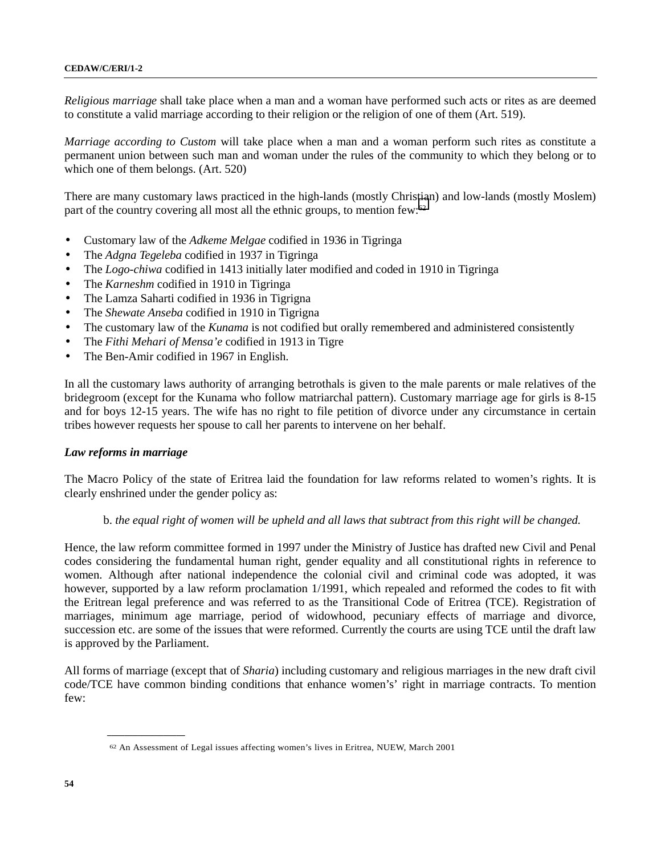#### **CEDAW/C/ERI/1-2**

*Religious marriage* shall take place when a man and a woman have performed such acts or rites as are deemed to constitute a valid marriage according to their religion or the religion of one of them (Art. 519).

*Marriage according to Custom* will take place when a man and a woman perform such rites as constitute a permanent union between such man and woman under the rules of the community to which they belong or to which one of them belongs. (Art. 520)

There are many customary laws practiced in the high-lands (mostly Christian) and low-lands (mostly Moslem) part of the country covering all most all the ethnic groups, to mention few:62

- Customary law of the *Adkeme Melgae* codified in 1936 in Tigringa
- The *Adgna Tegeleba* codified in 1937 in Tigringa
- The *Logo-chiwa* codified in 1413 initially later modified and coded in 1910 in Tigringa
- The *Karneshm* codified in 1910 in Tigringa
- The Lamza Saharti codified in 1936 in Tigrigna
- The *Shewate Anseba* codified in 1910 in Tigrigna
- The customary law of the *Kunama* is not codified but orally remembered and administered consistently
- The *Fithi Mehari of Mensa'e* codified in 1913 in Tigre
- The Ben-Amir codified in 1967 in English.

In all the customary laws authority of arranging betrothals is given to the male parents or male relatives of the bridegroom (except for the Kunama who follow matriarchal pattern). Customary marriage age for girls is 8-15 and for boys 12-15 years. The wife has no right to file petition of divorce under any circumstance in certain tribes however requests her spouse to call her parents to intervene on her behalf.

#### *Law reforms in marriage*

**\_\_\_\_\_\_\_\_\_\_\_\_\_\_\_\_\_\_**

The Macro Policy of the state of Eritrea laid the foundation for law reforms related to women's rights. It is clearly enshrined under the gender policy as:

### b. *the equal right of women will be upheld and all laws that subtract from this right will be changed.*

Hence, the law reform committee formed in 1997 under the Ministry of Justice has drafted new Civil and Penal codes considering the fundamental human right, gender equality and all constitutional rights in reference to women. Although after national independence the colonial civil and criminal code was adopted, it was however, supported by a law reform proclamation 1/1991, which repealed and reformed the codes to fit with the Eritrean legal preference and was referred to as the Transitional Code of Eritrea (TCE). Registration of marriages, minimum age marriage, period of widowhood, pecuniary effects of marriage and divorce, succession etc. are some of the issues that were reformed. Currently the courts are using TCE until the draft law is approved by the Parliament.

All forms of marriage (except that of *Sharia*) including customary and religious marriages in the new draft civil code/TCE have common binding conditions that enhance women's' right in marriage contracts. To mention few:

<sup>62</sup> An Assessment of Legal issues affecting women's lives in Eritrea, NUEW, March 2001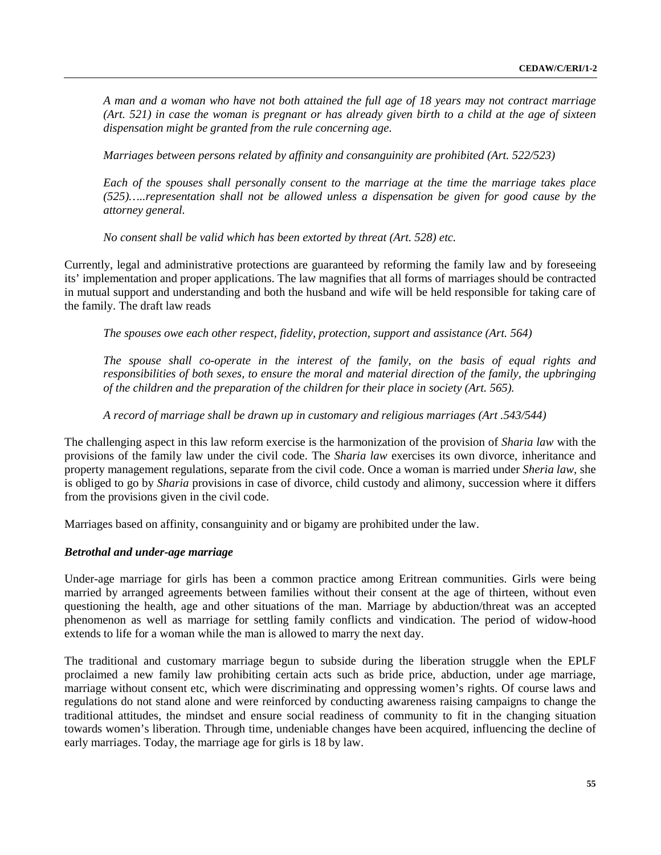*A man and a woman who have not both attained the full age of 18 years may not contract marriage (Art. 521) in case the woman is pregnant or has already given birth to a child at the age of sixteen dispensation might be granted from the rule concerning age.*

*Marriages between persons related by affinity and consanguinity are prohibited (Art. 522/523)*

*Each of the spouses shall personally consent to the marriage at the time the marriage takes place (525)…..representation shall not be allowed unless a dispensation be given for good cause by the attorney general.*

*No consent shall be valid which has been extorted by threat (Art. 528) etc.*

Currently, legal and administrative protections are guaranteed by reforming the family law and by foreseeing its' implementation and proper applications. The law magnifies that all forms of marriages should be contracted in mutual support and understanding and both the husband and wife will be held responsible for taking care of the family. The draft law reads

*The spouses owe each other respect, fidelity, protection, support and assistance (Art. 564)*

*The spouse shall co-operate in the interest of the family, on the basis of equal rights and responsibilities of both sexes, to ensure the moral and material direction of the family, the upbringing of the children and the preparation of the children for their place in society (Art. 565).*

*A record of marriage shall be drawn up in customary and religious marriages (Art .543/544)*

The challenging aspect in this law reform exercise is the harmonization of the provision of *Sharia law* with the provisions of the family law under the civil code. The *Sharia law* exercises its own divorce, inheritance and property management regulations, separate from the civil code. Once a woman is married under *Sheria law,* she is obliged to go by *Sharia* provisions in case of divorce, child custody and alimony, succession where it differs from the provisions given in the civil code.

Marriages based on affinity, consanguinity and or bigamy are prohibited under the law.

#### *Betrothal and under-age marriage*

Under-age marriage for girls has been a common practice among Eritrean communities. Girls were being married by arranged agreements between families without their consent at the age of thirteen, without even questioning the health, age and other situations of the man. Marriage by abduction/threat was an accepted phenomenon as well as marriage for settling family conflicts and vindication. The period of widow-hood extends to life for a woman while the man is allowed to marry the next day.

The traditional and customary marriage begun to subside during the liberation struggle when the EPLF proclaimed a new family law prohibiting certain acts such as bride price, abduction, under age marriage, marriage without consent etc, which were discriminating and oppressing women's rights. Of course laws and regulations do not stand alone and were reinforced by conducting awareness raising campaigns to change the traditional attitudes, the mindset and ensure social readiness of community to fit in the changing situation towards women's liberation. Through time, undeniable changes have been acquired, influencing the decline of early marriages. Today, the marriage age for girls is 18 by law.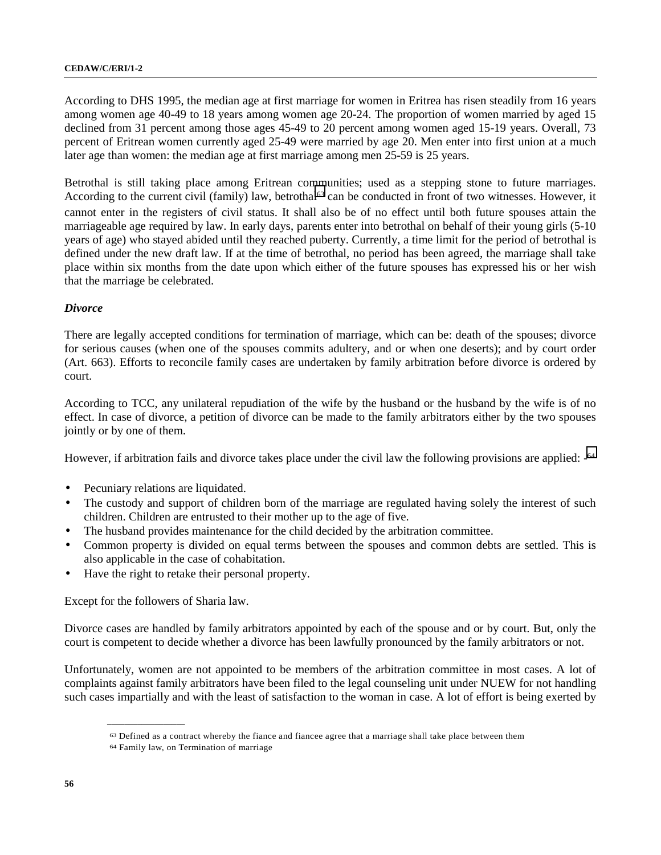According to DHS 1995, the median age at first marriage for women in Eritrea has risen steadily from 16 years among women age 40-49 to 18 years among women age 20-24. The proportion of women married by aged 15 declined from 31 percent among those ages 45-49 to 20 percent among women aged 15-19 years. Overall, 73 percent of Eritrean women currently aged 25-49 were married by age 20. Men enter into first union at a much later age than women: the median age at first marriage among men 25-59 is 25 years.

Betrothal is still taking place among Eritrean communities; used as a stepping stone to future marriages. According to the current civil (family) law, betrothal<sup>63</sup> can be conducted in front of two witnesses. However, it cannot enter in the registers of civil status. It shall also be of no effect until both future spouses attain the marriageable age required by law. In early days, parents enter into betrothal on behalf of their young girls (5-10 years of age) who stayed abided until they reached puberty. Currently, a time limit for the period of betrothal is defined under the new draft law. If at the time of betrothal, no period has been agreed, the marriage shall take place within six months from the date upon which either of the future spouses has expressed his or her wish that the marriage be celebrated.

## *Divorce*

There are legally accepted conditions for termination of marriage, which can be: death of the spouses; divorce for serious causes (when one of the spouses commits adultery, and or when one deserts); and by court order (Art. 663). Efforts to reconcile family cases are undertaken by family arbitration before divorce is ordered by court.

According to TCC, any unilateral repudiation of the wife by the husband or the husband by the wife is of no effect. In case of divorce, a petition of divorce can be made to the family arbitrators either by the two spouses jointly or by one of them.

However, if arbitration fails and divorce takes place under the civil law the following provisions are applied:  $-64$ 

- Pecuniary relations are liquidated.
- The custody and support of children born of the marriage are regulated having solely the interest of such children. Children are entrusted to their mother up to the age of five.
- The husband provides maintenance for the child decided by the arbitration committee.
- Common property is divided on equal terms between the spouses and common debts are settled. This is also applicable in the case of cohabitation.
- Have the right to retake their personal property.

Except for the followers of Sharia law.

**\_\_\_\_\_\_\_\_\_\_\_\_\_\_\_\_\_\_**

Divorce cases are handled by family arbitrators appointed by each of the spouse and or by court. But, only the court is competent to decide whether a divorce has been lawfully pronounced by the family arbitrators or not.

Unfortunately, women are not appointed to be members of the arbitration committee in most cases. A lot of complaints against family arbitrators have been filed to the legal counseling unit under NUEW for not handling such cases impartially and with the least of satisfaction to the woman in case. A lot of effort is being exerted by

<sup>63</sup> Defined as a contract whereby the fiance and fiancee agree that a marriage shall take place between them

<sup>64</sup> Family law, on Termination of marriage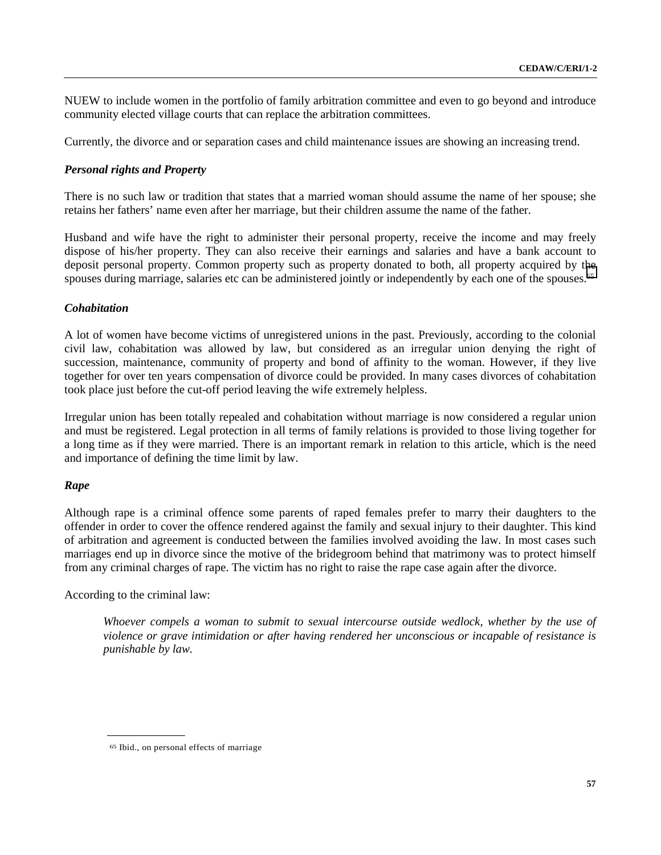NUEW to include women in the portfolio of family arbitration committee and even to go beyond and introduce community elected village courts that can replace the arbitration committees.

Currently, the divorce and or separation cases and child maintenance issues are showing an increasing trend.

## *Personal rights and Property*

There is no such law or tradition that states that a married woman should assume the name of her spouse; she retains her fathers' name even after her marriage, but their children assume the name of the father.

Husband and wife have the right to administer their personal property, receive the income and may freely dispose of his/her property. They can also receive their earnings and salaries and have a bank account to deposit personal property. Common property such as property donated to both, all property acquired by the spouses during marriage, salaries etc can be administered jointly or independently by each one of the spouses.<sup>65</sup>

### *Cohabitation*

A lot of women have become victims of unregistered unions in the past. Previously, according to the colonial civil law, cohabitation was allowed by law, but considered as an irregular union denying the right of succession, maintenance, community of property and bond of affinity to the woman. However, if they live together for over ten years compensation of divorce could be provided. In many cases divorces of cohabitation took place just before the cut-off period leaving the wife extremely helpless.

Irregular union has been totally repealed and cohabitation without marriage is now considered a regular union and must be registered. Legal protection in all terms of family relations is provided to those living together for a long time as if they were married. There is an important remark in relation to this article, which is the need and importance of defining the time limit by law.

### *Rape*

Although rape is a criminal offence some parents of raped females prefer to marry their daughters to the offender in order to cover the offence rendered against the family and sexual injury to their daughter. This kind of arbitration and agreement is conducted between the families involved avoiding the law. In most cases such marriages end up in divorce since the motive of the bridegroom behind that matrimony was to protect himself from any criminal charges of rape. The victim has no right to raise the rape case again after the divorce.

According to the criminal law:

**\_\_\_\_\_\_\_\_\_\_\_\_\_\_\_\_\_\_**

*Whoever compels a woman to submit to sexual intercourse outside wedlock, whether by the use of violence or grave intimidation or after having rendered her unconscious or incapable of resistance is punishable by law.*

<sup>65</sup> Ibid., on personal effects of marriage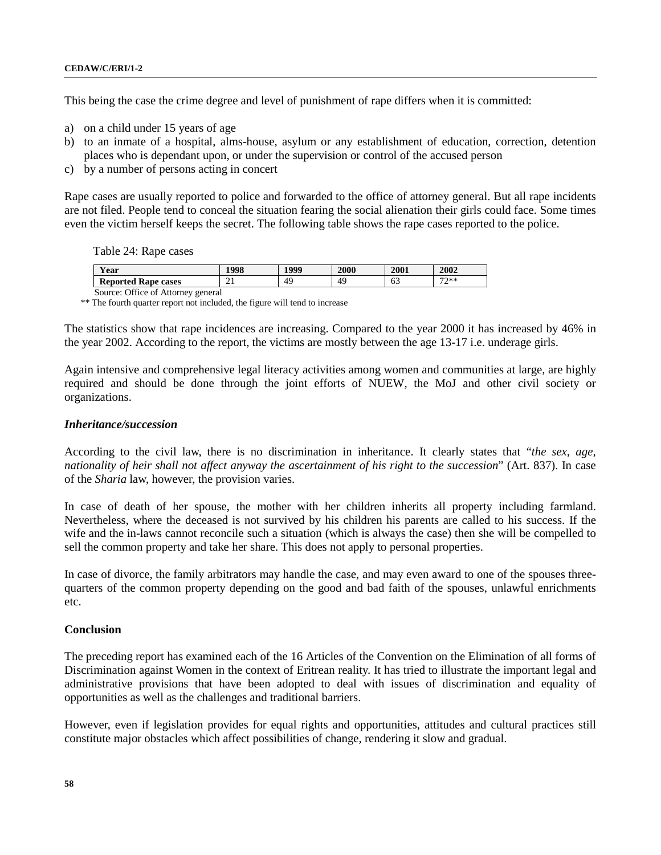This being the case the crime degree and level of punishment of rape differs when it is committed:

- a) on a child under 15 years of age
- b) to an inmate of a hospital, alms-house, asylum or any establishment of education, correction, detention places who is dependant upon, or under the supervision or control of the accused person
- c) by a number of persons acting in concert

Rape cases are usually reported to police and forwarded to the office of attorney general. But all rape incidents are not filed. People tend to conceal the situation fearing the social alienation their girls could face. Some times even the victim herself keeps the secret. The following table shows the rape cases reported to the police.

Table 24: Rape cases

| T<br>r ear                         | 1998     | 1999 | <b>2000</b> | 2001 | 2002   |
|------------------------------------|----------|------|-------------|------|--------|
| <b>Reported Rape cases</b>         | ∩.<br>∠⊥ | 49   | 49          | 63   | $77**$ |
| Source: Office of Attorney general |          |      |             |      |        |

\*\* The fourth quarter report not included, the figure will tend to increase

The statistics show that rape incidences are increasing. Compared to the year 2000 it has increased by 46% in the year 2002. According to the report, the victims are mostly between the age 13-17 i.e. underage girls.

Again intensive and comprehensive legal literacy activities among women and communities at large, are highly required and should be done through the joint efforts of NUEW, the MoJ and other civil society or organizations.

### *Inheritance/succession*

According to the civil law, there is no discrimination in inheritance. It clearly states that "*the sex, age, nationality of heir shall not affect anyway the ascertainment of his right to the succession*" (Art. 837). In case of the *Sharia* law, however, the provision varies.

In case of death of her spouse, the mother with her children inherits all property including farmland. Nevertheless, where the deceased is not survived by his children his parents are called to his success. If the wife and the in-laws cannot reconcile such a situation (which is always the case) then she will be compelled to sell the common property and take her share. This does not apply to personal properties.

In case of divorce, the family arbitrators may handle the case, and may even award to one of the spouses threequarters of the common property depending on the good and bad faith of the spouses, unlawful enrichments etc.

## **Conclusion**

The preceding report has examined each of the 16 Articles of the Convention on the Elimination of all forms of Discrimination against Women in the context of Eritrean reality. It has tried to illustrate the important legal and administrative provisions that have been adopted to deal with issues of discrimination and equality of opportunities as well as the challenges and traditional barriers.

However, even if legislation provides for equal rights and opportunities, attitudes and cultural practices still constitute major obstacles which affect possibilities of change, rendering it slow and gradual.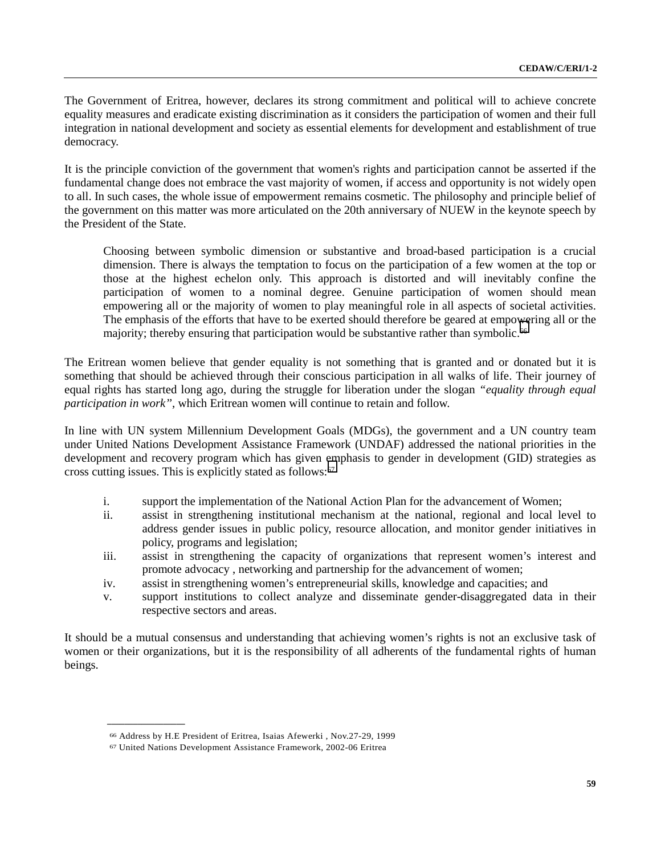The Government of Eritrea, however, declares its strong commitment and political will to achieve concrete equality measures and eradicate existing discrimination as it considers the participation of women and their full integration in national development and society as essential elements for development and establishment of true democracy.

It is the principle conviction of the government that women's rights and participation cannot be asserted if the fundamental change does not embrace the vast majority of women, if access and opportunity is not widely open to all. In such cases, the whole issue of empowerment remains cosmetic. The philosophy and principle belief of the government on this matter was more articulated on the 20th anniversary of NUEW in the keynote speech by the President of the State.

Choosing between symbolic dimension or substantive and broad-based participation is a crucial dimension. There is always the temptation to focus on the participation of a few women at the top or those at the highest echelon only. This approach is distorted and will inevitably confine the participation of women to a nominal degree. Genuine participation of women should mean empowering all or the majority of women to play meaningful role in all aspects of societal activities. The emphasis of the efforts that have to be exerted should therefore be geared at empowering all or the majority; thereby ensuring that participation would be substantive rather than symbolic.<sup>66</sup>

The Eritrean women believe that gender equality is not something that is granted and or donated but it is something that should be achieved through their conscious participation in all walks of life. Their journey of equal rights has started long ago, during the struggle for liberation under the slogan *"equality through equal participation in work''*, which Eritrean women will continue to retain and follow.

In line with UN system Millennium Development Goals (MDGs), the government and a UN country team under United Nations Development Assistance Framework (UNDAF) addressed the national priorities in the development and recovery program which has given emphasis to gender in development (GID) strategies as cross cutting issues. This is explicitly stated as follows:67

- i. support the implementation of the National Action Plan for the advancement of Women;
- ii. assist in strengthening institutional mechanism at the national, regional and local level to address gender issues in public policy, resource allocation, and monitor gender initiatives in policy, programs and legislation;
- iii. assist in strengthening the capacity of organizations that represent women's interest and promote advocacy , networking and partnership for the advancement of women;
- iv. assist in strengthening women's entrepreneurial skills, knowledge and capacities; and
- v. support institutions to collect analyze and disseminate gender-disaggregated data in their respective sectors and areas.

It should be a mutual consensus and understanding that achieving women's rights is not an exclusive task of women or their organizations, but it is the responsibility of all adherents of the fundamental rights of human beings.

<sup>66</sup> Address by H.E President of Eritrea, Isaias Afewerki , Nov.27-29, 1999

<sup>67</sup> United Nations Development Assistance Framework, 2002-06 Eritrea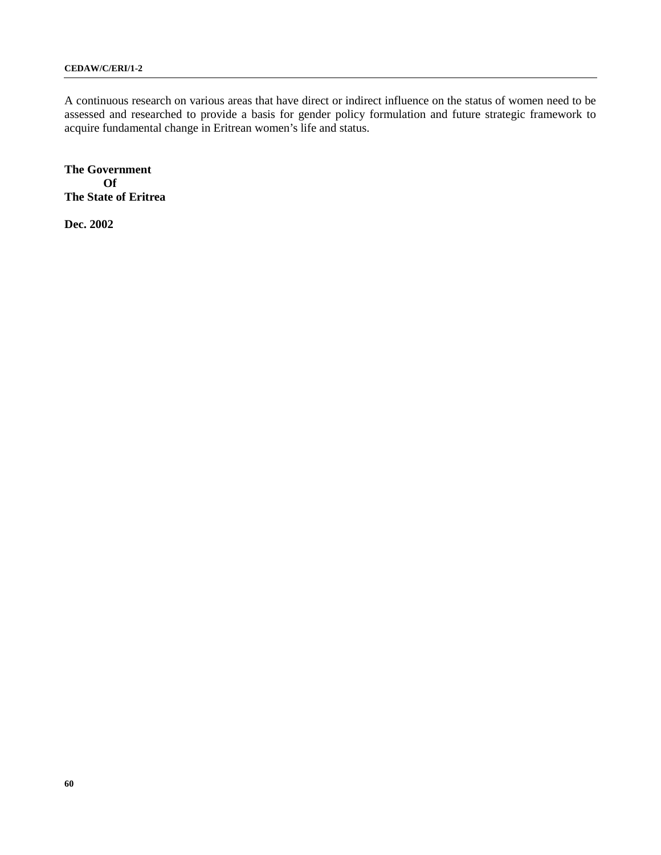A continuous research on various areas that have direct or indirect influence on the status of women need to be assessed and researched to provide a basis for gender policy formulation and future strategic framework to acquire fundamental change in Eritrean women's life and status.

**The Government Of The State of Eritrea**

**Dec. 2002**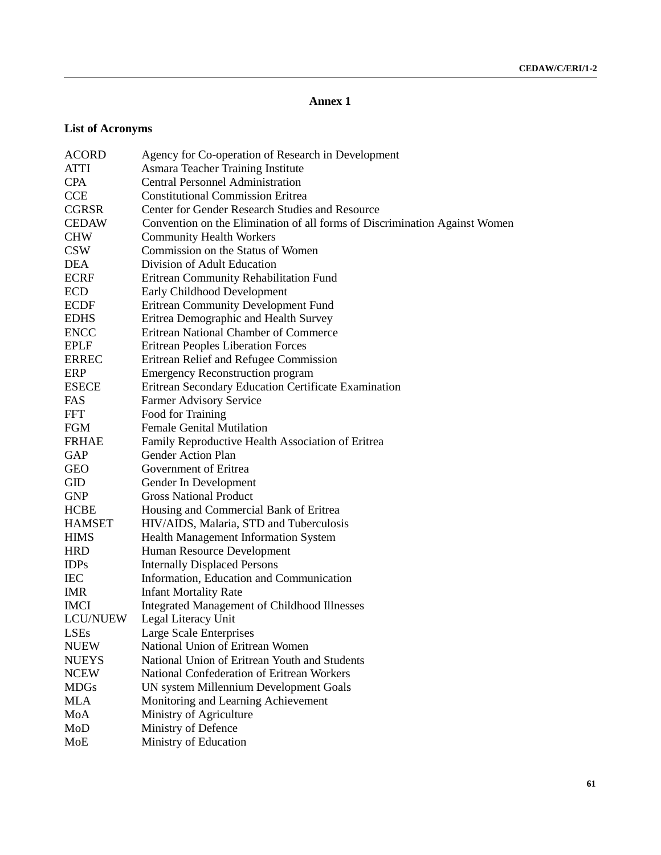## **Annex 1**

# **List of Acronyms**

| <b>ACORD</b>    | Agency for Co-operation of Research in Development                         |
|-----------------|----------------------------------------------------------------------------|
| ATTI            | Asmara Teacher Training Institute                                          |
| <b>CPA</b>      | <b>Central Personnel Administration</b>                                    |
| <b>CCE</b>      | <b>Constitutional Commission Eritrea</b>                                   |
| <b>CGRSR</b>    | Center for Gender Research Studies and Resource                            |
| <b>CEDAW</b>    | Convention on the Elimination of all forms of Discrimination Against Women |
| <b>CHW</b>      | <b>Community Health Workers</b>                                            |
| <b>CSW</b>      | Commission on the Status of Women                                          |
| <b>DEA</b>      | Division of Adult Education                                                |
| <b>ECRF</b>     | Eritrean Community Rehabilitation Fund                                     |
| <b>ECD</b>      | Early Childhood Development                                                |
| <b>ECDF</b>     | <b>Eritrean Community Development Fund</b>                                 |
| <b>EDHS</b>     | Eritrea Demographic and Health Survey                                      |
| <b>ENCC</b>     | Eritrean National Chamber of Commerce                                      |
| <b>EPLF</b>     | <b>Eritrean Peoples Liberation Forces</b>                                  |
| <b>ERREC</b>    | Eritrean Relief and Refugee Commission                                     |
| ERP             | <b>Emergency Reconstruction program</b>                                    |
| <b>ESECE</b>    | Eritrean Secondary Education Certificate Examination                       |
| FAS             | Farmer Advisory Service                                                    |
| <b>FFT</b>      | Food for Training                                                          |
| <b>FGM</b>      | <b>Female Genital Mutilation</b>                                           |
| <b>FRHAE</b>    | Family Reproductive Health Association of Eritrea                          |
| GAP             | <b>Gender Action Plan</b>                                                  |
| <b>GEO</b>      | Government of Eritrea                                                      |
| GID             | Gender In Development                                                      |
| <b>GNP</b>      | <b>Gross National Product</b>                                              |
| <b>HCBE</b>     | Housing and Commercial Bank of Eritrea                                     |
| <b>HAMSET</b>   | HIV/AIDS, Malaria, STD and Tuberculosis                                    |
| <b>HIMS</b>     | <b>Health Management Information System</b>                                |
| <b>HRD</b>      | Human Resource Development                                                 |
| <b>IDPs</b>     | <b>Internally Displaced Persons</b>                                        |
| <b>IEC</b>      | Information, Education and Communication                                   |
| <b>IMR</b>      | <b>Infant Mortality Rate</b>                                               |
| <b>IMCI</b>     | <b>Integrated Management of Childhood Illnesses</b>                        |
| <b>LCU/NUEW</b> | Legal Literacy Unit                                                        |
| LSEs            | Large Scale Enterprises                                                    |
| <b>NUEW</b>     | National Union of Eritrean Women                                           |
| <b>NUEYS</b>    | National Union of Eritrean Youth and Students                              |
| <b>NCEW</b>     | National Confederation of Eritrean Workers                                 |
| <b>MDGs</b>     | UN system Millennium Development Goals                                     |
| <b>MLA</b>      | Monitoring and Learning Achievement                                        |
| MoA             | Ministry of Agriculture                                                    |
| MoD             | Ministry of Defence                                                        |
| MoE             | Ministry of Education                                                      |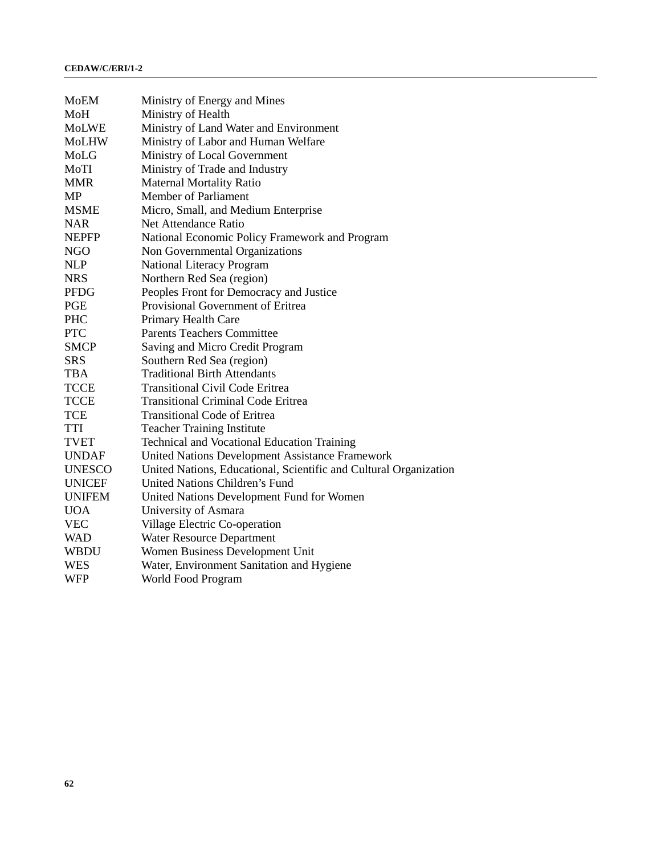| MoEM          | Ministry of Energy and Mines                                      |
|---------------|-------------------------------------------------------------------|
| MoH           | Ministry of Health                                                |
| <b>MoLWE</b>  | Ministry of Land Water and Environment                            |
| <b>MoLHW</b>  | Ministry of Labor and Human Welfare                               |
| MoLG          | Ministry of Local Government                                      |
| MoTI          | Ministry of Trade and Industry                                    |
| <b>MMR</b>    | <b>Maternal Mortality Ratio</b>                                   |
| MP            | <b>Member of Parliament</b>                                       |
| <b>MSME</b>   | Micro, Small, and Medium Enterprise                               |
| <b>NAR</b>    | <b>Net Attendance Ratio</b>                                       |
| <b>NEPFP</b>  | National Economic Policy Framework and Program                    |
| <b>NGO</b>    | Non Governmental Organizations                                    |
| <b>NLP</b>    | National Literacy Program                                         |
| <b>NRS</b>    | Northern Red Sea (region)                                         |
| <b>PFDG</b>   | Peoples Front for Democracy and Justice                           |
| <b>PGE</b>    | Provisional Government of Eritrea                                 |
| <b>PHC</b>    | Primary Health Care                                               |
| <b>PTC</b>    | <b>Parents Teachers Committee</b>                                 |
| <b>SMCP</b>   | Saving and Micro Credit Program                                   |
| <b>SRS</b>    | Southern Red Sea (region)                                         |
| <b>TBA</b>    | <b>Traditional Birth Attendants</b>                               |
| <b>TCCE</b>   | <b>Transitional Civil Code Eritrea</b>                            |
| <b>TCCE</b>   | <b>Transitional Criminal Code Eritrea</b>                         |
| <b>TCE</b>    | <b>Transitional Code of Eritrea</b>                               |
| TTI           | <b>Teacher Training Institute</b>                                 |
| <b>TVET</b>   | <b>Technical and Vocational Education Training</b>                |
| <b>UNDAF</b>  | United Nations Development Assistance Framework                   |
| <b>UNESCO</b> | United Nations, Educational, Scientific and Cultural Organization |
| <b>UNICEF</b> | <b>United Nations Children's Fund</b>                             |
| <b>UNIFEM</b> | United Nations Development Fund for Women                         |
| <b>UOA</b>    | University of Asmara                                              |
| <b>VEC</b>    | Village Electric Co-operation                                     |
| <b>WAD</b>    | Water Resource Department                                         |
| WBDU          | Women Business Development Unit                                   |
| <b>WES</b>    | Water, Environment Sanitation and Hygiene                         |
| <b>WFP</b>    | <b>World Food Program</b>                                         |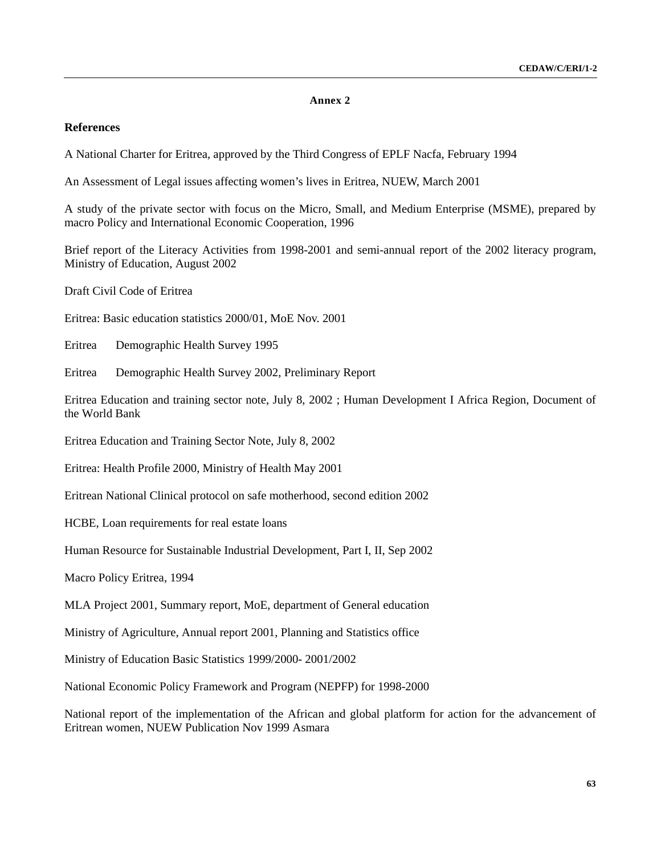#### **Annex 2**

## **References**

A National Charter for Eritrea, approved by the Third Congress of EPLF Nacfa, February 1994

An Assessment of Legal issues affecting women's lives in Eritrea, NUEW, March 2001

A study of the private sector with focus on the Micro, Small, and Medium Enterprise (MSME), prepared by macro Policy and International Economic Cooperation, 1996

Brief report of the Literacy Activities from 1998-2001 and semi-annual report of the 2002 literacy program, Ministry of Education, August 2002

Draft Civil Code of Eritrea

Eritrea: Basic education statistics 2000/01, MoE Nov. 2001

Eritrea Demographic Health Survey 1995

Eritrea Demographic Health Survey 2002, Preliminary Report

Eritrea Education and training sector note, July 8, 2002 ; Human Development I Africa Region, Document of the World Bank

Eritrea Education and Training Sector Note, July 8, 2002

Eritrea: Health Profile 2000, Ministry of Health May 2001

Eritrean National Clinical protocol on safe motherhood, second edition 2002

HCBE, Loan requirements for real estate loans

Human Resource for Sustainable Industrial Development, Part I, II, Sep 2002

Macro Policy Eritrea, 1994

MLA Project 2001, Summary report, MoE, department of General education

Ministry of Agriculture, Annual report 2001, Planning and Statistics office

Ministry of Education Basic Statistics 1999/2000- 2001/2002

National Economic Policy Framework and Program (NEPFP) for 1998-2000

National report of the implementation of the African and global platform for action for the advancement of Eritrean women, NUEW Publication Nov 1999 Asmara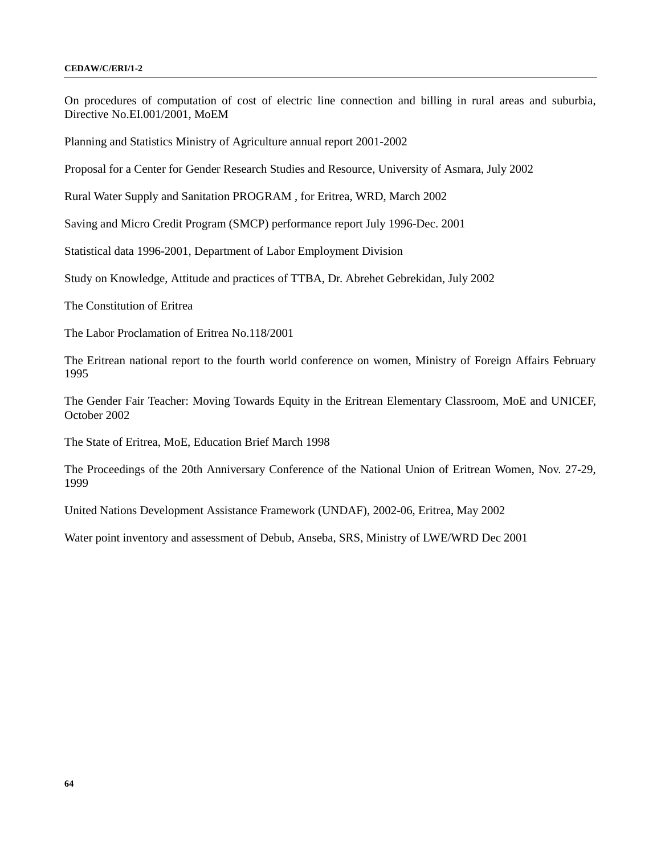On procedures of computation of cost of electric line connection and billing in rural areas and suburbia, Directive No.EI.001/2001, MoEM

Planning and Statistics Ministry of Agriculture annual report 2001-2002

Proposal for a Center for Gender Research Studies and Resource, University of Asmara, July 2002

Rural Water Supply and Sanitation PROGRAM , for Eritrea, WRD, March 2002

Saving and Micro Credit Program (SMCP) performance report July 1996-Dec. 2001

Statistical data 1996-2001, Department of Labor Employment Division

Study on Knowledge, Attitude and practices of TTBA, Dr. Abrehet Gebrekidan, July 2002

The Constitution of Eritrea

The Labor Proclamation of Eritrea No.118/2001

The Eritrean national report to the fourth world conference on women, Ministry of Foreign Affairs February 1995

The Gender Fair Teacher: Moving Towards Equity in the Eritrean Elementary Classroom, MoE and UNICEF, October 2002

The State of Eritrea, MoE, Education Brief March 1998

The Proceedings of the 20th Anniversary Conference of the National Union of Eritrean Women, Nov. 27-29, 1999

United Nations Development Assistance Framework (UNDAF), 2002-06, Eritrea, May 2002

Water point inventory and assessment of Debub, Anseba, SRS, Ministry of LWE/WRD Dec 2001